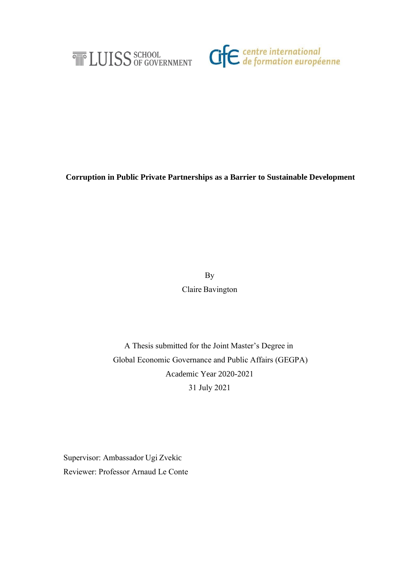



**Corruption in Public Private Partnerships as a Barrier to Sustainable Development**

By  Claire Bavington 

A Thesis submitted for the Joint Master's Degree in    Global Economic Governance and Public Affairs (GEGPA)  Academic Year 2020-2021  31 July 2021 

Supervisor: Ambassador Ugi Zvekic Reviewer: Professor Arnaud Le Conte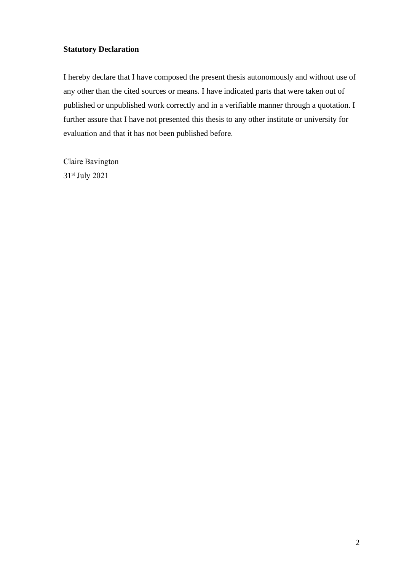# **Statutory Declaration**

I hereby declare that I have composed the present thesis autonomously and without use of any other than the cited sources or means. I have indicated parts that were taken out of published or unpublished work correctly and in a verifiable manner through a quotation. I further assure that I have not presented this thesis to any other institute or university for evaluation and that it has not been published before.   

Claire Bavington   31st July 2021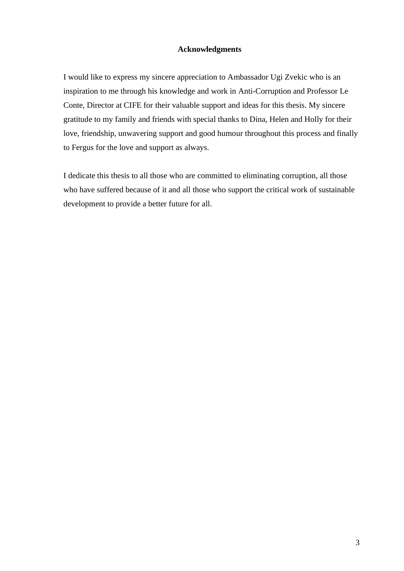# **Acknowledgments**

I would like to express my sincere appreciation to Ambassador Ugi Zvekic who is an inspiration to me through his knowledge and work in Anti-Corruption and Professor Le Conte, Director at CIFE for their valuable support and ideas for this thesis. My sincere gratitude to my family and friends with special thanks to Dina, Helen and Holly for their love, friendship, unwavering support and good humour throughout this process and finally to Fergus for the love and support as always.

I dedicate this thesis to all those who are committed to eliminating corruption, all those who have suffered because of it and all those who support the critical work of sustainable development to provide a better future for all.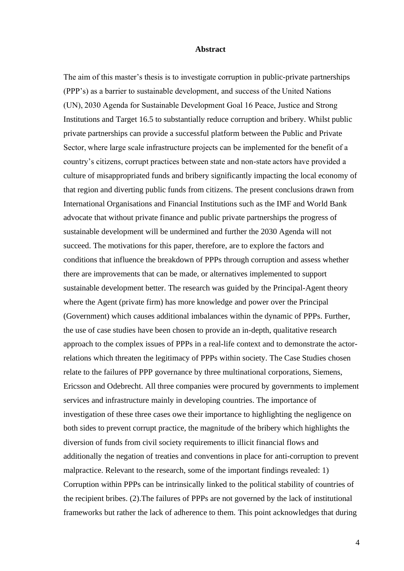### **Abstract**

The aim of this master's thesis is to investigate corruption in public-private partnerships (PPP's) as a barrier to sustainable development, and success of the United Nations (UN), 2030 Agenda for Sustainable Development Goal 16 Peace, Justice and Strong Institutions and Target 16.5 to substantially reduce corruption and bribery. Whilst public private partnerships can provide a successful platform between the Public and Private Sector, where large scale infrastructure projects can be implemented for the benefit of a country's citizens, corrupt practices between state and non-state actors have provided a culture of misappropriated funds and bribery significantly impacting the local economy of that region and diverting public funds from citizens. The present conclusions drawn from International Organisations and Financial Institutions such as the IMF and World Bank advocate that without private finance and public private partnerships the progress of sustainable development will be undermined and further the 2030 Agenda will not succeed. The motivations for this paper, therefore, are to explore the factors and conditions that influence the breakdown of PPPs through corruption and assess whether there are improvements that can be made, or alternatives implemented to support sustainable development better. The research was guided by the Principal-Agent theory where the Agent (private firm) has more knowledge and power over the Principal (Government) which causes additional imbalances within the dynamic of PPPs. Further, the use of case studies have been chosen to provide an in-depth, qualitative research approach to the complex issues of PPPs in a real-life context and to demonstrate the actorrelations which threaten the legitimacy of PPPs within society. The Case Studies chosen relate to the failures of PPP governance by three multinational corporations, Siemens, Ericsson and Odebrecht. All three companies were procured by governments to implement services and infrastructure mainly in developing countries. The importance of investigation of these three cases owe their importance to highlighting the negligence on both sides to prevent corrupt practice, the magnitude of the bribery which highlights the diversion of funds from civil society requirements to illicit financial flows and additionally the negation of treaties and conventions in place for anti-corruption to prevent malpractice. Relevant to the research, some of the important findings revealed: 1) Corruption within PPPs can be intrinsically linked to the political stability of countries of the recipient bribes. (2).The failures of PPPs are not governed by the lack of institutional frameworks but rather the lack of adherence to them. This point acknowledges that during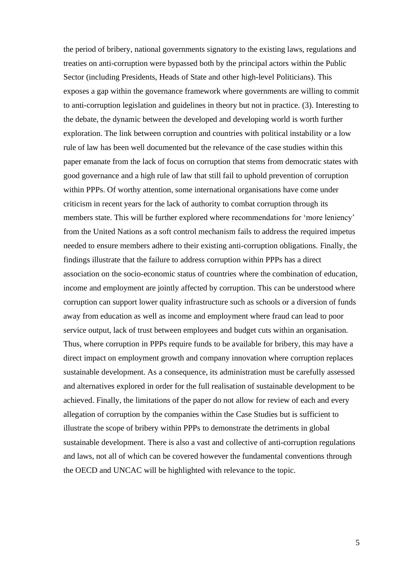the period of bribery, national governments signatory to the existing laws, regulations and treaties on anti-corruption were bypassed both by the principal actors within the Public Sector (including Presidents, Heads of State and other high-level Politicians). This exposes a gap within the governance framework where governments are willing to commit to anti-corruption legislation and guidelines in theory but not in practice. (3). Interesting to the debate, the dynamic between the developed and developing world is worth further exploration. The link between corruption and countries with political instability or a low rule of law has been well documented but the relevance of the case studies within this paper emanate from the lack of focus on corruption that stems from democratic states with good governance and a high rule of law that still fail to uphold prevention of corruption within PPPs. Of worthy attention, some international organisations have come under criticism in recent years for the lack of authority to combat corruption through its members state. This will be further explored where recommendations for 'more leniency' from the United Nations as a soft control mechanism fails to address the required impetus needed to ensure members adhere to their existing anti-corruption obligations. Finally, the findings illustrate that the failure to address corruption within PPPs has a direct association on the socio-economic status of countries where the combination of education, income and employment are jointly affected by corruption. This can be understood where corruption can support lower quality infrastructure such as schools or a diversion of funds away from education as well as income and employment where fraud can lead to poor service output, lack of trust between employees and budget cuts within an organisation. Thus, where corruption in PPPs require funds to be available for bribery, this may have a direct impact on employment growth and company innovation where corruption replaces sustainable development. As a consequence, its administration must be carefully assessed and alternatives explored in order for the full realisation of sustainable development to be achieved. Finally, the limitations of the paper do not allow for review of each and every allegation of corruption by the companies within the Case Studies but is sufficient to illustrate the scope of bribery within PPPs to demonstrate the detriments in global sustainable development. There is also a vast and collective of anti-corruption regulations and laws, not all of which can be covered however the fundamental conventions through the OECD and UNCAC will be highlighted with relevance to the topic.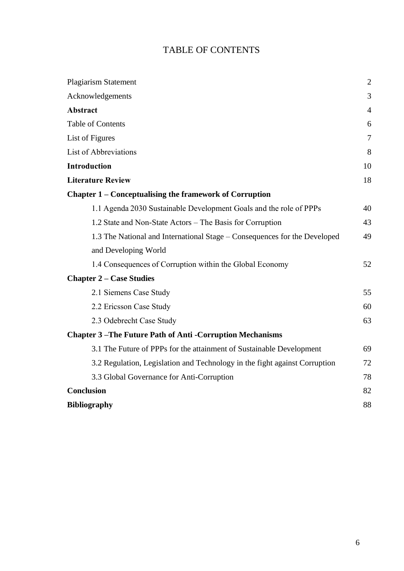# TABLE OF CONTENTS

| <b>Plagiarism Statement</b>                                                | $\overline{2}$ |
|----------------------------------------------------------------------------|----------------|
| Acknowledgements                                                           | 3              |
| <b>Abstract</b>                                                            | $\overline{4}$ |
| <b>Table of Contents</b>                                                   | 6              |
| List of Figures                                                            | 7              |
| List of Abbreviations                                                      | 8              |
| <b>Introduction</b>                                                        | 10             |
| <b>Literature Review</b>                                                   | 18             |
| Chapter 1 – Conceptualising the framework of Corruption                    |                |
| 1.1 Agenda 2030 Sustainable Development Goals and the role of PPPs         | 40             |
| 1.2 State and Non-State Actors – The Basis for Corruption                  | 43             |
| 1.3 The National and International Stage – Consequences for the Developed  | 49             |
| and Developing World                                                       |                |
| 1.4 Consequences of Corruption within the Global Economy                   | 52             |
| <b>Chapter 2 – Case Studies</b>                                            |                |
| 2.1 Siemens Case Study                                                     | 55             |
| 2.2 Ericsson Case Study                                                    | 60             |
| 2.3 Odebrecht Case Study                                                   | 63             |
| <b>Chapter 3-The Future Path of Anti-Corruption Mechanisms</b>             |                |
| 3.1 The Future of PPPs for the attainment of Sustainable Development       | 69             |
| 3.2 Regulation, Legislation and Technology in the fight against Corruption | 72             |
| 3.3 Global Governance for Anti-Corruption                                  | 78             |
| <b>Conclusion</b>                                                          | 82             |
| <b>Bibliography</b>                                                        | 88             |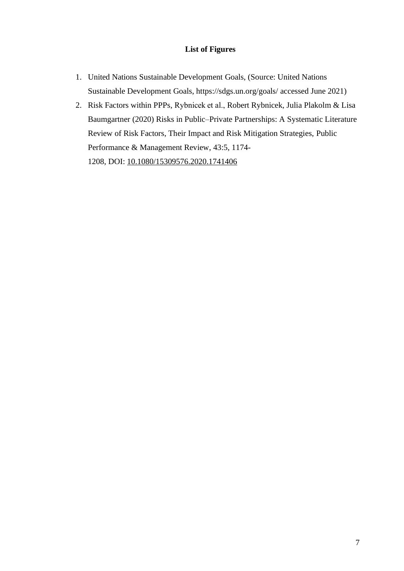# **List of Figures**

- 1. United Nations Sustainable Development Goals, (Source: United Nations Sustainable Development Goals, https://sdgs.un.org/goals/ accessed June 2021)
- 2. Risk Factors within PPPs, Rybnicek et al., Robert Rybnicek, Julia Plakolm & Lisa Baumgartner (2020) Risks in Public–Private Partnerships: A Systematic Literature Review of Risk Factors, Their Impact and Risk Mitigation Strategies, Public Performance & Management Review, 43:5, 1174- 1208, DOI: [10.1080/15309576.2020.1741406](https://doi.org/10.1080/15309576.2020.1741406)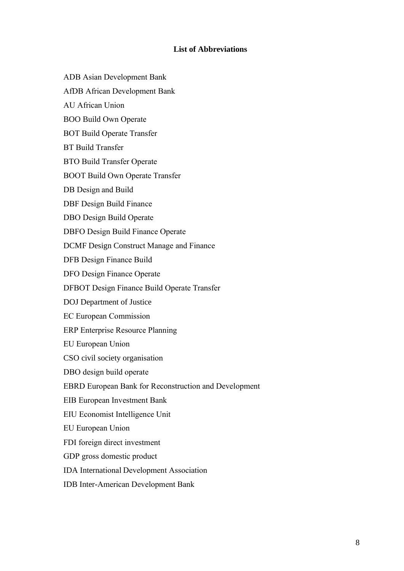# **List of Abbreviations**

- ADB Asian Development Bank
- AfDB African Development Bank
- AU African Union
- BOO Build Own Operate
- BOT Build Operate Transfer
- BT Build Transfer
- BTO Build Transfer Operate
- BOOT Build Own Operate Transfer
- DB Design and Build
- DBF Design Build Finance
- DBO Design Build Operate
- DBFO Design Build Finance Operate
- DCMF Design Construct Manage and Finance
- DFB Design Finance Build
- DFO Design Finance Operate
- DFBOT Design Finance Build Operate Transfer
- DOJ Department of Justice
- EC European Commission
- ERP Enterprise Resource Planning
- EU European Union
- CSO civil society organisation
- DBO design build operate
- EBRD European Bank for Reconstruction and Development
- EIB European Investment Bank
- EIU Economist Intelligence Unit
- EU European Union
- FDI foreign direct investment
- GDP gross domestic product
- IDA International Development Association
- IDB Inter-American Development Bank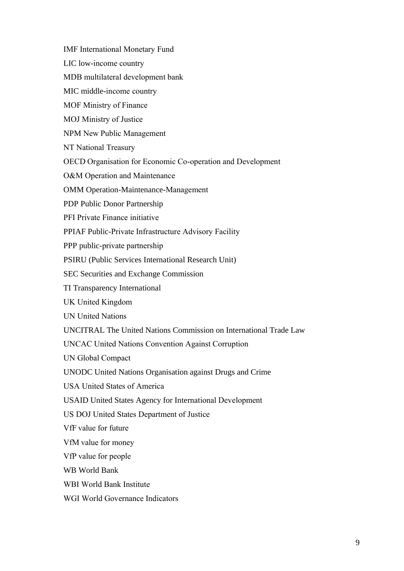IMF International Monetary Fund  

LIC low-income country 

MDB multilateral development bank 

MIC middle-income country 

MOF Ministry of Finance  

MOJ Ministry of Justice 

NPM New Public Management 

NT National Treasury 

OECD Organisation for Economic Co-operation and Development  

O&M Operation and Maintenance 

OMM Operation-Maintenance-Management 

PDP Public Donor Partnership

PFI Private Finance initiative 

PPIAF Public-Private Infrastructure Advisory Facility 

PPP public-private partnership 

PSIRU (Public Services International Research Unit)

SEC Securities and Exchange Commission

TI Transparency International

UK United Kingdom 

UN United Nations 

UNCITRAL The United Nations Commission on International Trade Law

UNCAC United Nations Convention Against Corruption 

UN Global Compact 

UNODC United Nations Organisation against Drugs and Crime

USA United States of America  

USAID United States Agency for International Development  

US DOJ United States Department of Justice 

VfF value for future 

VfM value for money 

VfP value for people 

WB World Bank

WBI World Bank Institute 

WGI World Governance Indicators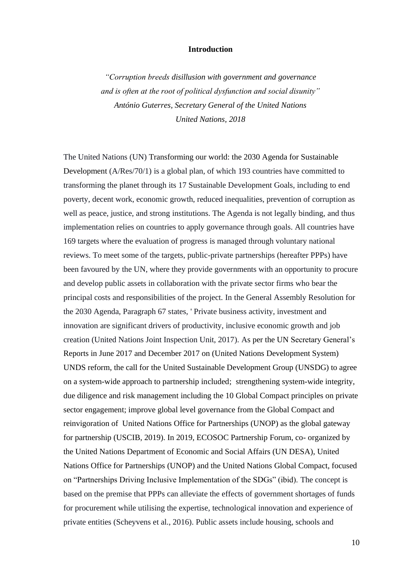# **Introduction**

*"Corruption breeds disillusion with government and governance and is often at the root of political dysfunction and social disunity" António Guterres, Secretary General of the United Nations United Nations, 2018*

The United Nations (UN) Transforming our world: the 2030 Agenda for Sustainable Development (A/Res/70/1) is a global plan, of which 193 countries have committed to transforming the planet through its 17 Sustainable Development Goals, including to end poverty, decent work, economic growth, reduced inequalities, prevention of corruption as well as peace, justice, and strong institutions. The Agenda is not legally binding, and thus implementation relies on countries to apply governance through goals. All countries have 169 targets where the evaluation of progress is managed through voluntary national reviews. To meet some of the targets, public-private partnerships (hereafter PPPs) have been favoured by the UN, where they provide governments with an opportunity to procure and develop public assets in collaboration with the private sector firms who bear the principal costs and responsibilities of the project. In the General Assembly Resolution for the 2030 Agenda, Paragraph 67 states, ' Private business activity, investment and innovation are significant drivers of productivity, inclusive economic growth and job creation (United Nations Joint Inspection Unit, 2017). As per the UN Secretary General's Reports in June 2017 and December 2017 on (United Nations Development System) UNDS reform, the call for the United Sustainable Development Group (UNSDG) to agree on a system-wide approach to partnership included; strengthening system-wide integrity, due diligence and risk management including the 10 Global Compact principles on private sector engagement; improve global level governance from the Global Compact and reinvigoration of United Nations Office for Partnerships (UNOP) as the global gateway for partnership (USCIB, 2019). In 2019, ECOSOC Partnership Forum, co- organized by the United Nations Department of Economic and Social Affairs (UN DESA), United Nations Office for Partnerships (UNOP) and the United Nations Global Compact, focused on "Partnerships Driving Inclusive Implementation of the SDGs" (ibid). The concept is based on the premise that PPPs can alleviate the effects of government shortages of funds for procurement while utilising the expertise, technological innovation and experience of private entities (Scheyvens et al., 2016). Public assets include housing, schools and

10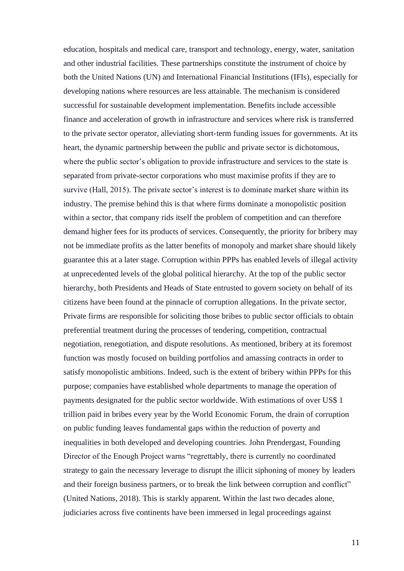education, hospitals and medical care, transport and technology, energy, water, sanitation and other industrial facilities. These partnerships constitute the instrument of choice by both the United Nations (UN) and International Financial Institutions (IFIs), especially for developing nations where resources are less attainable. The mechanism is considered successful for sustainable development implementation. Benefits include accessible finance and acceleration of growth in infrastructure and services where risk is transferred to the private sector operator, alleviating short-term funding issues for governments. At its heart, the dynamic partnership between the public and private sector is dichotomous, where the public sector's obligation to provide infrastructure and services to the state is separated from private-sector corporations who must maximise profits if they are to survive (Hall, 2015). The private sector's interest is to dominate market share within its industry. The premise behind this is that where firms dominate a monopolistic position within a sector, that company rids itself the problem of competition and can therefore demand higher fees for its products of services. Consequently, the priority for bribery may not be immediate profits as the latter benefits of monopoly and market share should likely guarantee this at a later stage. Corruption within PPPs has enabled levels of illegal activity at unprecedented levels of the global political hierarchy. At the top of the public sector hierarchy, both Presidents and Heads of State entrusted to govern society on behalf of its citizens have been found at the pinnacle of corruption allegations. In the private sector, Private firms are responsible for soliciting those bribes to public sector officials to obtain preferential treatment during the processes of tendering, competition, contractual negotiation, renegotiation, and dispute resolutions. As mentioned, bribery at its foremost function was mostly focused on building portfolios and amassing contracts in order to satisfy monopolistic ambitions. Indeed, such is the extent of bribery within PPPs for this purpose; companies have established whole departments to manage the operation of payments designated for the public sector worldwide. With estimations of over US\$ 1 trillion paid in bribes every year by the World Economic Forum, the drain of corruption on public funding leaves fundamental gaps within the reduction of poverty and inequalities in both developed and developing countries. John Prendergast, Founding Director of the Enough Project warns "regrettably, there is currently no coordinated strategy to gain the necessary leverage to disrupt the illicit siphoning of money by leaders and their foreign business partners, or to break the link between corruption and conflict" (United Nations, 2018). This is starkly apparent. Within the last two decades alone, judiciaries across five continents have been immersed in legal proceedings against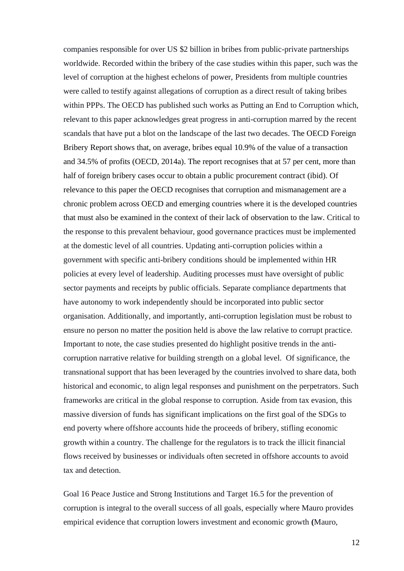companies responsible for over US \$2 billion in bribes from public-private partnerships worldwide. Recorded within the bribery of the case studies within this paper, such was the level of corruption at the highest echelons of power, Presidents from multiple countries were called to testify against allegations of corruption as a direct result of taking bribes within PPPs. The OECD has published such works as Putting an End to Corruption which, relevant to this paper acknowledges great progress in anti-corruption marred by the recent scandals that have put a blot on the landscape of the last two decades. The OECD Foreign Bribery Report shows that, on average, bribes equal 10.9% of the value of a transaction and 34.5% of profits (OECD, 2014a). The report recognises that at 57 per cent, more than half of foreign bribery cases occur to obtain a public procurement contract (ibid). Of relevance to this paper the OECD recognises that corruption and mismanagement are a chronic problem across OECD and emerging countries where it is the developed countries that must also be examined in the context of their lack of observation to the law. Critical to the response to this prevalent behaviour, good governance practices must be implemented at the domestic level of all countries. Updating anti-corruption policies within a government with specific anti-bribery conditions should be implemented within HR policies at every level of leadership. Auditing processes must have oversight of public sector payments and receipts by public officials. Separate compliance departments that have autonomy to work independently should be incorporated into public sector organisation. Additionally, and importantly, anti-corruption legislation must be robust to ensure no person no matter the position held is above the law relative to corrupt practice. Important to note, the case studies presented do highlight positive trends in the anticorruption narrative relative for building strength on a global level. Of significance, the transnational support that has been leveraged by the countries involved to share data, both historical and economic, to align legal responses and punishment on the perpetrators. Such frameworks are critical in the global response to corruption. Aside from tax evasion, this massive diversion of funds has significant implications on the first goal of the SDGs to end poverty where offshore accounts hide the proceeds of bribery, stifling economic growth within a country. The challenge for the regulators is to track the illicit financial flows received by businesses or individuals often secreted in offshore accounts to avoid tax and detection.

Goal 16 Peace Justice and Strong Institutions and Target 16.5 for the prevention of corruption is integral to the overall success of all goals, especially where Mauro provides empirical evidence that corruption lowers investment and economic growth **(**Mauro,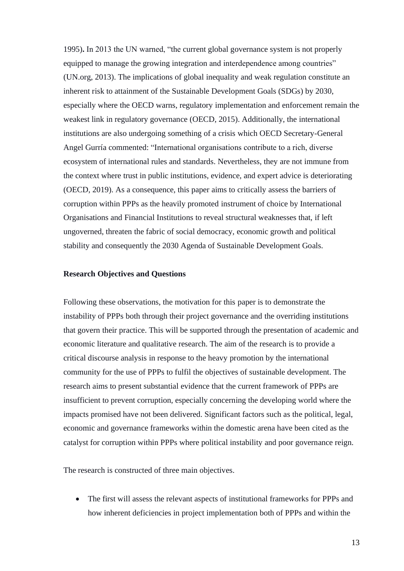1995)**.** In 2013 the UN warned, "the current global governance system is not properly equipped to manage the growing integration and interdependence among countries" (UN.org, 2013). The implications of global inequality and weak regulation constitute an inherent risk to attainment of the Sustainable Development Goals (SDGs) by 2030, especially where the OECD warns, regulatory implementation and enforcement remain the weakest link in regulatory governance (OECD, 2015). Additionally, the international institutions are also undergoing something of a crisis which OECD Secretary-General Angel Gurría commented: "International organisations contribute to a rich, diverse ecosystem of international rules and standards. Nevertheless, they are not immune from the context where trust in public institutions, evidence, and expert advice is deteriorating (OECD, 2019). As a consequence, this paper aims to critically assess the barriers of corruption within PPPs as the heavily promoted instrument of choice by International Organisations and Financial Institutions to reveal structural weaknesses that, if left ungoverned, threaten the fabric of social democracy, economic growth and political stability and consequently the 2030 Agenda of Sustainable Development Goals.

#### **Research Objectives and Questions**

Following these observations, the motivation for this paper is to demonstrate the instability of PPPs both through their project governance and the overriding institutions that govern their practice. This will be supported through the presentation of academic and economic literature and qualitative research. The aim of the research is to provide a critical discourse analysis in response to the heavy promotion by the international community for the use of PPPs to fulfil the objectives of sustainable development. The research aims to present substantial evidence that the current framework of PPPs are insufficient to prevent corruption, especially concerning the developing world where the impacts promised have not been delivered. Significant factors such as the political, legal, economic and governance frameworks within the domestic arena have been cited as the catalyst for corruption within PPPs where political instability and poor governance reign.

The research is constructed of three main objectives.

• The first will assess the relevant aspects of institutional frameworks for PPPs and how inherent deficiencies in project implementation both of PPPs and within the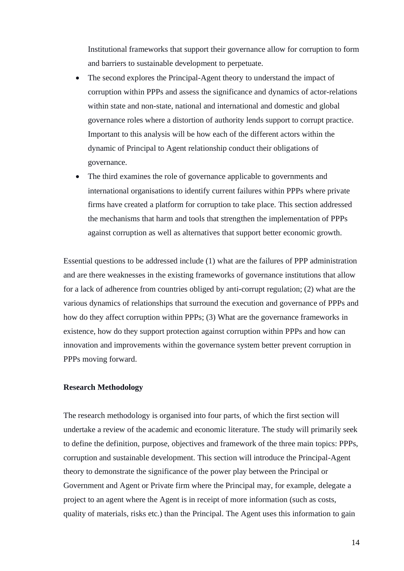Institutional frameworks that support their governance allow for corruption to form and barriers to sustainable development to perpetuate.

- The second explores the Principal-Agent theory to understand the impact of corruption within PPPs and assess the significance and dynamics of actor-relations within state and non-state, national and international and domestic and global governance roles where a distortion of authority lends support to corrupt practice. Important to this analysis will be how each of the different actors within the dynamic of Principal to Agent relationship conduct their obligations of governance.
- The third examines the role of governance applicable to governments and international organisations to identify current failures within PPPs where private firms have created a platform for corruption to take place. This section addressed the mechanisms that harm and tools that strengthen the implementation of PPPs against corruption as well as alternatives that support better economic growth.

Essential questions to be addressed include (1) what are the failures of PPP administration and are there weaknesses in the existing frameworks of governance institutions that allow for a lack of adherence from countries obliged by anti-corrupt regulation; (2) what are the various dynamics of relationships that surround the execution and governance of PPPs and how do they affect corruption within PPPs; (3) What are the governance frameworks in existence, how do they support protection against corruption within PPPs and how can innovation and improvements within the governance system better prevent corruption in PPPs moving forward.

### **Research Methodology**

The research methodology is organised into four parts, of which the first section will undertake a review of the academic and economic literature. The study will primarily seek to define the definition, purpose, objectives and framework of the three main topics: PPPs, corruption and sustainable development. This section will introduce the Principal-Agent theory to demonstrate the significance of the power play between the Principal or Government and Agent or Private firm where the Principal may, for example, delegate a project to an agent where the Agent is in receipt of more information (such as costs, quality of materials, risks etc.) than the Principal. The Agent uses this information to gain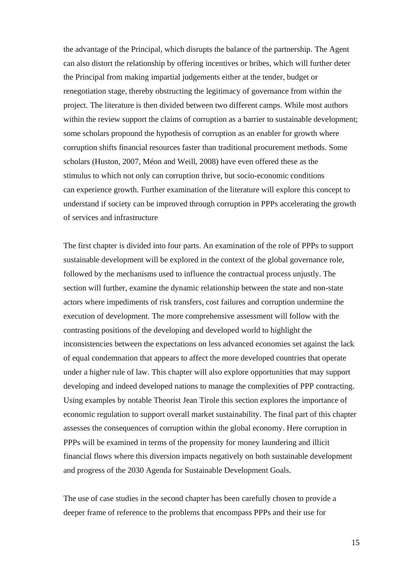the advantage of the Principal, which disrupts the balance of the partnership. The Agent can also distort the relationship by offering incentives or bribes, which will further deter the Principal from making impartial judgements either at the tender, budget or renegotiation stage, thereby obstructing the legitimacy of governance from within the project. The literature is then divided between two different camps. While most authors within the review support the claims of corruption as a barrier to sustainable development; some scholars propound the hypothesis of corruption as an enabler for growth where corruption shifts financial resources faster than traditional procurement methods. Some scholars (Huston, 2007, Méon and Weill, 2008) have even offered these as the stimulus to which not only can corruption thrive, but socio-economic conditions can experience growth. Further examination of the literature will explore this concept to understand if society can be improved through corruption in PPPs accelerating the growth of services and infrastructure

The first chapter is divided into four parts. An examination of the role of PPPs to support sustainable development will be explored in the context of the global governance role, followed by the mechanisms used to influence the contractual process unjustly. The section will further, examine the dynamic relationship between the state and non-state actors where impediments of risk transfers, cost failures and corruption undermine the execution of development. The more comprehensive assessment will follow with the contrasting positions of the developing and developed world to highlight the inconsistencies between the expectations on less advanced economies set against the lack of equal condemnation that appears to affect the more developed countries that operate under a higher rule of law. This chapter will also explore opportunities that may support developing and indeed developed nations to manage the complexities of PPP contracting. Using examples by notable Theorist Jean Tirole this section explores the importance of economic regulation to support overall market sustainability. The final part of this chapter assesses the consequences of corruption within the global economy. Here corruption in PPPs will be examined in terms of the propensity for money laundering and illicit financial flows where this diversion impacts negatively on both sustainable development and progress of the 2030 Agenda for Sustainable Development Goals.

The use of case studies in the second chapter has been carefully chosen to provide a deeper frame of reference to the problems that encompass PPPs and their use for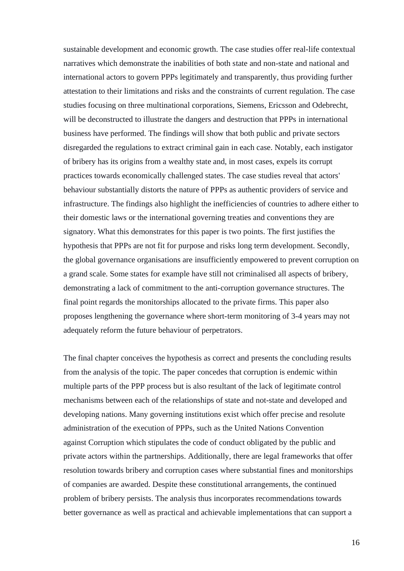sustainable development and economic growth. The case studies offer real-life contextual narratives which demonstrate the inabilities of both state and non-state and national and international actors to govern PPPs legitimately and transparently, thus providing further attestation to their limitations and risks and the constraints of current regulation. The case studies focusing on three multinational corporations, Siemens, Ericsson and Odebrecht, will be deconstructed to illustrate the dangers and destruction that PPPs in international business have performed. The findings will show that both public and private sectors disregarded the regulations to extract criminal gain in each case. Notably, each instigator of bribery has its origins from a wealthy state and, in most cases, expels its corrupt practices towards economically challenged states. The case studies reveal that actors' behaviour substantially distorts the nature of PPPs as authentic providers of service and infrastructure. The findings also highlight the inefficiencies of countries to adhere either to their domestic laws or the international governing treaties and conventions they are signatory. What this demonstrates for this paper is two points. The first justifies the hypothesis that PPPs are not fit for purpose and risks long term development. Secondly, the global governance organisations are insufficiently empowered to prevent corruption on a grand scale. Some states for example have still not criminalised all aspects of bribery, demonstrating a lack of commitment to the anti-corruption governance structures. The final point regards the monitorships allocated to the private firms. This paper also proposes lengthening the governance where short-term monitoring of 3-4 years may not adequately reform the future behaviour of perpetrators.

The final chapter conceives the hypothesis as correct and presents the concluding results from the analysis of the topic. The paper concedes that corruption is endemic within multiple parts of the PPP process but is also resultant of the lack of legitimate control mechanisms between each of the relationships of state and not-state and developed and developing nations. Many governing institutions exist which offer precise and resolute administration of the execution of PPPs, such as the United Nations Convention against Corruption which stipulates the code of conduct obligated by the public and private actors within the partnerships. Additionally, there are legal frameworks that offer resolution towards bribery and corruption cases where substantial fines and monitorships of companies are awarded. Despite these constitutional arrangements, the continued problem of bribery persists. The analysis thus incorporates recommendations towards better governance as well as practical and achievable implementations that can support a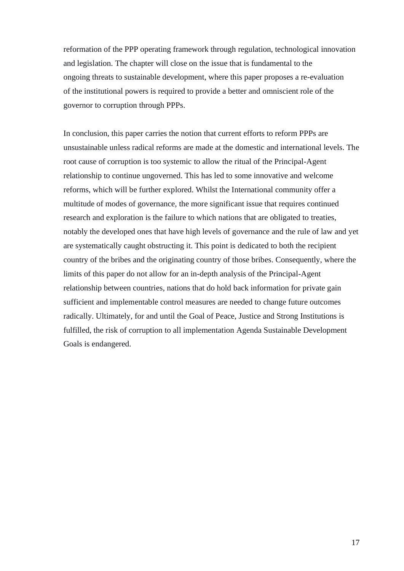reformation of the PPP operating framework through regulation, technological innovation and legislation. The chapter will close on the issue that is fundamental to the ongoing threats to sustainable development, where this paper proposes a re-evaluation of the institutional powers is required to provide a better and omniscient role of the governor to corruption through PPPs.

In conclusion, this paper carries the notion that current efforts to reform PPPs are unsustainable unless radical reforms are made at the domestic and international levels. The root cause of corruption is too systemic to allow the ritual of the Principal-Agent relationship to continue ungoverned. This has led to some innovative and welcome reforms, which will be further explored. Whilst the International community offer a multitude of modes of governance, the more significant issue that requires continued research and exploration is the failure to which nations that are obligated to treaties, notably the developed ones that have high levels of governance and the rule of law and yet are systematically caught obstructing it. This point is dedicated to both the recipient country of the bribes and the originating country of those bribes. Consequently, where the limits of this paper do not allow for an in-depth analysis of the Principal-Agent relationship between countries, nations that do hold back information for private gain sufficient and implementable control measures are needed to change future outcomes radically. Ultimately, for and until the Goal of Peace, Justice and Strong Institutions is fulfilled, the risk of corruption to all implementation Agenda Sustainable Development Goals is endangered.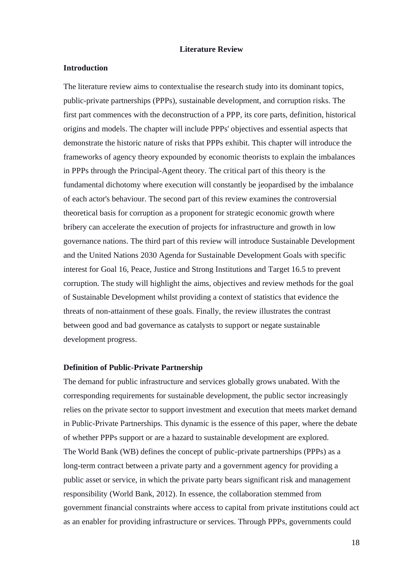### **Literature Review**

#### **Introduction**

The literature review aims to contextualise the research study into its dominant topics, public-private partnerships (PPPs), sustainable development, and corruption risks. The first part commences with the deconstruction of a PPP, its core parts, definition, historical origins and models. The chapter will include PPPs' objectives and essential aspects that demonstrate the historic nature of risks that PPPs exhibit. This chapter will introduce the frameworks of agency theory expounded by economic theorists to explain the imbalances in PPPs through the Principal-Agent theory. The critical part of this theory is the fundamental dichotomy where execution will constantly be jeopardised by the imbalance of each actor's behaviour. The second part of this review examines the controversial theoretical basis for corruption as a proponent for strategic economic growth where bribery can accelerate the execution of projects for infrastructure and growth in low governance nations. The third part of this review will introduce Sustainable Development and the United Nations 2030 Agenda for Sustainable Development Goals with specific interest for Goal 16, Peace, Justice and Strong Institutions and Target 16.5 to prevent corruption. The study will highlight the aims, objectives and review methods for the goal of Sustainable Development whilst providing a context of statistics that evidence the threats of non-attainment of these goals. Finally, the review illustrates the contrast between good and bad governance as catalysts to support or negate sustainable development progress.

### **Definition of Public-Private Partnership**

The demand for public infrastructure and services globally grows unabated. With the corresponding requirements for sustainable development, the public sector increasingly relies on the private sector to support investment and execution that meets market demand in Public-Private Partnerships. This dynamic is the essence of this paper, where the debate of whether PPPs support or are a hazard to sustainable development are explored. The World Bank (WB) defines the concept of public-private partnerships (PPPs) as a long-term contract between a private party and a government agency for providing a public asset or service, in which the private party bears significant risk and management responsibility (World Bank, 2012). In essence, the collaboration stemmed from government financial constraints where access to capital from private institutions could act as an enabler for providing infrastructure or services. Through PPPs, governments could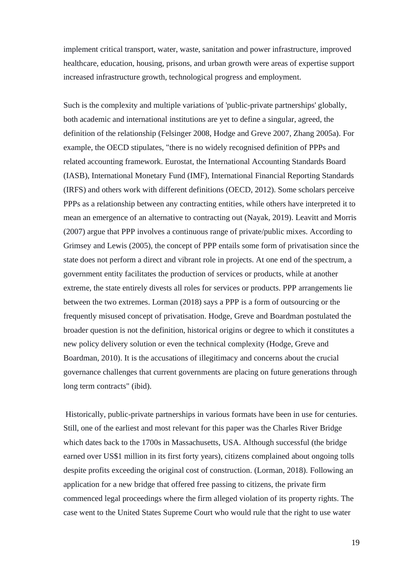implement critical transport, water, waste, sanitation and power infrastructure, improved healthcare, education, housing, prisons, and urban growth were areas of expertise support increased infrastructure growth, technological progress and employment.

Such is the complexity and multiple variations of 'public-private partnerships' globally, both academic and international institutions are yet to define a singular, agreed, the definition of the relationship (Felsinger 2008, Hodge and Greve 2007, Zhang 2005a). For example, the OECD stipulates, "there is no widely recognised definition of PPPs and related accounting framework. Eurostat, the International Accounting Standards Board (IASB), International Monetary Fund (IMF), International Financial Reporting Standards (IRFS) and others work with different definitions (OECD, 2012). Some scholars perceive PPPs as a relationship between any contracting entities, while others have interpreted it to mean an emergence of an alternative to contracting out (Nayak, 2019). Leavitt and Morris (2007) argue that PPP involves a continuous range of private/public mixes. According to Grimsey and Lewis (2005), the concept of PPP entails some form of privatisation since the state does not perform a direct and vibrant role in projects. At one end of the spectrum, a government entity facilitates the production of services or products, while at another extreme, the state entirely divests all roles for services or products. PPP arrangements lie between the two extremes. Lorman (2018) says a PPP is a form of outsourcing or the frequently misused concept of privatisation. Hodge, Greve and Boardman postulated the broader question is not the definition, historical origins or degree to which it constitutes a new policy delivery solution or even the technical complexity (Hodge, Greve and Boardman, 2010). It is the accusations of illegitimacy and concerns about the crucial governance challenges that current governments are placing on future generations through long term contracts" (ibid).

Historically, public-private partnerships in various formats have been in use for centuries. Still, one of the earliest and most relevant for this paper was the Charles River Bridge which dates back to the 1700s in Massachusetts, USA. Although successful (the bridge earned over US\$1 million in its first forty years), citizens complained about ongoing tolls despite profits exceeding the original cost of construction. (Lorman, 2018). Following an application for a new bridge that offered free passing to citizens, the private firm commenced legal proceedings where the firm alleged violation of its property rights. The case went to the United States Supreme Court who would rule that the right to use water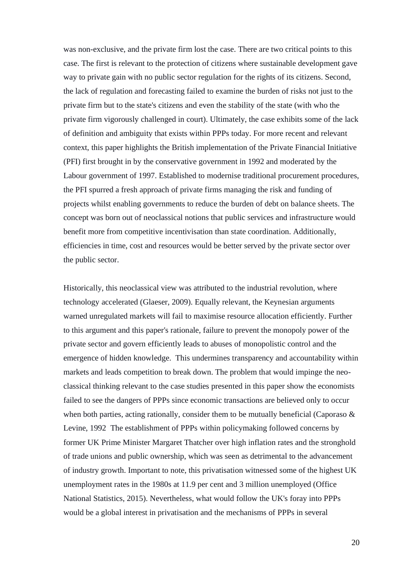was non-exclusive, and the private firm lost the case. There are two critical points to this case. The first is relevant to the protection of citizens where sustainable development gave way to private gain with no public sector regulation for the rights of its citizens. Second, the lack of regulation and forecasting failed to examine the burden of risks not just to the private firm but to the state's citizens and even the stability of the state (with who the private firm vigorously challenged in court). Ultimately, the case exhibits some of the lack of definition and ambiguity that exists within PPPs today. For more recent and relevant context, this paper highlights the British implementation of the Private Financial Initiative (PFI) first brought in by the conservative government in 1992 and moderated by the Labour government of 1997. Established to modernise traditional procurement procedures, the PFI spurred a fresh approach of private firms managing the risk and funding of projects whilst enabling governments to reduce the burden of debt on balance sheets. The concept was born out of neoclassical notions that public services and infrastructure would benefit more from competitive incentivisation than state coordination. Additionally, efficiencies in time, cost and resources would be better served by the private sector over the public sector.

Historically, this neoclassical view was attributed to the industrial revolution, where technology accelerated (Glaeser, 2009). Equally relevant, the Keynesian arguments warned unregulated markets will fail to maximise resource allocation efficiently. Further to this argument and this paper's rationale, failure to prevent the monopoly power of the private sector and govern efficiently leads to abuses of monopolistic control and the emergence of hidden knowledge. This undermines transparency and accountability within markets and leads competition to break down. The problem that would impinge the neoclassical thinking relevant to the case studies presented in this paper show the economists failed to see the dangers of PPPs since economic transactions are believed only to occur when both parties, acting rationally, consider them to be mutually beneficial (Caporaso  $\&$ Levine, 1992 The establishment of PPPs within policymaking followed concerns by former UK Prime Minister Margaret Thatcher over high inflation rates and the stronghold of trade unions and public ownership, which was seen as detrimental to the advancement of industry growth. Important to note, this privatisation witnessed some of the highest UK unemployment rates in the 1980s at 11.9 per cent and 3 million unemployed (Office National Statistics, 2015). Nevertheless, what would follow the UK's foray into PPPs would be a global interest in privatisation and the mechanisms of PPPs in several

20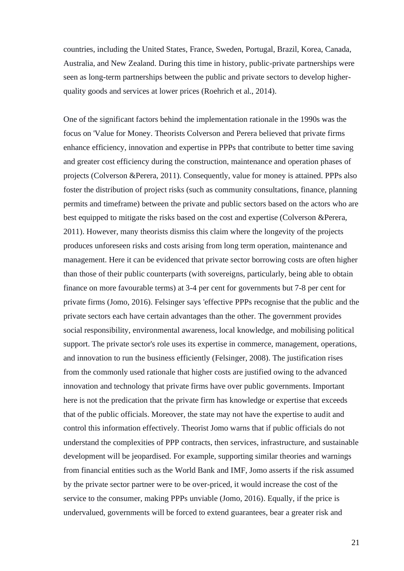countries, including the United States, France, Sweden, Portugal, Brazil, Korea, Canada, Australia, and New Zealand. During this time in history, public-private partnerships were seen as long-term partnerships between the public and private sectors to develop higherquality goods and services at lower prices (Roehrich et al., 2014).

One of the significant factors behind the implementation rationale in the 1990s was the focus on 'Value for Money. Theorists Colverson and Perera believed that private firms enhance efficiency, innovation and expertise in PPPs that contribute to better time saving and greater cost efficiency during the construction, maintenance and operation phases of projects (Colverson &Perera, 2011). Consequently, value for money is attained. PPPs also foster the distribution of project risks (such as community consultations, finance, planning permits and timeframe) between the private and public sectors based on the actors who are best equipped to mitigate the risks based on the cost and expertise (Colverson &Perera, 2011). However, many theorists dismiss this claim where the longevity of the projects produces unforeseen risks and costs arising from long term operation, maintenance and management. Here it can be evidenced that private sector borrowing costs are often higher than those of their public counterparts (with sovereigns, particularly, being able to obtain finance on more favourable terms) at 3-4 per cent for governments but 7-8 per cent for private firms (Jomo, 2016). Felsinger says 'effective PPPs recognise that the public and the private sectors each have certain advantages than the other. The government provides social responsibility, environmental awareness, local knowledge, and mobilising political support. The private sector's role uses its expertise in commerce, management, operations, and innovation to run the business efficiently (Felsinger, 2008). The justification rises from the commonly used rationale that higher costs are justified owing to the advanced innovation and technology that private firms have over public governments. Important here is not the predication that the private firm has knowledge or expertise that exceeds that of the public officials. Moreover, the state may not have the expertise to audit and control this information effectively. Theorist Jomo warns that if public officials do not understand the complexities of PPP contracts, then services, infrastructure, and sustainable development will be jeopardised. For example, supporting similar theories and warnings from financial entities such as the World Bank and IMF, Jomo asserts if the risk assumed by the private sector partner were to be over-priced, it would increase the cost of the service to the consumer, making PPPs unviable (Jomo, 2016). Equally, if the price is undervalued, governments will be forced to extend guarantees, bear a greater risk and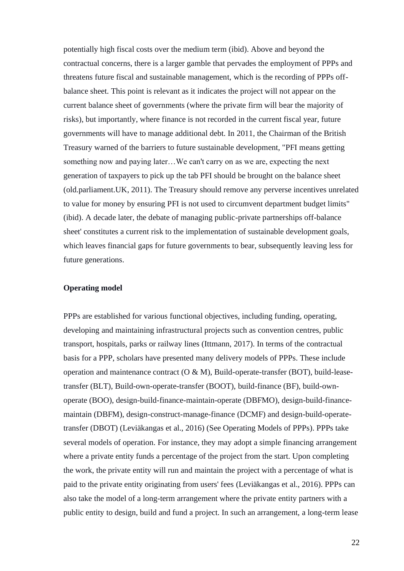potentially high fiscal costs over the medium term (ibid). Above and beyond the contractual concerns, there is a larger gamble that pervades the employment of PPPs and threatens future fiscal and sustainable management, which is the recording of PPPs offbalance sheet. This point is relevant as it indicates the project will not appear on the current balance sheet of governments (where the private firm will bear the majority of risks), but importantly, where finance is not recorded in the current fiscal year, future governments will have to manage additional debt. In 2011, the Chairman of the British Treasury warned of the barriers to future sustainable development, "PFI means getting something now and paying later…We can't carry on as we are, expecting the next generation of taxpayers to pick up the tab PFI should be brought on the balance sheet (old.parliament.UK, 2011). The Treasury should remove any perverse incentives unrelated to value for money by ensuring PFI is not used to circumvent department budget limits" (ibid). A decade later, the debate of managing public-private partnerships off-balance sheet' constitutes a current risk to the implementation of sustainable development goals, which leaves financial gaps for future governments to bear, subsequently leaving less for future generations.

### **Operating model**

PPPs are established for various functional objectives, including funding, operating, developing and maintaining infrastructural projects such as convention centres, public transport, hospitals, parks or railway lines (Ittmann, 2017). In terms of the contractual basis for a PPP, scholars have presented many delivery models of PPPs. These include operation and maintenance contract (O & M), Build-operate-transfer (BOT), build-leasetransfer (BLT), Build-own-operate-transfer (BOOT), build-finance (BF), build-ownoperate (BOO), design-build-finance-maintain-operate (DBFMO), design-build-financemaintain (DBFM), design-construct-manage-finance (DCMF) and design-build-operatetransfer (DBOT) (Leviäkangas et al., 2016) (See Operating Models of PPPs). PPPs take several models of operation. For instance, they may adopt a simple financing arrangement where a private entity funds a percentage of the project from the start. Upon completing the work, the private entity will run and maintain the project with a percentage of what is paid to the private entity originating from users' fees (Leviäkangas et al., 2016). PPPs can also take the model of a long-term arrangement where the private entity partners with a public entity to design, build and fund a project. In such an arrangement, a long-term lease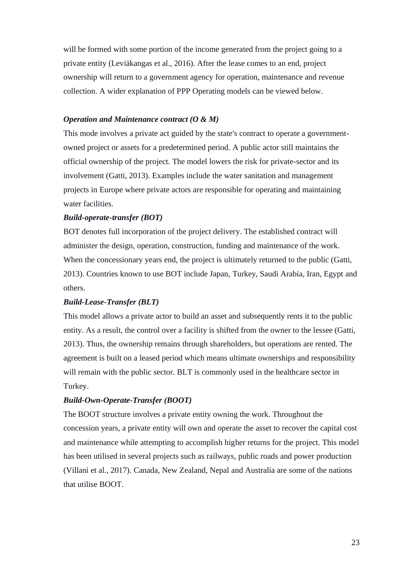will be formed with some portion of the income generated from the project going to a private entity (Leviäkangas et al., 2016). After the lease comes to an end, project ownership will return to a government agency for operation, maintenance and revenue collection. A wider explanation of PPP Operating models can be viewed below.

# *Operation and Maintenance contract (O & M)*

This mode involves a private act guided by the state's contract to operate a governmentowned project or assets for a predetermined period. A public actor still maintains the official ownership of the project. The model lowers the risk for private-sector and its involvement (Gatti, 2013). Examples include the water sanitation and management projects in Europe where private actors are responsible for operating and maintaining water facilities.

# *Build-operate-transfer (BOT)*

BOT denotes full incorporation of the project delivery. The established contract will administer the design, operation, construction, funding and maintenance of the work. When the concessionary years end, the project is ultimately returned to the public (Gatti, 2013). Countries known to use BOT include Japan, Turkey, Saudi Arabia, Iran, Egypt and others.

# *Build-Lease-Transfer (BLT)*

This model allows a private actor to build an asset and subsequently rents it to the public entity. As a result, the control over a facility is shifted from the owner to the lessee (Gatti, 2013). Thus, the ownership remains through shareholders, but operations are rented. The agreement is built on a leased period which means ultimate ownerships and responsibility will remain with the public sector. BLT is commonly used in the healthcare sector in Turkey.

# *Build-Own-Operate-Transfer (BOOT)*

The BOOT structure involves a private entity owning the work. Throughout the concession years, a private entity will own and operate the asset to recover the capital cost and maintenance while attempting to accomplish higher returns for the project. This model has been utilised in several projects such as railways, public roads and power production (Villani et al., 2017). Canada, New Zealand, Nepal and Australia are some of the nations that utilise BOOT.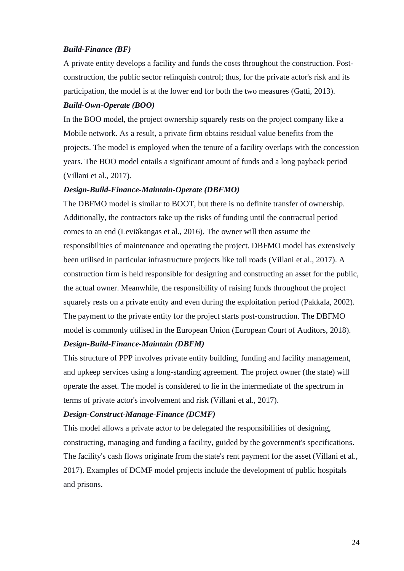# *Build-Finance (BF)*

A private entity develops a facility and funds the costs throughout the construction. Postconstruction, the public sector relinquish control; thus, for the private actor's risk and its participation, the model is at the lower end for both the two measures (Gatti, 2013).

# *Build-Own-Operate (BOO)*

In the BOO model, the project ownership squarely rests on the project company like a Mobile network. As a result, a private firm obtains residual value benefits from the projects. The model is employed when the tenure of a facility overlaps with the concession years. The BOO model entails a significant amount of funds and a long payback period (Villani et al., 2017).

# *Design-Build-Finance-Maintain-Operate (DBFMO)*

The DBFMO model is similar to BOOT, but there is no definite transfer of ownership. Additionally, the contractors take up the risks of funding until the contractual period comes to an end (Leviäkangas et al., 2016). The owner will then assume the responsibilities of maintenance and operating the project. DBFMO model has extensively been utilised in particular infrastructure projects like toll roads (Villani et al., 2017). A construction firm is held responsible for designing and constructing an asset for the public, the actual owner. Meanwhile, the responsibility of raising funds throughout the project squarely rests on a private entity and even during the exploitation period (Pakkala, 2002). The payment to the private entity for the project starts post-construction. The DBFMO model is commonly utilised in the European Union (European Court of Auditors, 2018).

# *Design-Build-Finance-Maintain (DBFM)*

This structure of PPP involves private entity building, funding and facility management, and upkeep services using a long-standing agreement. The project owner (the state) will operate the asset. The model is considered to lie in the intermediate of the spectrum in terms of private actor's involvement and risk (Villani et al., 2017).

## *Design-Construct-Manage-Finance (DCMF)*

This model allows a private actor to be delegated the responsibilities of designing, constructing, managing and funding a facility, guided by the government's specifications. The facility's cash flows originate from the state's rent payment for the asset (Villani et al., 2017). Examples of DCMF model projects include the development of public hospitals and prisons.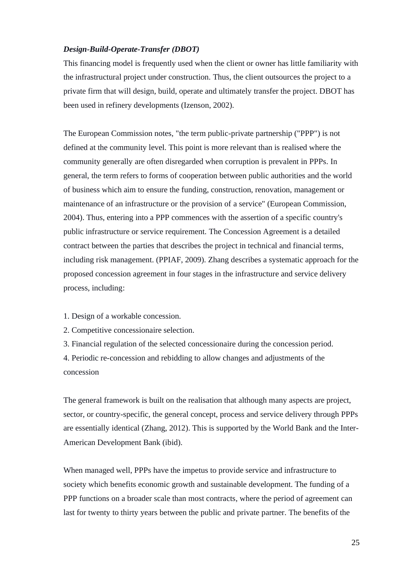# *Design-Build-Operate-Transfer (DBOT)*

This financing model is frequently used when the client or owner has little familiarity with the infrastructural project under construction. Thus, the client outsources the project to a private firm that will design, build, operate and ultimately transfer the project. DBOT has been used in refinery developments (Izenson, 2002).

The European Commission notes, "the term public-private partnership ("PPP") is not defined at the community level. This point is more relevant than is realised where the community generally are often disregarded when corruption is prevalent in PPPs. In general, the term refers to forms of cooperation between public authorities and the world of business which aim to ensure the funding, construction, renovation, management or maintenance of an infrastructure or the provision of a service" (European Commission, 2004). Thus, entering into a PPP commences with the assertion of a specific country's public infrastructure or service requirement. The Concession Agreement is a detailed contract between the parties that describes the project in technical and financial terms, including risk management. (PPIAF, 2009). Zhang describes a systematic approach for the proposed concession agreement in four stages in the infrastructure and service delivery process, including:

- 1. Design of a workable concession.
- 2. Competitive concessionaire selection.

3. Financial regulation of the selected concessionaire during the concession period.

4. Periodic re-concession and rebidding to allow changes and adjustments of the concession

The general framework is built on the realisation that although many aspects are project, sector, or country-specific, the general concept, process and service delivery through PPPs are essentially identical (Zhang, 2012). This is supported by the World Bank and the Inter-American Development Bank (ibid).

When managed well, PPPs have the impetus to provide service and infrastructure to society which benefits economic growth and sustainable development. The funding of a PPP functions on a broader scale than most contracts, where the period of agreement can last for twenty to thirty years between the public and private partner. The benefits of the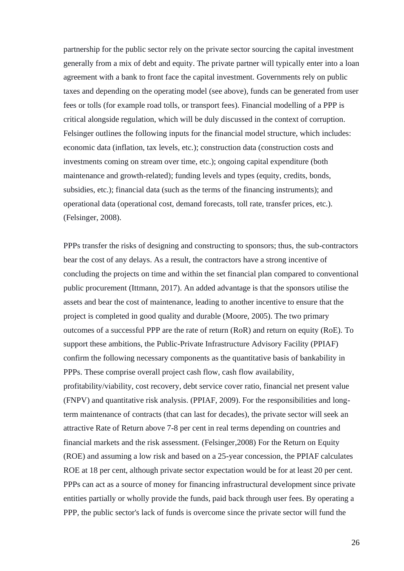partnership for the public sector rely on the private sector sourcing the capital investment generally from a mix of debt and equity. The private partner will typically enter into a loan agreement with a bank to front face the capital investment. Governments rely on public taxes and depending on the operating model (see above), funds can be generated from user fees or tolls (for example road tolls, or transport fees). Financial modelling of a PPP is critical alongside regulation, which will be duly discussed in the context of corruption. Felsinger outlines the following inputs for the financial model structure, which includes: economic data (inflation, tax levels, etc.); construction data (construction costs and investments coming on stream over time, etc.); ongoing capital expenditure (both maintenance and growth-related); funding levels and types (equity, credits, bonds, subsidies, etc.); financial data (such as the terms of the financing instruments); and operational data (operational cost, demand forecasts, toll rate, transfer prices, etc.). (Felsinger, 2008).

PPPs transfer the risks of designing and constructing to sponsors; thus, the sub-contractors bear the cost of any delays. As a result, the contractors have a strong incentive of concluding the projects on time and within the set financial plan compared to conventional public procurement (Ittmann, 2017). An added advantage is that the sponsors utilise the assets and bear the cost of maintenance, leading to another incentive to ensure that the project is completed in good quality and durable (Moore, 2005). The two primary outcomes of a successful PPP are the rate of return (RoR) and return on equity (RoE). To support these ambitions, the Public-Private Infrastructure Advisory Facility (PPIAF) confirm the following necessary components as the quantitative basis of bankability in PPPs. These comprise overall project cash flow, cash flow availability, profitability/viability, cost recovery, debt service cover ratio, financial net present value (FNPV) and quantitative risk analysis. (PPIAF, 2009). For the responsibilities and longterm maintenance of contracts (that can last for decades), the private sector will seek an attractive Rate of Return above 7-8 per cent in real terms depending on countries and financial markets and the risk assessment. (Felsinger,2008) For the Return on Equity (ROE) and assuming a low risk and based on a 25-year concession, the PPIAF calculates ROE at 18 per cent, although private sector expectation would be for at least 20 per cent. PPPs can act as a source of money for financing infrastructural development since private entities partially or wholly provide the funds, paid back through user fees. By operating a PPP, the public sector's lack of funds is overcome since the private sector will fund the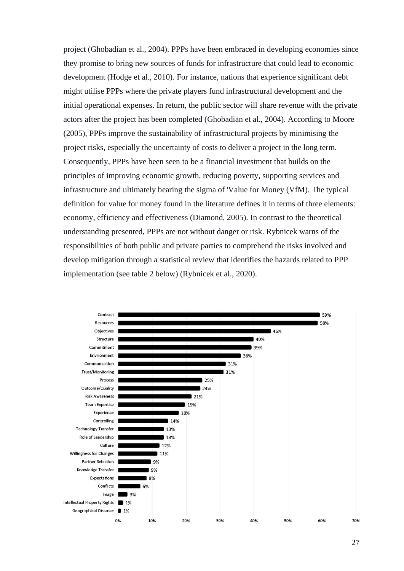project (Ghobadian et al., 2004). PPPs have been embraced in developing economies since they promise to bring new sources of funds for infrastructure that could lead to economic development (Hodge et al., 2010). For instance, nations that experience significant debt might utilise PPPs where the private players fund infrastructural development and the initial operational expenses. In return, the public sector will share revenue with the private actors after the project has been completed (Ghobadian et al., 2004). According to Moore (2005), PPPs improve the sustainability of infrastructural projects by minimising the project risks, especially the uncertainty of costs to deliver a project in the long term. Consequently, PPPs have been seen to be a financial investment that builds on the principles of improving economic growth, reducing poverty, supporting services and infrastructure and ultimately bearing the sigma of 'Value for Money (VfM). The typical definition for value for money found in the literature defines it in terms of three elements: economy, efficiency and effectiveness (Diamond, 2005). In contrast to the theoretical understanding presented, PPPs are not without danger or risk. Rybnicek warns of the responsibilities of both public and private parties to comprehend the risks involved and develop mitigation through a statistical review that identifies the hazards related to PPP implementation (see table 2 below) (Rybnicek et al., 2020).

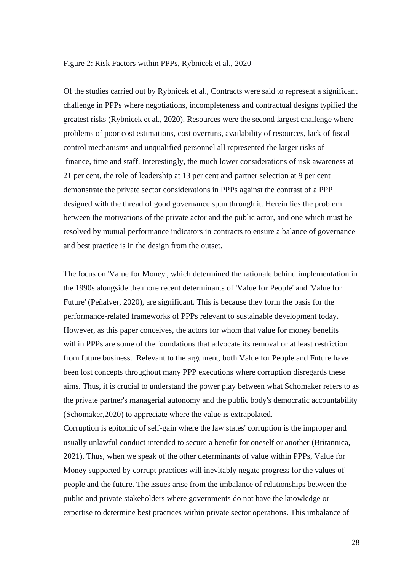#### Figure 2: Risk Factors within PPPs, Rybnicek et al., 2020

Of the studies carried out by Rybnicek et al., Contracts were said to represent a significant challenge in PPPs where negotiations, incompleteness and contractual designs typified the greatest risks (Rybnicek et al., 2020). Resources were the second largest challenge where problems of poor cost estimations, cost overruns, availability of resources, lack of fiscal control mechanisms and unqualified personnel all represented the larger risks of finance, time and staff. Interestingly, the much lower considerations of risk awareness at 21 per cent, the role of leadership at 13 per cent and partner selection at 9 per cent demonstrate the private sector considerations in PPPs against the contrast of a PPP designed with the thread of good governance spun through it. Herein lies the problem between the motivations of the private actor and the public actor, and one which must be resolved by mutual performance indicators in contracts to ensure a balance of governance and best practice is in the design from the outset.

The focus on 'Value for Money', which determined the rationale behind implementation in the 1990s alongside the more recent determinants of 'Value for People' and 'Value for Future' (Peñalver, 2020), are significant. This is because they form the basis for the performance-related frameworks of PPPs relevant to sustainable development today. However, as this paper conceives, the actors for whom that value for money benefits within PPPs are some of the foundations that advocate its removal or at least restriction from future business. Relevant to the argument, both Value for People and Future have been lost concepts throughout many PPP executions where corruption disregards these aims. Thus, it is crucial to understand the power play between what Schomaker refers to as the private partner's managerial autonomy and the public body's democratic accountability (Schomaker,2020) to appreciate where the value is extrapolated.

Corruption is epitomic of self-gain where the law states' corruption is the improper and usually unlawful conduct intended to secure a benefit for oneself or another (Britannica, 2021). Thus, when we speak of the other determinants of value within PPPs, Value for Money supported by corrupt practices will inevitably negate progress for the values of people and the future. The issues arise from the imbalance of relationships between the public and private stakeholders where governments do not have the knowledge or expertise to determine best practices within private sector operations. This imbalance of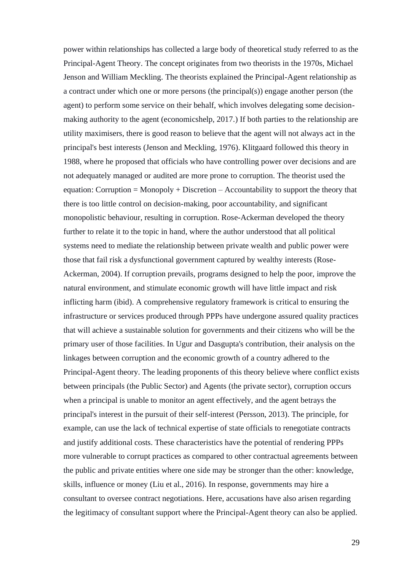power within relationships has collected a large body of theoretical study referred to as the Principal-Agent Theory. The concept originates from two theorists in the 1970s, Michael Jenson and William Meckling. The theorists explained the Principal-Agent relationship as a contract under which one or more persons (the principal(s)) engage another person (the agent) to perform some service on their behalf, which involves delegating some decisionmaking authority to the agent (economicshelp, 2017.) If both parties to the relationship are utility maximisers, there is good reason to believe that the agent will not always act in the principal's best interests (Jenson and Meckling, 1976). Klitgaard followed this theory in 1988, where he proposed that officials who have controlling power over decisions and are not adequately managed or audited are more prone to corruption. The theorist used the equation: Corruption = Monopoly + Discretion  $-$  Accountability to support the theory that there is too little control on decision-making, poor accountability, and significant monopolistic behaviour, resulting in corruption. Rose-Ackerman developed the theory further to relate it to the topic in hand, where the author understood that all political systems need to mediate the relationship between private wealth and public power were those that fail risk a dysfunctional government captured by wealthy interests (Rose-Ackerman, 2004). If corruption prevails, programs designed to help the poor, improve the natural environment, and stimulate economic growth will have little impact and risk inflicting harm (ibid). A comprehensive regulatory framework is critical to ensuring the infrastructure or services produced through PPPs have undergone assured quality practices that will achieve a sustainable solution for governments and their citizens who will be the primary user of those facilities. In Ugur and Dasgupta's contribution, their analysis on the linkages between corruption and the economic growth of a country adhered to the Principal-Agent theory. The leading proponents of this theory believe where conflict exists between principals (the Public Sector) and Agents (the private sector), corruption occurs when a principal is unable to monitor an agent effectively, and the agent betrays the principal's interest in the pursuit of their self-interest (Persson, 2013). The principle, for example, can use the lack of technical expertise of state officials to renegotiate contracts and justify additional costs. These characteristics have the potential of rendering PPPs more vulnerable to corrupt practices as compared to other contractual agreements between the public and private entities where one side may be stronger than the other: knowledge, skills, influence or money (Liu et al., 2016). In response, governments may hire a consultant to oversee contract negotiations. Here, accusations have also arisen regarding the legitimacy of consultant support where the Principal-Agent theory can also be applied.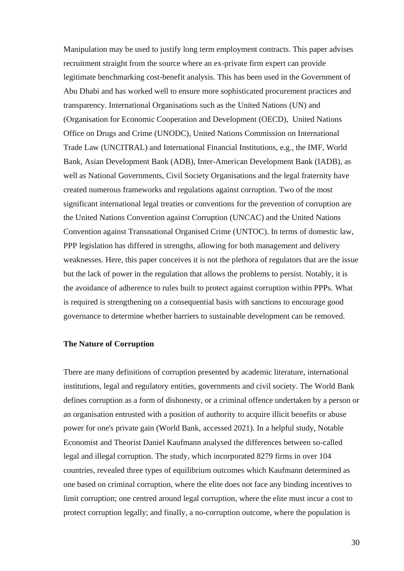Manipulation may be used to justify long term employment contracts. This paper advises recruitment straight from the source where an ex-private firm expert can provide legitimate benchmarking cost-benefit analysis. This has been used in the Government of Abu Dhabi and has worked well to ensure more sophisticated procurement practices and transparency. International Organisations such as the United Nations (UN) and (Organisation for Economic Cooperation and Development (OECD), United Nations Office on Drugs and Crime (UNODC), United Nations Commission on International Trade Law (UNCITRAL) and International Financial Institutions, e.g., the IMF, World Bank, Asian Development Bank (ADB), Inter-American Development Bank (IADB), as well as National Governments, Civil Society Organisations and the legal fraternity have created numerous frameworks and regulations against corruption. Two of the most significant international legal treaties or conventions for the prevention of corruption are the United Nations Convention against Corruption (UNCAC) and the United Nations Convention against Transnational Organised Crime (UNTOC). In terms of domestic law, PPP legislation has differed in strengths, allowing for both management and delivery weaknesses. Here, this paper conceives it is not the plethora of regulators that are the issue but the lack of power in the regulation that allows the problems to persist. Notably, it is the avoidance of adherence to rules built to protect against corruption within PPPs. What is required is strengthening on a consequential basis with sanctions to encourage good governance to determine whether barriers to sustainable development can be removed.

### **The Nature of Corruption**

There are many definitions of corruption presented by academic literature, international institutions, legal and regulatory entities, governments and civil society. The World Bank defines corruption as a form of dishonesty, or a criminal offence undertaken by a person or an organisation entrusted with a position of authority to acquire illicit benefits or abuse power for one's private gain (World Bank, accessed 2021). In a helpful study, Notable Economist and Theorist Daniel Kaufmann analysed the differences between so-called legal and illegal corruption. The study, which incorporated 8279 firms in over 104 countries, revealed three types of equilibrium outcomes which Kaufmann determined as one based on criminal corruption, where the elite does not face any binding incentives to limit corruption; one centred around legal corruption, where the elite must incur a cost to protect corruption legally; and finally, a no-corruption outcome, where the population is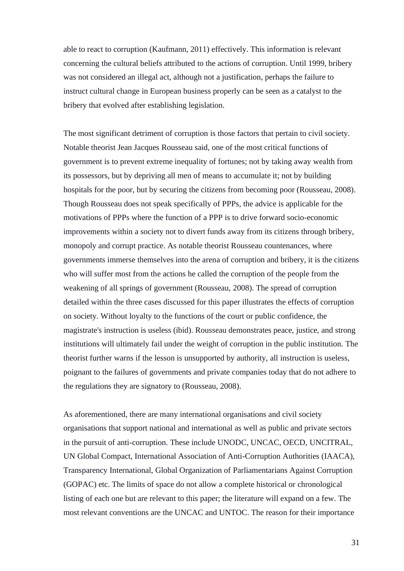able to react to corruption (Kaufmann, 2011) effectively. This information is relevant concerning the cultural beliefs attributed to the actions of corruption. Until 1999, bribery was not considered an illegal act, although not a justification, perhaps the failure to instruct cultural change in European business properly can be seen as a catalyst to the bribery that evolved after establishing legislation.

The most significant detriment of corruption is those factors that pertain to civil society. Notable theorist Jean Jacques Rousseau said, one of the most critical functions of government is to prevent extreme inequality of fortunes; not by taking away wealth from its possessors, but by depriving all men of means to accumulate it; not by building hospitals for the poor, but by securing the citizens from becoming poor (Rousseau, 2008). Though Rousseau does not speak specifically of PPPs, the advice is applicable for the motivations of PPPs where the function of a PPP is to drive forward socio-economic improvements within a society not to divert funds away from its citizens through bribery, monopoly and corrupt practice. As notable theorist Rousseau countenances, where governments immerse themselves into the arena of corruption and bribery, it is the citizens who will suffer most from the actions he called the corruption of the people from the weakening of all springs of government (Rousseau, 2008). The spread of corruption detailed within the three cases discussed for this paper illustrates the effects of corruption on society. Without loyalty to the functions of the court or public confidence, the magistrate's instruction is useless (ibid). Rousseau demonstrates peace, justice, and strong institutions will ultimately fail under the weight of corruption in the public institution. The theorist further warns if the lesson is unsupported by authority, all instruction is useless, poignant to the failures of governments and private companies today that do not adhere to the regulations they are signatory to (Rousseau, 2008).

As aforementioned, there are many international organisations and civil society organisations that support national and international as well as public and private sectors in the pursuit of anti-corruption. These include UNODC, UNCAC, OECD, UNCITRAL, UN Global Compact, International Association of Anti-Corruption Authorities (IAACA), Transparency International, Global Organization of Parliamentarians Against Corruption (GOPAC) etc. The limits of space do not allow a complete historical or chronological listing of each one but are relevant to this paper; the literature will expand on a few. The most relevant conventions are the UNCAC and UNTOC. The reason for their importance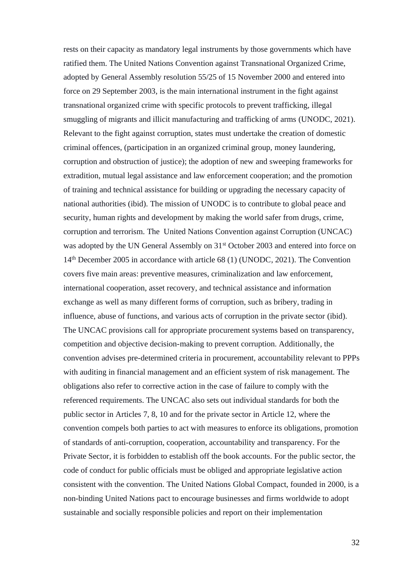rests on their capacity as mandatory legal instruments by those governments which have ratified them. The United Nations Convention against Transnational Organized Crime, adopted by General Assembly resolution 55/25 of 15 November 2000 and entered into force on 29 September 2003, is the main international instrument in the fight against transnational organized crime with specific protocols to prevent trafficking, illegal smuggling of migrants and illicit manufacturing and trafficking of arms (UNODC, 2021). Relevant to the fight against corruption, states must undertake the creation of domestic criminal offences, (participation in an organized criminal group, money laundering, corruption and obstruction of justice); the adoption of new and sweeping frameworks for extradition, mutual legal assistance and law enforcement cooperation; and the promotion of training and technical assistance for building or upgrading the necessary capacity of national authorities (ibid). The mission of UNODC is to contribute to global peace and security, human rights and development by making the world safer from drugs, crime, corruption and terrorism. The United Nations Convention against Corruption (UNCAC) was adopted by the UN General Assembly on  $31<sup>st</sup>$  October 2003 and entered into force on 14<sup>th</sup> December 2005 in accordance with article 68 (1) (UNODC, 2021). The Convention covers five main areas: preventive measures, criminalization and law enforcement, international cooperation, asset recovery, and technical assistance and information exchange as well as many different forms of corruption, such as bribery, trading in influence, abuse of functions, and various acts of corruption in the private sector (ibid). The UNCAC provisions call for appropriate procurement systems based on transparency, competition and objective decision-making to prevent corruption. Additionally, the convention advises pre-determined criteria in procurement, accountability relevant to PPPs with auditing in financial management and an efficient system of risk management. The obligations also refer to corrective action in the case of failure to comply with the referenced requirements. The UNCAC also sets out individual standards for both the public sector in Articles 7, 8, 10 and for the private sector in Article 12, where the convention compels both parties to act with measures to enforce its obligations, promotion of standards of anti-corruption, cooperation, accountability and transparency. For the Private Sector, it is forbidden to establish off the book accounts. For the public sector, the code of conduct for public officials must be obliged and appropriate legislative action consistent with the convention. The United Nations Global Compact, founded in 2000, is a non-binding United Nations pact to encourage businesses and firms worldwide to adopt sustainable and socially responsible policies and report on their implementation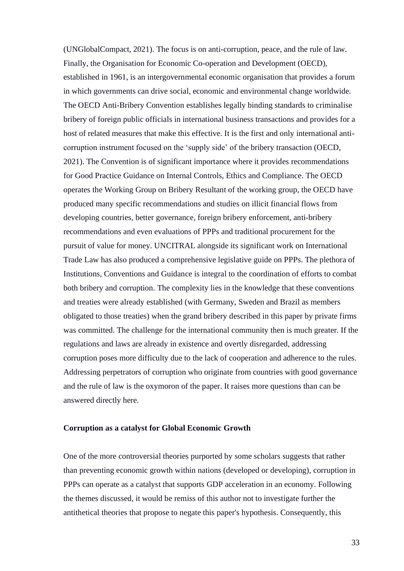(UNGlobalCompact, 2021). The focus is on anti-corruption, peace, and the rule of law. Finally, the Organisation for Economic Co-operation and Development (OECD), established in 1961, is an intergovernmental economic organisation that provides a forum in which governments can drive social, economic and environmental change worldwide. The OECD Anti-Bribery Convention establishes legally binding standards to criminalise bribery of foreign public officials in international business transactions and provides for a host of related measures that make this effective. It is the first and only international anticorruption instrument focused on the 'supply side' of the bribery transaction (OECD, 2021). The Convention is of significant importance where it provides recommendations for Good Practice Guidance on Internal Controls, Ethics and Compliance. The OECD operates the Working Group on Bribery Resultant of the working group, the OECD have produced many specific recommendations and studies on illicit financial flows from developing countries, better governance, foreign bribery enforcement, anti-bribery recommendations and even evaluations of PPPs and traditional procurement for the pursuit of value for money. UNCITRAL alongside its significant work on International Trade Law has also produced a comprehensive legislative guide on PPPs. The plethora of Institutions, Conventions and Guidance is integral to the coordination of efforts to combat both bribery and corruption. The complexity lies in the knowledge that these conventions and treaties were already established (with Germany, Sweden and Brazil as members obligated to those treaties) when the grand bribery described in this paper by private firms was committed. The challenge for the international community then is much greater. If the regulations and laws are already in existence and overtly disregarded, addressing corruption poses more difficulty due to the lack of cooperation and adherence to the rules. Addressing perpetrators of corruption who originate from countries with good governance and the rule of law is the oxymoron of the paper. It raises more questions than can be answered directly here.

### **Corruption as a catalyst for Global Economic Growth**

One of the more controversial theories purported by some scholars suggests that rather than preventing economic growth within nations (developed or developing), corruption in PPPs can operate as a catalyst that supports GDP acceleration in an economy. Following the themes discussed, it would be remiss of this author not to investigate further the antithetical theories that propose to negate this paper's hypothesis. Consequently, this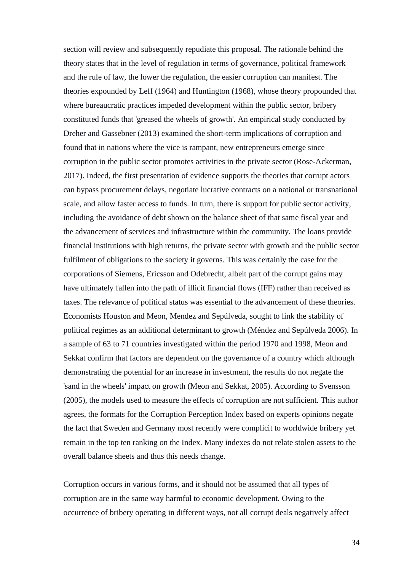section will review and subsequently repudiate this proposal. The rationale behind the theory states that in the level of regulation in terms of governance, political framework and the rule of law, the lower the regulation, the easier corruption can manifest. The theories expounded by Leff (1964) and Huntington (1968), whose theory propounded that where bureaucratic practices impeded development within the public sector, bribery constituted funds that 'greased the wheels of growth'. An empirical study conducted by Dreher and Gassebner (2013) examined the short-term implications of corruption and found that in nations where the vice is rampant, new entrepreneurs emerge since corruption in the public sector promotes activities in the private sector (Rose-Ackerman, 2017). Indeed, the first presentation of evidence supports the theories that corrupt actors can bypass procurement delays, negotiate lucrative contracts on a national or transnational scale, and allow faster access to funds. In turn, there is support for public sector activity, including the avoidance of debt shown on the balance sheet of that same fiscal year and the advancement of services and infrastructure within the community. The loans provide financial institutions with high returns, the private sector with growth and the public sector fulfilment of obligations to the society it governs. This was certainly the case for the corporations of Siemens, Ericsson and Odebrecht, albeit part of the corrupt gains may have ultimately fallen into the path of illicit financial flows (IFF) rather than received as taxes. The relevance of political status was essential to the advancement of these theories. Economists Houston and Meon, Mendez and Sepúlveda, sought to link the stability of political regimes as an additional determinant to growth (Méndez and Sepúlveda 2006). In a sample of 63 to 71 countries investigated within the period 1970 and 1998, Meon and Sekkat confirm that factors are dependent on the governance of a country which although demonstrating the potential for an increase in investment, the results do not negate the 'sand in the wheels' impact on growth (Meon and Sekkat, 2005). According to Svensson (2005), the models used to measure the effects of corruption are not sufficient. This author agrees, the formats for the Corruption Perception Index based on experts opinions negate the fact that Sweden and Germany most recently were complicit to worldwide bribery yet remain in the top ten ranking on the Index. Many indexes do not relate stolen assets to the overall balance sheets and thus this needs change.

Corruption occurs in various forms, and it should not be assumed that all types of corruption are in the same way harmful to economic development. Owing to the occurrence of bribery operating in different ways, not all corrupt deals negatively affect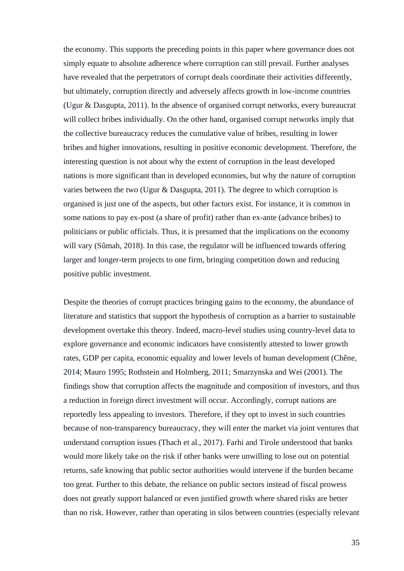the economy. This supports the preceding points in this paper where governance does not simply equate to absolute adherence where corruption can still prevail. Further analyses have revealed that the perpetrators of corrupt deals coordinate their activities differently, but ultimately, corruption directly and adversely affects growth in low-income countries (Ugur & Dasgupta, 2011). In the absence of organised corrupt networks, every bureaucrat will collect bribes individually. On the other hand, organised corrupt networks imply that the collective bureaucracy reduces the cumulative value of bribes, resulting in lower bribes and higher innovations, resulting in positive economic development. Therefore, the interesting question is not about why the extent of corruption in the least developed nations is more significant than in developed economies, but why the nature of corruption varies between the two (Ugur & Dasgupta, 2011). The degree to which corruption is organised is just one of the aspects, but other factors exist. For instance, it is common in some nations to pay ex-post (a share of profit) rather than ex-ante (advance bribes) to politicians or public officials. Thus, it is presumed that the implications on the economy will vary (Sûmah, 2018). In this case, the regulator will be influenced towards offering larger and longer-term projects to one firm, bringing competition down and reducing positive public investment.

Despite the theories of corrupt practices bringing gains to the economy, the abundance of literature and statistics that support the hypothesis of corruption as a barrier to sustainable development overtake this theory. Indeed, macro-level studies using country-level data to explore governance and economic indicators have consistently attested to lower growth rates, GDP per capita, economic equality and lower levels of human development (Chêne, 2014; Mauro 1995; Rothstein and Holmberg, 2011; Smarzynska and Wei (2001). The findings show that corruption affects the magnitude and composition of investors, and thus a reduction in foreign direct investment will occur. Accordingly, corrupt nations are reportedly less appealing to investors. Therefore, if they opt to invest in such countries because of non-transparency bureaucracy, they will enter the market via joint ventures that understand corruption issues (Thach et al., 2017). Farhi and Tirole understood that banks would more likely take on the risk if other banks were unwilling to lose out on potential returns, safe knowing that public sector authorities would intervene if the burden became too great. Further to this debate, the reliance on public sectors instead of fiscal prowess does not greatly support balanced or even justified growth where shared risks are better than no risk. However, rather than operating in silos between countries (especially relevant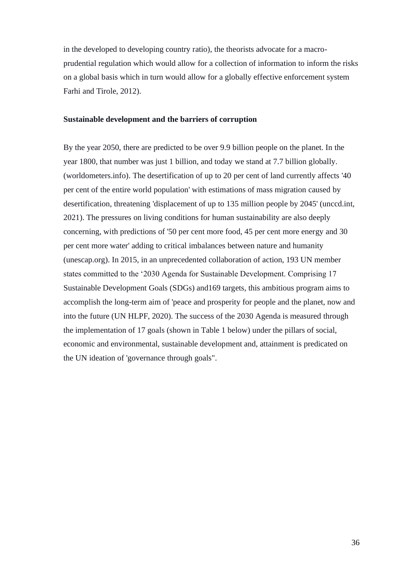in the developed to developing country ratio), the theorists advocate for a macroprudential regulation which would allow for a collection of information to inform the risks on a global basis which in turn would allow for a globally effective enforcement system Farhi and Tirole, 2012).

### **Sustainable development and the barriers of corruption**

By the year 2050, there are predicted to be over 9.9 billion people on the planet. In the year 1800, that number was just 1 billion, and today we stand at 7.7 billion globally. (worldometers.info). The desertification of up to 20 per cent of land currently affects '40 per cent of the entire world population' with estimations of mass migration caused by desertification, threatening 'displacement of up to 135 million people by 2045' (unccd.int, 2021). The pressures on living conditions for human sustainability are also deeply concerning, with predictions of '50 per cent more food, 45 per cent more energy and 30 per cent more water' adding to critical imbalances between nature and humanity (unescap.org). In 2015, in an unprecedented collaboration of action, 193 UN member states committed to the '2030 Agenda for Sustainable Development. Comprising 17 Sustainable Development Goals (SDGs) and169 targets, this ambitious program aims to accomplish the long-term aim of 'peace and prosperity for people and the planet, now and into the future (UN HLPF, 2020). The success of the 2030 Agenda is measured through the implementation of 17 goals (shown in Table 1 below) under the pillars of social, economic and environmental, sustainable development and, attainment is predicated on the UN ideation of 'governance through goals".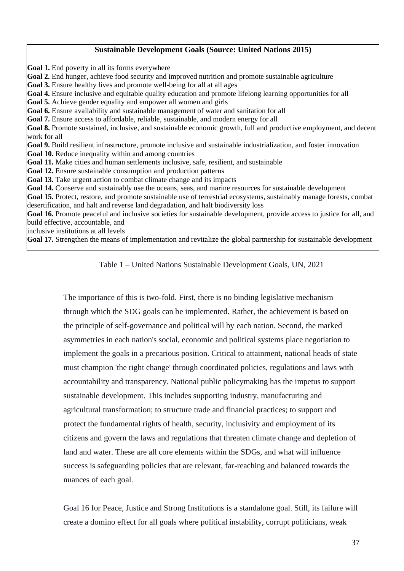# **Sustainable Development Goals (Source: United Nations 2015)**

**Goal 1.** End poverty in all its forms everywhere **Goal 2.** End hunger, achieve food security and improved nutrition and promote sustainable agriculture Goal 3. Ensure healthy lives and promote well-being for all at all ages **Goal 4.** Ensure inclusive and equitable quality education and promote lifelong learning opportunities for all **Goal 5.** Achieve gender equality and empower all women and girls **Goal 6.** Ensure availability and sustainable management of water and sanitation for all **Goal 7.** Ensure access to affordable, reliable, sustainable, and modern energy for all **Goal 8.** Promote sustained, inclusive, and sustainable economic growth, full and productive employment, and decent work for all **Goal 9.** Build resilient infrastructure, promote inclusive and sustainable industrialization, and foster innovation **Goal 10.** Reduce inequality within and among countries **Goal 11.** Make cities and human settlements inclusive, safe, resilient, and sustainable **Goal 12.** Ensure sustainable consumption and production patterns **Goal 13.** Take urgent action to combat climate change and its impacts Goal 14. Conserve and sustainably use the oceans, seas, and marine resources for sustainable development Goal 15. Protect, restore, and promote sustainable use of terrestrial ecosystems, sustainably manage forests, combat desertification, and halt and reverse land degradation, and halt biodiversity loss **Goal 16.** Promote peaceful and inclusive societies for sustainable development, provide access to justice for all, and build effective, accountable, and inclusive institutions at all levels **Goal 17.** Strengthen the means of implementation and revitalize the global partnership for sustainable development

Table 1 – United Nations Sustainable Development Goals, UN, 2021

The importance of this is two-fold. First, there is no binding legislative mechanism through which the SDG goals can be implemented. Rather, the achievement is based on the principle of self-governance and political will by each nation. Second, the marked asymmetries in each nation's social, economic and political systems place negotiation to implement the goals in a precarious position. Critical to attainment, national heads of state must champion 'the right change' through coordinated policies, regulations and laws with accountability and transparency. National public policymaking has the impetus to support sustainable development. This includes supporting industry, manufacturing and agricultural transformation; to structure trade and financial practices; to support and protect the fundamental rights of health, security, inclusivity and employment of its citizens and govern the laws and regulations that threaten climate change and depletion of land and water. These are all core elements within the SDGs, and what will influence success is safeguarding policies that are relevant, far-reaching and balanced towards the nuances of each goal.

Goal 16 for Peace, Justice and Strong Institutions is a standalone goal. Still, its failure will create a domino effect for all goals where political instability, corrupt politicians, weak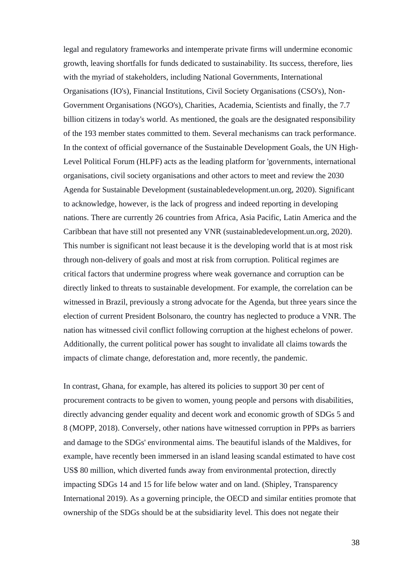legal and regulatory frameworks and intemperate private firms will undermine economic growth, leaving shortfalls for funds dedicated to sustainability. Its success, therefore, lies with the myriad of stakeholders, including National Governments, International Organisations (IO's), Financial Institutions, Civil Society Organisations (CSO's), Non-Government Organisations (NGO's), Charities, Academia, Scientists and finally, the 7.7 billion citizens in today's world. As mentioned, the goals are the designated responsibility of the 193 member states committed to them. Several mechanisms can track performance. In the context of official governance of the Sustainable Development Goals, the UN High-Level Political Forum (HLPF) acts as the leading platform for 'governments, international organisations, civil society organisations and other actors to meet and review the 2030 Agenda for Sustainable Development (sustainabledevelopment.un.org, 2020). Significant to acknowledge, however, is the lack of progress and indeed reporting in developing nations. There are currently 26 countries from Africa, Asia Pacific, Latin America and the Caribbean that have still not presented any VNR (sustainabledevelopment.un.org, 2020). This number is significant not least because it is the developing world that is at most risk through non-delivery of goals and most at risk from corruption. Political regimes are critical factors that undermine progress where weak governance and corruption can be directly linked to threats to sustainable development. For example, the correlation can be witnessed in Brazil, previously a strong advocate for the Agenda, but three years since the election of current President Bolsonaro, the country has neglected to produce a VNR. The nation has witnessed civil conflict following corruption at the highest echelons of power. Additionally, the current political power has sought to invalidate all claims towards the impacts of climate change, deforestation and, more recently, the pandemic.

In contrast, Ghana, for example, has altered its policies to support 30 per cent of procurement contracts to be given to women, young people and persons with disabilities, directly advancing gender equality and decent work and economic growth of SDGs 5 and 8 (MOPP, 2018). Conversely, other nations have witnessed corruption in PPPs as barriers and damage to the SDGs' environmental aims. The beautiful islands of the Maldives, for example, have recently been immersed in an island leasing scandal estimated to have cost US\$ 80 million, which diverted funds away from environmental protection, directly impacting SDGs 14 and 15 for life below water and on land. (Shipley, Transparency International 2019). As a governing principle, the OECD and similar entities promote that ownership of the SDGs should be at the subsidiarity level. This does not negate their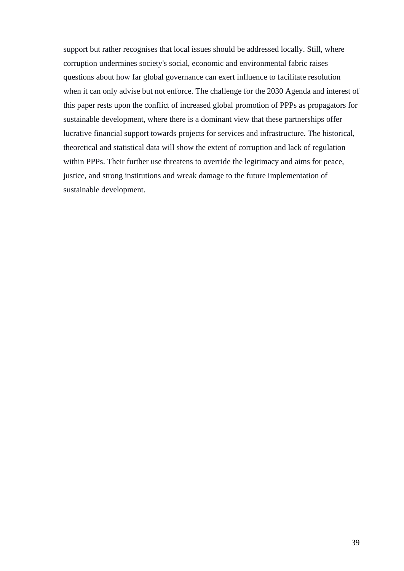support but rather recognises that local issues should be addressed locally. Still, where corruption undermines society's social, economic and environmental fabric raises questions about how far global governance can exert influence to facilitate resolution when it can only advise but not enforce. The challenge for the 2030 Agenda and interest of this paper rests upon the conflict of increased global promotion of PPPs as propagators for sustainable development, where there is a dominant view that these partnerships offer lucrative financial support towards projects for services and infrastructure. The historical, theoretical and statistical data will show the extent of corruption and lack of regulation within PPPs. Their further use threatens to override the legitimacy and aims for peace, justice, and strong institutions and wreak damage to the future implementation of sustainable development.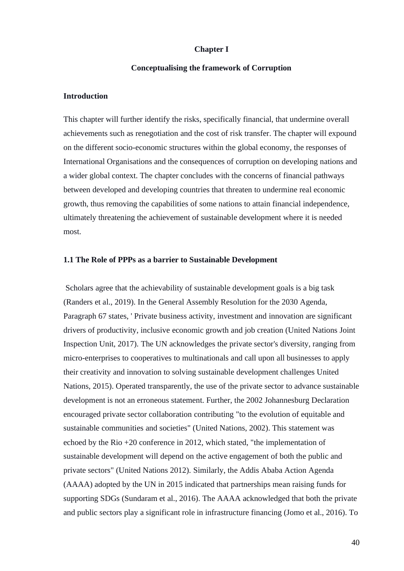## **Chapter I**

## **Conceptualising the framework of Corruption**

# **Introduction**

This chapter will further identify the risks, specifically financial, that undermine overall achievements such as renegotiation and the cost of risk transfer. The chapter will expound on the different socio-economic structures within the global economy, the responses of International Organisations and the consequences of corruption on developing nations and a wider global context. The chapter concludes with the concerns of financial pathways between developed and developing countries that threaten to undermine real economic growth, thus removing the capabilities of some nations to attain financial independence, ultimately threatening the achievement of sustainable development where it is needed most.

## **1.1 The Role of PPPs as a barrier to Sustainable Development**

Scholars agree that the achievability of sustainable development goals is a big task (Randers et al., 2019). In the General Assembly Resolution for the 2030 Agenda, Paragraph 67 states, ' Private business activity, investment and innovation are significant drivers of productivity, inclusive economic growth and job creation (United Nations Joint Inspection Unit, 2017). The UN acknowledges the private sector's diversity, ranging from micro-enterprises to cooperatives to multinationals and call upon all businesses to apply their creativity and innovation to solving sustainable development challenges United Nations, 2015). Operated transparently, the use of the private sector to advance sustainable development is not an erroneous statement. Further, the 2002 Johannesburg Declaration encouraged private sector collaboration contributing "to the evolution of equitable and sustainable communities and societies" (United Nations, 2002). This statement was echoed by the Rio +20 conference in 2012, which stated, "the implementation of sustainable development will depend on the active engagement of both the public and private sectors" (United Nations 2012). Similarly, the Addis Ababa Action Agenda (AAAA) adopted by the UN in 2015 indicated that partnerships mean raising funds for supporting SDGs (Sundaram et al., 2016). The AAAA acknowledged that both the private and public sectors play a significant role in infrastructure financing (Jomo et al., 2016). To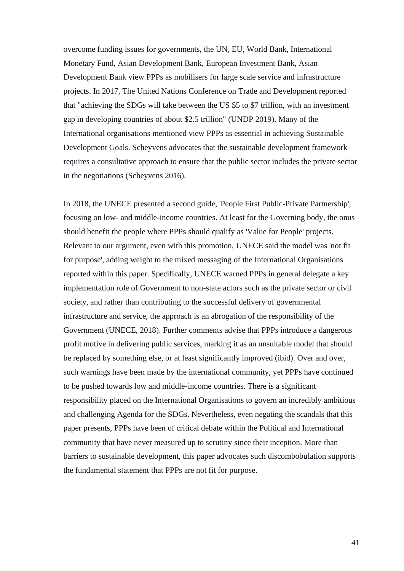overcome funding issues for governments, the UN, EU, World Bank, International Monetary Fund, Asian Development Bank, European Investment Bank, Asian Development Bank view PPPs as mobilisers for large scale service and infrastructure projects. In 2017, The United Nations Conference on Trade and Development reported that "achieving the SDGs will take between the US \$5 to \$7 trillion, with an investment gap in developing countries of about \$2.5 trillion" (UNDP 2019). Many of the International organisations mentioned view PPPs as essential in achieving Sustainable Development Goals. Scheyvens advocates that the sustainable development framework requires a consultative approach to ensure that the public sector includes the private sector in the negotiations (Scheyvens 2016).

In 2018, the UNECE presented a second guide, 'People First Public-Private Partnership', focusing on low- and middle-income countries. At least for the Governing body, the onus should benefit the people where PPPs should qualify as 'Value for People' projects. Relevant to our argument, even with this promotion, UNECE said the model was 'not fit for purpose', adding weight to the mixed messaging of the International Organisations reported within this paper. Specifically, UNECE warned PPPs in general delegate a key implementation role of Government to non-state actors such as the private sector or civil society, and rather than contributing to the successful delivery of governmental infrastructure and service, the approach is an abrogation of the responsibility of the Government (UNECE, 2018). Further comments advise that PPPs introduce a dangerous profit motive in delivering public services, marking it as an unsuitable model that should be replaced by something else, or at least significantly improved (ibid). Over and over, such warnings have been made by the international community, yet PPPs have continued to be pushed towards low and middle-income countries. There is a significant responsibility placed on the International Organisations to govern an incredibly ambitious and challenging Agenda for the SDGs. Nevertheless, even negating the scandals that this paper presents, PPPs have been of critical debate within the Political and International community that have never measured up to scrutiny since their inception. More than barriers to sustainable development, this paper advocates such discombobulation supports the fundamental statement that PPPs are not fit for purpose.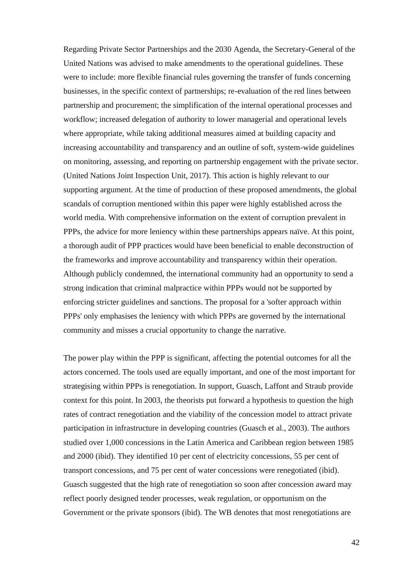Regarding Private Sector Partnerships and the 2030 Agenda, the Secretary-General of the United Nations was advised to make amendments to the operational guidelines. These were to include: more flexible financial rules governing the transfer of funds concerning businesses, in the specific context of partnerships; re-evaluation of the red lines between partnership and procurement; the simplification of the internal operational processes and workflow; increased delegation of authority to lower managerial and operational levels where appropriate, while taking additional measures aimed at building capacity and increasing accountability and transparency and an outline of soft, system-wide guidelines on monitoring, assessing, and reporting on partnership engagement with the private sector. (United Nations Joint Inspection Unit, 2017). This action is highly relevant to our supporting argument. At the time of production of these proposed amendments, the global scandals of corruption mentioned within this paper were highly established across the world media. With comprehensive information on the extent of corruption prevalent in PPPs, the advice for more leniency within these partnerships appears naïve. At this point, a thorough audit of PPP practices would have been beneficial to enable deconstruction of the frameworks and improve accountability and transparency within their operation. Although publicly condemned, the international community had an opportunity to send a strong indication that criminal malpractice within PPPs would not be supported by enforcing stricter guidelines and sanctions. The proposal for a 'softer approach within PPPs' only emphasises the leniency with which PPPs are governed by the international community and misses a crucial opportunity to change the narrative.

The power play within the PPP is significant, affecting the potential outcomes for all the actors concerned. The tools used are equally important, and one of the most important for strategising within PPPs is renegotiation. In support, Guasch, Laffont and Straub provide context for this point. In 2003, the theorists put forward a hypothesis to question the high rates of contract renegotiation and the viability of the concession model to attract private participation in infrastructure in developing countries (Guasch et al., 2003). The authors studied over 1,000 concessions in the Latin America and Caribbean region between 1985 and 2000 (ibid). They identified 10 per cent of electricity concessions, 55 per cent of transport concessions, and 75 per cent of water concessions were renegotiated (ibid). Guasch suggested that the high rate of renegotiation so soon after concession award may reflect poorly designed tender processes, weak regulation, or opportunism on the Government or the private sponsors (ibid). The WB denotes that most renegotiations are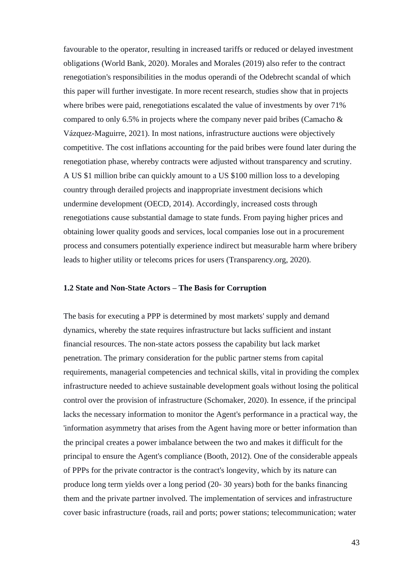favourable to the operator, resulting in increased tariffs or reduced or delayed investment obligations (World Bank, 2020). Morales and Morales (2019) also refer to the contract renegotiation's responsibilities in the modus operandi of the Odebrecht scandal of which this paper will further investigate. In more recent research, studies show that in projects where bribes were paid, renegotiations escalated the value of investments by over 71% compared to only 6.5% in projects where the company never paid bribes (Camacho  $\&$ Vázquez-Maguirre, 2021). In most nations, infrastructure auctions were objectively competitive. The cost inflations accounting for the paid bribes were found later during the renegotiation phase, whereby contracts were adjusted without transparency and scrutiny. A US \$1 million bribe can quickly amount to a US \$100 million loss to a developing country through derailed projects and inappropriate investment decisions which undermine development (OECD, 2014). Accordingly, increased costs through renegotiations cause substantial damage to state funds. From paying higher prices and obtaining lower quality goods and services, local companies lose out in a procurement process and consumers potentially experience indirect but measurable harm where bribery leads to higher utility or telecoms prices for users (Transparency.org, 2020).

## **1.2 State and Non-State Actors – The Basis for Corruption**

The basis for executing a PPP is determined by most markets' supply and demand dynamics, whereby the state requires infrastructure but lacks sufficient and instant financial resources. The non-state actors possess the capability but lack market penetration. The primary consideration for the public partner stems from capital requirements, managerial competencies and technical skills, vital in providing the complex infrastructure needed to achieve sustainable development goals without losing the political control over the provision of infrastructure (Schomaker, 2020). In essence, if the principal lacks the necessary information to monitor the Agent's performance in a practical way, the 'information asymmetry that arises from the Agent having more or better information than the principal creates a power imbalance between the two and makes it difficult for the principal to ensure the Agent's compliance (Booth, 2012). One of the considerable appeals of PPPs for the private contractor is the contract's longevity, which by its nature can produce long term yields over a long period (20- 30 years) both for the banks financing them and the private partner involved. The implementation of services and infrastructure cover basic infrastructure (roads, rail and ports; power stations; telecommunication; water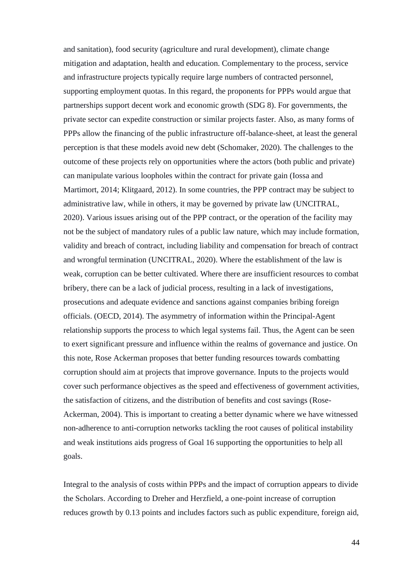and sanitation), food security (agriculture and rural development), climate change mitigation and adaptation, health and education. Complementary to the process, service and infrastructure projects typically require large numbers of contracted personnel, supporting employment quotas. In this regard, the proponents for PPPs would argue that partnerships support decent work and economic growth (SDG 8). For governments, the private sector can expedite construction or similar projects faster. Also, as many forms of PPPs allow the financing of the public infrastructure off-balance-sheet, at least the general perception is that these models avoid new debt (Schomaker, 2020). The challenges to the outcome of these projects rely on opportunities where the actors (both public and private) can manipulate various loopholes within the contract for private gain (Iossa and Martimort, 2014; Klitgaard, 2012). In some countries, the PPP contract may be subject to administrative law, while in others, it may be governed by private law (UNCITRAL, 2020). Various issues arising out of the PPP contract, or the operation of the facility may not be the subject of mandatory rules of a public law nature, which may include formation, validity and breach of contract, including liability and compensation for breach of contract and wrongful termination (UNCITRAL, 2020). Where the establishment of the law is weak, corruption can be better cultivated. Where there are insufficient resources to combat bribery, there can be a lack of judicial process, resulting in a lack of investigations, prosecutions and adequate evidence and sanctions against companies bribing foreign officials. (OECD, 2014). The asymmetry of information within the Principal-Agent relationship supports the process to which legal systems fail. Thus, the Agent can be seen to exert significant pressure and influence within the realms of governance and justice. On this note, Rose Ackerman proposes that better funding resources towards combatting corruption should aim at projects that improve governance. Inputs to the projects would cover such performance objectives as the speed and effectiveness of government activities, the satisfaction of citizens, and the distribution of benefits and cost savings (Rose-Ackerman, 2004). This is important to creating a better dynamic where we have witnessed non-adherence to anti-corruption networks tackling the root causes of political instability and weak institutions aids progress of Goal 16 supporting the opportunities to help all goals.

Integral to the analysis of costs within PPPs and the impact of corruption appears to divide the Scholars. According to Dreher and Herzfield, a one-point increase of corruption reduces growth by 0.13 points and includes factors such as public expenditure, foreign aid,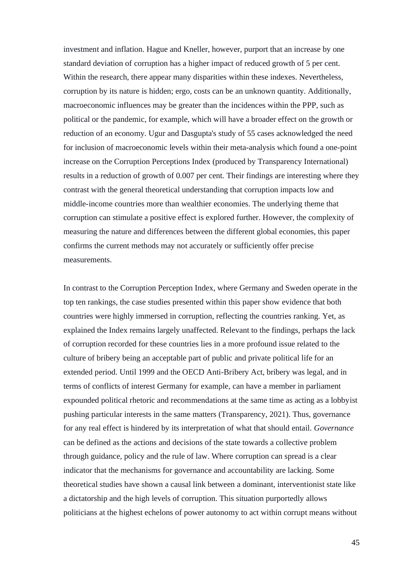investment and inflation. Hague and Kneller, however, purport that an increase by one standard deviation of corruption has a higher impact of reduced growth of 5 per cent. Within the research, there appear many disparities within these indexes. Nevertheless, corruption by its nature is hidden; ergo, costs can be an unknown quantity. Additionally, macroeconomic influences may be greater than the incidences within the PPP, such as political or the pandemic, for example, which will have a broader effect on the growth or reduction of an economy. Ugur and Dasgupta's study of 55 cases acknowledged the need for inclusion of macroeconomic levels within their meta-analysis which found a one-point increase on the Corruption Perceptions Index (produced by Transparency International) results in a reduction of growth of 0.007 per cent. Their findings are interesting where they contrast with the general theoretical understanding that corruption impacts low and middle-income countries more than wealthier economies. The underlying theme that corruption can stimulate a positive effect is explored further. However, the complexity of measuring the nature and differences between the different global economies, this paper confirms the current methods may not accurately or sufficiently offer precise measurements.

In contrast to the Corruption Perception Index, where Germany and Sweden operate in the top ten rankings, the case studies presented within this paper show evidence that both countries were highly immersed in corruption, reflecting the countries ranking. Yet, as explained the Index remains largely unaffected. Relevant to the findings, perhaps the lack of corruption recorded for these countries lies in a more profound issue related to the culture of bribery being an acceptable part of public and private political life for an extended period. Until 1999 and the OECD Anti-Bribery Act, bribery was legal, and in terms of conflicts of interest Germany for example, can have a member in parliament expounded political rhetoric and recommendations at the same time as acting as a lobbyist pushing particular interests in the same matters (Transparency, 2021). Thus, governance for any real effect is hindered by its interpretation of what that should entail. *Governance*  can be defined as the actions and decisions of the state towards a collective problem through guidance, policy and the rule of law. Where corruption can spread is a clear indicator that the mechanisms for governance and accountability are lacking. Some theoretical studies have shown a causal link between a dominant, interventionist state like a dictatorship and the high levels of corruption. This situation purportedly allows politicians at the highest echelons of power autonomy to act within corrupt means without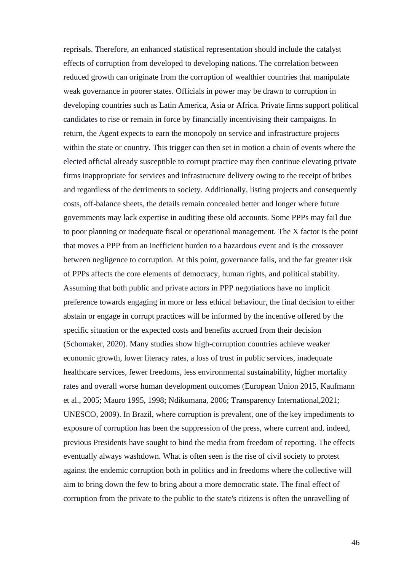reprisals. Therefore, an enhanced statistical representation should include the catalyst effects of corruption from developed to developing nations. The correlation between reduced growth can originate from the corruption of wealthier countries that manipulate weak governance in poorer states. Officials in power may be drawn to corruption in developing countries such as Latin America, Asia or Africa. Private firms support political candidates to rise or remain in force by financially incentivising their campaigns. In return, the Agent expects to earn the monopoly on service and infrastructure projects within the state or country. This trigger can then set in motion a chain of events where the elected official already susceptible to corrupt practice may then continue elevating private firms inappropriate for services and infrastructure delivery owing to the receipt of bribes and regardless of the detriments to society. Additionally, listing projects and consequently costs, off-balance sheets, the details remain concealed better and longer where future governments may lack expertise in auditing these old accounts. Some PPPs may fail due to poor planning or inadequate fiscal or operational management. The X factor is the point that moves a PPP from an inefficient burden to a hazardous event and is the crossover between negligence to corruption. At this point, governance fails, and the far greater risk of PPPs affects the core elements of democracy, human rights, and political stability. Assuming that both public and private actors in PPP negotiations have no implicit preference towards engaging in more or less ethical behaviour, the final decision to either abstain or engage in corrupt practices will be informed by the incentive offered by the specific situation or the expected costs and benefits accrued from their decision (Schomaker, 2020). Many studies show high-corruption countries achieve weaker economic growth, lower literacy rates, a loss of trust in public services, inadequate healthcare services, fewer freedoms, less environmental sustainability, higher mortality rates and overall worse human development outcomes (European Union 2015, Kaufmann et al., 2005; Mauro 1995, 1998; Ndikumana, 2006; Transparency International,2021; UNESCO, 2009). In Brazil, where corruption is prevalent, one of the key impediments to exposure of corruption has been the suppression of the press, where current and, indeed, previous Presidents have sought to bind the media from freedom of reporting. The effects eventually always washdown. What is often seen is the rise of civil society to protest against the endemic corruption both in politics and in freedoms where the collective will aim to bring down the few to bring about a more democratic state. The final effect of corruption from the private to the public to the state's citizens is often the unravelling of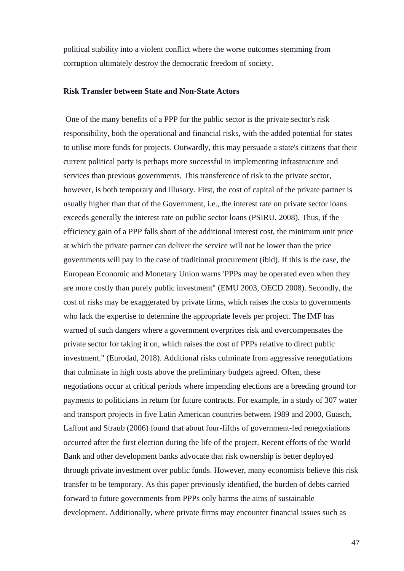political stability into a violent conflict where the worse outcomes stemming from corruption ultimately destroy the democratic freedom of society.

## **Risk Transfer between State and Non-State Actors**

One of the many benefits of a PPP for the public sector is the private sector's risk responsibility, both the operational and financial risks, with the added potential for states to utilise more funds for projects. Outwardly, this may persuade a state's citizens that their current political party is perhaps more successful in implementing infrastructure and services than previous governments. This transference of risk to the private sector, however, is both temporary and illusory. First, the cost of capital of the private partner is usually higher than that of the Government, i.e., the interest rate on private sector loans exceeds generally the interest rate on public sector loans (PSIRU, 2008). Thus, if the efficiency gain of a PPP falls short of the additional interest cost, the minimum unit price at which the private partner can deliver the service will not be lower than the price governments will pay in the case of traditional procurement (ibid). If this is the case, the European Economic and Monetary Union warns 'PPPs may be operated even when they are more costly than purely public investment" (EMU 2003, OECD 2008). Secondly, the cost of risks may be exaggerated by private firms, which raises the costs to governments who lack the expertise to determine the appropriate levels per project. The IMF has warned of such dangers where a government overprices risk and overcompensates the private sector for taking it on, which raises the cost of PPPs relative to direct public investment." (Eurodad, 2018). Additional risks culminate from aggressive renegotiations that culminate in high costs above the preliminary budgets agreed. Often, these negotiations occur at critical periods where impending elections are a breeding ground for payments to politicians in return for future contracts. For example, in a study of 307 water and transport projects in five Latin American countries between 1989 and 2000, Guasch, Laffont and Straub (2006) found that about four-fifths of government-led renegotiations occurred after the first election during the life of the project. Recent efforts of the World Bank and other development banks advocate that risk ownership is better deployed through private investment over public funds. However, many economists believe this risk transfer to be temporary. As this paper previously identified, the burden of debts carried forward to future governments from PPPs only harms the aims of sustainable development. Additionally, where private firms may encounter financial issues such as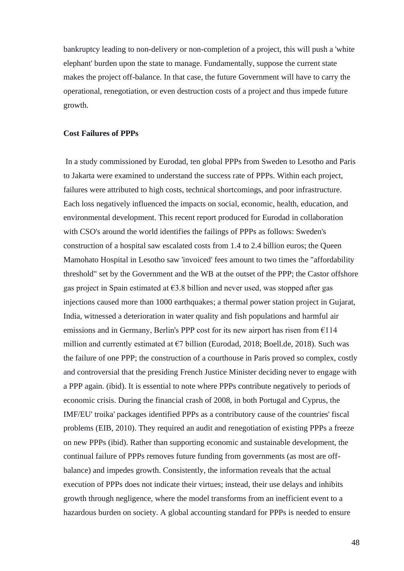bankruptcy leading to non-delivery or non-completion of a project, this will push a 'white elephant' burden upon the state to manage. Fundamentally, suppose the current state makes the project off-balance. In that case, the future Government will have to carry the operational, renegotiation, or even destruction costs of a project and thus impede future growth.

#### **Cost Failures of PPPs**

In a study commissioned by Eurodad, ten global PPPs from Sweden to Lesotho and Paris to Jakarta were examined to understand the success rate of PPPs. Within each project, failures were attributed to high costs, technical shortcomings, and poor infrastructure. Each loss negatively influenced the impacts on social, economic, health, education, and environmental development. This recent report produced for Eurodad in collaboration with CSO's around the world identifies the failings of PPPs as follows: Sweden's construction of a hospital saw escalated costs from 1.4 to 2.4 billion euros; the Queen Mamohato Hospital in Lesotho saw 'invoiced' fees amount to two times the "affordability threshold" set by the Government and the WB at the outset of the PPP; the Castor offshore gas project in Spain estimated at  $63.8$  billion and never used, was stopped after gas injections caused more than 1000 earthquakes; a thermal power station project in Gujarat, India, witnessed a deterioration in water quality and fish populations and harmful air emissions and in Germany, Berlin's PPP cost for its new airport has risen from €114 million and currently estimated at  $E7$  billion (Eurodad, 2018; Boell.de, 2018). Such was the failure of one PPP; the construction of a courthouse in Paris proved so complex, costly and controversial that the presiding French Justice Minister deciding never to engage with a PPP again. (ibid). It is essential to note where PPPs contribute negatively to periods of economic crisis. During the financial crash of 2008, in both Portugal and Cyprus, the IMF/EU' troika' packages identified PPPs as a contributory cause of the countries' fiscal problems (EIB, 2010). They required an audit and renegotiation of existing PPPs a freeze on new PPPs (ibid). Rather than supporting economic and sustainable development, the continual failure of PPPs removes future funding from governments (as most are offbalance) and impedes growth. Consistently, the information reveals that the actual execution of PPPs does not indicate their virtues; instead, their use delays and inhibits growth through negligence, where the model transforms from an inefficient event to a hazardous burden on society. A global accounting standard for PPPs is needed to ensure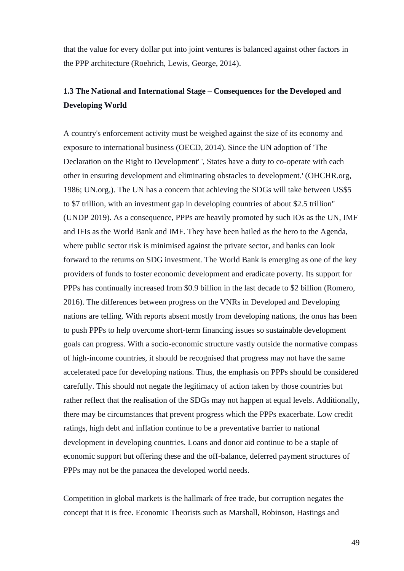that the value for every dollar put into joint ventures is balanced against other factors in the PPP architecture (Roehrich, Lewis, George, 2014).

# **1.3 The National and International Stage – Consequences for the Developed and Developing World**

A country's enforcement activity must be weighed against the size of its economy and exposure to international business (OECD, 2014). Since the UN adoption of 'The Declaration on the Right to Development' ', States have a duty to co-operate with each other in ensuring development and eliminating obstacles to development.' (OHCHR.org, 1986; UN.org,). The UN has a concern that achieving the SDGs will take between US\$5 to \$7 trillion, with an investment gap in developing countries of about \$2.5 trillion" (UNDP 2019). As a consequence, PPPs are heavily promoted by such IOs as the UN, IMF and IFIs as the World Bank and IMF. They have been hailed as the hero to the Agenda, where public sector risk is minimised against the private sector, and banks can look forward to the returns on SDG investment. The World Bank is emerging as one of the key providers of funds to foster economic development and eradicate poverty. Its support for PPPs has continually increased from \$0.9 billion in the last decade to \$2 billion (Romero, 2016). The differences between progress on the VNRs in Developed and Developing nations are telling. With reports absent mostly from developing nations, the onus has been to push PPPs to help overcome short-term financing issues so sustainable development goals can progress. With a socio-economic structure vastly outside the normative compass of high-income countries, it should be recognised that progress may not have the same accelerated pace for developing nations. Thus, the emphasis on PPPs should be considered carefully. This should not negate the legitimacy of action taken by those countries but rather reflect that the realisation of the SDGs may not happen at equal levels. Additionally, there may be circumstances that prevent progress which the PPPs exacerbate. Low credit ratings, high debt and inflation continue to be a preventative barrier to national development in developing countries. Loans and donor aid continue to be a staple of economic support but offering these and the off-balance, deferred payment structures of PPPs may not be the panacea the developed world needs.

Competition in global markets is the hallmark of free trade, but corruption negates the concept that it is free. Economic Theorists such as Marshall, Robinson, Hastings and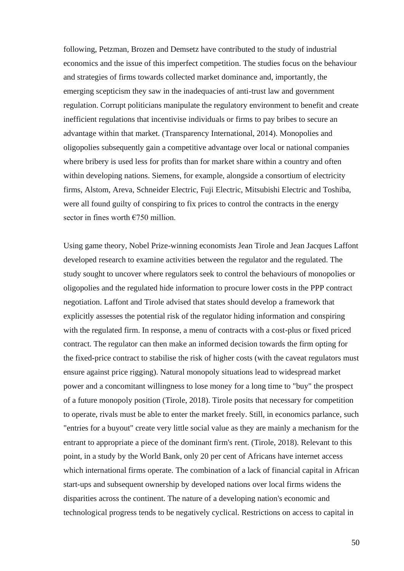following, Petzman, Brozen and Demsetz have contributed to the study of industrial economics and the issue of this imperfect competition. The studies focus on the behaviour and strategies of firms towards collected market dominance and, importantly, the emerging scepticism they saw in the inadequacies of anti-trust law and government regulation. Corrupt politicians manipulate the regulatory environment to benefit and create inefficient regulations that incentivise individuals or firms to pay bribes to secure an advantage within that market. (Transparency International, 2014). Monopolies and oligopolies subsequently gain a competitive advantage over local or national companies where bribery is used less for profits than for market share within a country and often within developing nations. Siemens, for example, alongside a consortium of electricity firms, Alstom, Areva, Schneider Electric, Fuji Electric, Mitsubishi Electric and Toshiba, were all found guilty of conspiring to fix prices to control the contracts in the energy sector in fines worth  $\epsilon$ 750 million.

Using game theory, Nobel Prize-winning economists Jean Tirole and Jean Jacques Laffont developed research to examine activities between the regulator and the regulated. The study sought to uncover where regulators seek to control the behaviours of monopolies or oligopolies and the regulated hide information to procure lower costs in the PPP contract negotiation. Laffont and Tirole advised that states should develop a framework that explicitly assesses the potential risk of the regulator hiding information and conspiring with the regulated firm. In response, a menu of contracts with a cost-plus or fixed priced contract. The regulator can then make an informed decision towards the firm opting for the fixed-price contract to stabilise the risk of higher costs (with the caveat regulators must ensure against price rigging). Natural monopoly situations lead to widespread market power and a concomitant willingness to lose money for a long time to "buy" the prospect of a future monopoly position (Tirole, 2018). Tirole posits that necessary for competition to operate, rivals must be able to enter the market freely. Still, in economics parlance, such "entries for a buyout" create very little social value as they are mainly a mechanism for the entrant to appropriate a piece of the dominant firm's rent. (Tirole, 2018). Relevant to this point, in a study by the World Bank, only 20 per cent of Africans have internet access which international firms operate. The combination of a lack of financial capital in African start-ups and subsequent ownership by developed nations over local firms widens the disparities across the continent. The nature of a developing nation's economic and technological progress tends to be negatively cyclical. Restrictions on access to capital in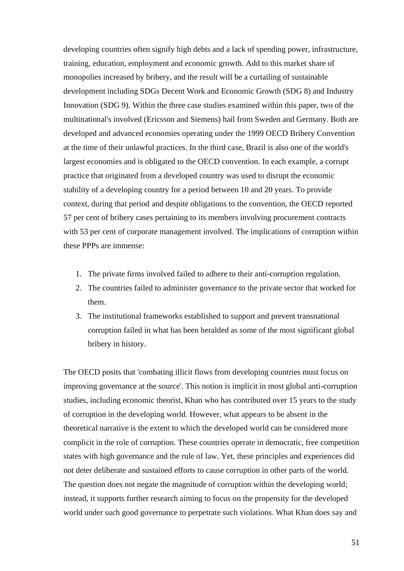developing countries often signify high debts and a lack of spending power, infrastructure, training, education, employment and economic growth. Add to this market share of monopolies increased by bribery, and the result will be a curtailing of sustainable development including SDGs Decent Work and Economic Growth (SDG 8) and Industry Innovation (SDG 9). Within the three case studies examined within this paper, two of the multinational's involved (Ericsson and Siemens) hail from Sweden and Germany. Both are developed and advanced economies operating under the 1999 OECD Bribery Convention at the time of their unlawful practices. In the third case, Brazil is also one of the world's largest economies and is obligated to the OECD convention. In each example, a corrupt practice that originated from a developed country was used to disrupt the economic stability of a developing country for a period between 10 and 20 years. To provide context, during that period and despite obligations to the convention, the OECD reported 57 per cent of bribery cases pertaining to its members involving procurement contracts with 53 per cent of corporate management involved. The implications of corruption within these PPPs are immense:

- 1. The private firms involved failed to adhere to their anti-corruption regulation.
- 2. The countries failed to administer governance to the private sector that worked for them.
- 3. The institutional frameworks established to support and prevent transnational corruption failed in what has been heralded as some of the most significant global bribery in history.

The OECD posits that 'combating illicit flows from developing countries must focus on improving governance at the source'. This notion is implicit in most global anti-corruption studies, including economic theorist, Khan who has contributed over 15 years to the study of corruption in the developing world. However, what appears to be absent in the theoretical narrative is the extent to which the developed world can be considered more complicit in the role of corruption. These countries operate in democratic, free competition states with high governance and the rule of law. Yet, these principles and experiences did not deter deliberate and sustained efforts to cause corruption in other parts of the world. The question does not negate the magnitude of corruption within the developing world; instead, it supports further research aiming to focus on the propensity for the developed world under such good governance to perpetrate such violations. What Khan does say and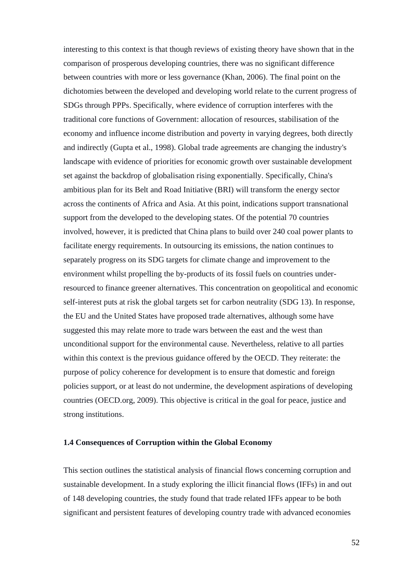interesting to this context is that though reviews of existing theory have shown that in the comparison of prosperous developing countries, there was no significant difference between countries with more or less governance (Khan, 2006). The final point on the dichotomies between the developed and developing world relate to the current progress of SDGs through PPPs. Specifically, where evidence of corruption interferes with the traditional core functions of Government: allocation of resources, stabilisation of the economy and influence income distribution and poverty in varying degrees, both directly and indirectly (Gupta et al., 1998). Global trade agreements are changing the industry's landscape with evidence of priorities for economic growth over sustainable development set against the backdrop of globalisation rising exponentially. Specifically, China's ambitious plan for its Belt and Road Initiative (BRI) will transform the energy sector across the continents of Africa and Asia. At this point, indications support transnational support from the developed to the developing states. Of the potential 70 countries involved, however, it is predicted that China plans to build over 240 coal power plants to facilitate energy requirements. In outsourcing its emissions, the nation continues to separately progress on its SDG targets for climate change and improvement to the environment whilst propelling the by-products of its fossil fuels on countries underresourced to finance greener alternatives. This concentration on geopolitical and economic self-interest puts at risk the global targets set for carbon neutrality (SDG 13). In response, the EU and the United States have proposed trade alternatives, although some have suggested this may relate more to trade wars between the east and the west than unconditional support for the environmental cause. Nevertheless, relative to all parties within this context is the previous guidance offered by the OECD. They reiterate: the purpose of policy coherence for development is to ensure that domestic and foreign policies support, or at least do not undermine, the development aspirations of developing countries (OECD.org, 2009). This objective is critical in the goal for peace, justice and strong institutions.

## **1.4 Consequences of Corruption within the Global Economy**

This section outlines the statistical analysis of financial flows concerning corruption and sustainable development. In a study exploring the illicit financial flows (IFFs) in and out of 148 developing countries, the study found that trade related IFFs appear to be both significant and persistent features of developing country trade with advanced economies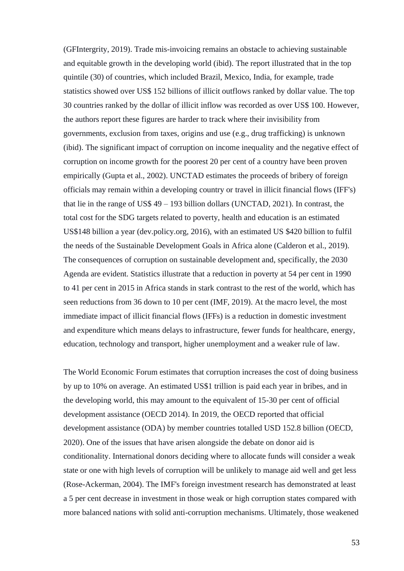(GFIntergrity, 2019). Trade mis-invoicing remains an obstacle to achieving sustainable and equitable growth in the developing world (ibid). The report illustrated that in the top quintile (30) of countries, which included Brazil, Mexico, India, for example, trade statistics showed over US\$ 152 billions of illicit outflows ranked by dollar value. The top 30 countries ranked by the dollar of illicit inflow was recorded as over US\$ 100. However, the authors report these figures are harder to track where their invisibility from governments, exclusion from taxes, origins and use (e.g., drug trafficking) is unknown (ibid). The significant impact of corruption on income inequality and the negative effect of corruption on income growth for the poorest 20 per cent of a country have been proven empirically (Gupta et al., 2002). UNCTAD estimates the proceeds of bribery of foreign officials may remain within a developing country or travel in illicit financial flows (IFF's) that lie in the range of US\$ 49 – 193 billion dollars (UNCTAD, 2021). In contrast, the total cost for the SDG targets related to poverty, health and education is an estimated US\$148 billion a year (dev.policy.org, 2016), with an estimated US \$420 billion to fulfil the needs of the Sustainable Development Goals in Africa alone (Calderon et al., 2019). The consequences of corruption on sustainable development and, specifically, the 2030 Agenda are evident. Statistics illustrate that a reduction in poverty at 54 per cent in 1990 to 41 per cent in 2015 in Africa stands in stark contrast to the rest of the world, which has seen reductions from 36 down to 10 per cent (IMF, 2019). At the macro level, the most immediate impact of illicit financial flows (IFFs) is a reduction in domestic investment and expenditure which means delays to infrastructure, fewer funds for healthcare, energy, education, technology and transport, higher unemployment and a weaker rule of law.

The World Economic Forum estimates that corruption increases the cost of doing business by up to 10% on average. An estimated US\$1 trillion is paid each year in bribes, and in the developing world, this may amount to the equivalent of 15-30 per cent of official development assistance (OECD 2014). In 2019, the OECD reported that official development assistance (ODA) by member countries totalled USD 152.8 billion (OECD, 2020). One of the issues that have arisen alongside the debate on donor aid is conditionality. International donors deciding where to allocate funds will consider a weak state or one with high levels of corruption will be unlikely to manage aid well and get less (Rose-Ackerman, 2004). The IMF's foreign investment research has demonstrated at least a 5 per cent decrease in investment in those weak or high corruption states compared with more balanced nations with solid anti-corruption mechanisms. Ultimately, those weakened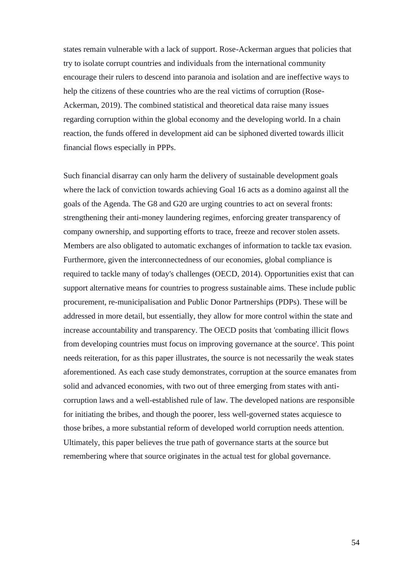states remain vulnerable with a lack of support. Rose-Ackerman argues that policies that try to isolate corrupt countries and individuals from the international community encourage their rulers to descend into paranoia and isolation and are ineffective ways to help the citizens of these countries who are the real victims of corruption (Rose-Ackerman, 2019). The combined statistical and theoretical data raise many issues regarding corruption within the global economy and the developing world. In a chain reaction, the funds offered in development aid can be siphoned diverted towards illicit financial flows especially in PPPs.

Such financial disarray can only harm the delivery of sustainable development goals where the lack of conviction towards achieving Goal 16 acts as a domino against all the goals of the Agenda. The G8 and G20 are urging countries to act on several fronts: strengthening their anti-money laundering regimes, enforcing greater transparency of company ownership, and supporting efforts to trace, freeze and recover stolen assets. Members are also obligated to automatic exchanges of information to tackle tax evasion. Furthermore, given the interconnectedness of our economies, global compliance is required to tackle many of today's challenges (OECD, 2014). Opportunities exist that can support alternative means for countries to progress sustainable aims. These include public procurement, re-municipalisation and Public Donor Partnerships (PDPs). These will be addressed in more detail, but essentially, they allow for more control within the state and increase accountability and transparency. The OECD posits that 'combating illicit flows from developing countries must focus on improving governance at the source'. This point needs reiteration, for as this paper illustrates, the source is not necessarily the weak states aforementioned. As each case study demonstrates, corruption at the source emanates from solid and advanced economies, with two out of three emerging from states with anticorruption laws and a well-established rule of law. The developed nations are responsible for initiating the bribes, and though the poorer, less well-governed states acquiesce to those bribes, a more substantial reform of developed world corruption needs attention. Ultimately, this paper believes the true path of governance starts at the source but remembering where that source originates in the actual test for global governance.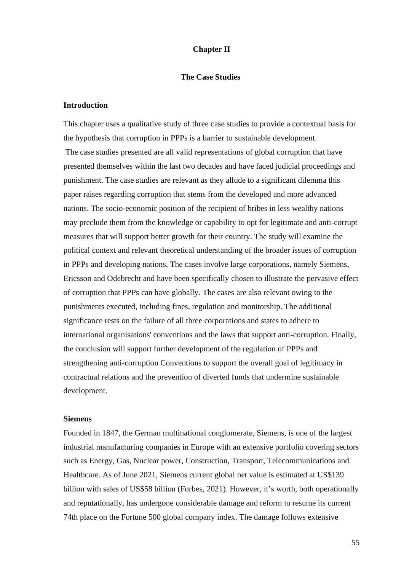# **Chapter II**

#### **The Case Studies**

#### **Introduction**

This chapter uses a qualitative study of three case studies to provide a contextual basis for the hypothesis that corruption in PPPs is a barrier to sustainable development. The case studies presented are all valid representations of global corruption that have presented themselves within the last two decades and have faced judicial proceedings and punishment. The case studies are relevant as they allude to a significant dilemma this paper raises regarding corruption that stems from the developed and more advanced nations. The socio-economic position of the recipient of bribes in less wealthy nations may preclude them from the knowledge or capability to opt for legitimate and anti-corrupt measures that will support better growth for their country. The study will examine the political context and relevant theoretical understanding of the broader issues of corruption in PPPs and developing nations. The cases involve large corporations, namely Siemens, Ericsson and Odebrecht and have been specifically chosen to illustrate the pervasive effect of corruption that PPPs can have globally. The cases are also relevant owing to the punishments executed, including fines, regulation and monitorship. The additional significance rests on the failure of all three corporations and states to adhere to international organisations' conventions and the laws that support anti-corruption. Finally, the conclusion will support further development of the regulation of PPPs and strengthening anti-corruption Conventions to support the overall goal of legitimacy in contractual relations and the prevention of diverted funds that undermine sustainable development.

#### **Siemens**

Founded in 1847, the German multinational conglomerate, Siemens, is one of the largest industrial manufacturing companies in Europe with an extensive portfolio covering sectors such as Energy, Gas, Nuclear power, Construction, Transport, Telecommunications and Healthcare. As of June 2021, Siemens current global net value is estimated at US\$139 billion with sales of US\$58 billion (Forbes, 2021). However, it's worth, both operationally and reputationally, has undergone considerable damage and reform to resume its current 74th place on the Fortune 500 global company index. The damage follows extensive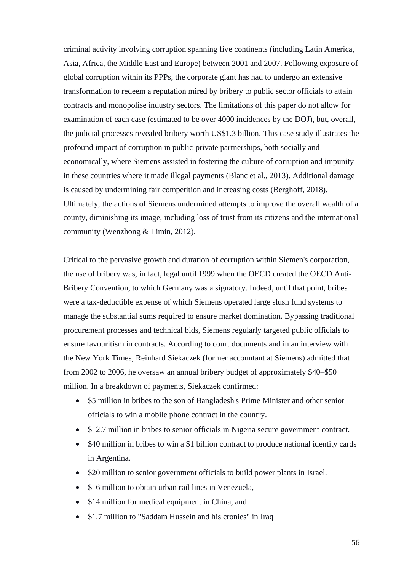criminal activity involving corruption spanning five continents (including Latin America, Asia, Africa, the Middle East and Europe) between 2001 and 2007. Following exposure of global corruption within its PPPs, the corporate giant has had to undergo an extensive transformation to redeem a reputation mired by bribery to public sector officials to attain contracts and monopolise industry sectors. The limitations of this paper do not allow for examination of each case (estimated to be over 4000 incidences by the DOJ), but, overall, the judicial processes revealed bribery worth US\$1.3 billion. This case study illustrates the profound impact of corruption in public-private partnerships, both socially and economically, where Siemens assisted in fostering the culture of corruption and impunity in these countries where it made illegal payments (Blanc et al., 2013). Additional damage is caused by undermining fair competition and increasing costs (Berghoff, 2018). Ultimately, the actions of Siemens undermined attempts to improve the overall wealth of a county, diminishing its image, including loss of trust from its citizens and the international community (Wenzhong & Limin, 2012).

Critical to the pervasive growth and duration of corruption within Siemen's corporation, the use of bribery was, in fact, legal until 1999 when the OECD created the OECD Anti-Bribery Convention, to which Germany was a signatory. Indeed, until that point, bribes were a tax-deductible expense of which Siemens operated large slush fund systems to manage the substantial sums required to ensure market domination. Bypassing traditional procurement processes and technical bids, Siemens regularly targeted public officials to ensure favouritism in contracts. According to court documents and in an interview with the New York Times, Reinhard Siekaczek (former accountant at Siemens) admitted that from 2002 to 2006, he oversaw an annual bribery budget of approximately \$40–\$50 million. In a breakdown of payments, Siekaczek confirmed:

- \$5 million in bribes to the son of Bangladesh's Prime Minister and other senior officials to win a mobile phone contract in the country.
- \$12.7 million in bribes to senior officials in Nigeria secure government contract.
- \$40 million in bribes to win a \$1 billion contract to produce national identity cards in Argentina.
- \$20 million to senior government officials to build power plants in Israel.
- \$16 million to obtain urban rail lines in Venezuela.
- \$14 million for medical equipment in China, and
- \$1.7 million to "Saddam Hussein and his cronies" in Iraq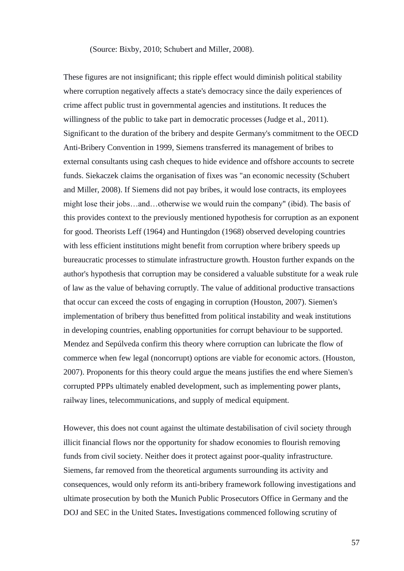#### (Source: Bixby, 2010; Schubert and Miller, 2008).

These figures are not insignificant; this ripple effect would diminish political stability where corruption negatively affects a state's democracy since the daily experiences of crime affect public trust in governmental agencies and institutions. It reduces the willingness of the public to take part in democratic processes (Judge et al., 2011). Significant to the duration of the bribery and despite Germany's commitment to the OECD Anti-Bribery Convention in 1999, Siemens transferred its management of bribes to external consultants using cash cheques to hide evidence and offshore accounts to secrete funds. Siekaczek claims the organisation of fixes was "an economic necessity (Schubert and Miller, 2008). If Siemens did not pay bribes, it would lose contracts, its employees might lose their jobs…and…otherwise we would ruin the company" (ibid). The basis of this provides context to the previously mentioned hypothesis for corruption as an exponent for good. Theorists Leff (1964) and Huntingdon (1968) observed developing countries with less efficient institutions might benefit from corruption where bribery speeds up bureaucratic processes to stimulate infrastructure growth. Houston further expands on the author's hypothesis that corruption may be considered a valuable substitute for a weak rule of law as the value of behaving corruptly. The value of additional productive transactions that occur can exceed the costs of engaging in corruption (Houston, 2007). Siemen's implementation of bribery thus benefitted from political instability and weak institutions in developing countries, enabling opportunities for corrupt behaviour to be supported. Mendez and Sepúlveda confirm this theory where corruption can lubricate the flow of commerce when few legal (noncorrupt) options are viable for economic actors. (Houston, 2007). Proponents for this theory could argue the means justifies the end where Siemen's corrupted PPPs ultimately enabled development, such as implementing power plants, railway lines, telecommunications, and supply of medical equipment.

However, this does not count against the ultimate destabilisation of civil society through illicit financial flows nor the opportunity for shadow economies to flourish removing funds from civil society. Neither does it protect against poor-quality infrastructure. Siemens, far removed from the theoretical arguments surrounding its activity and consequences, would only reform its anti-bribery framework following investigations and ultimate prosecution by both the Munich Public Prosecutors Office in Germany and the DOJ and SEC in the United States**.** Investigations commenced following scrutiny of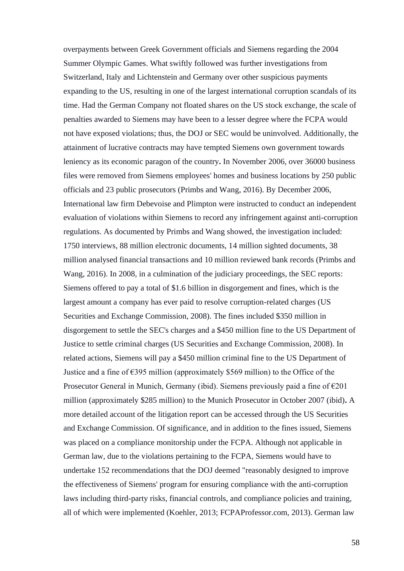overpayments between Greek Government officials and Siemens regarding the 2004 Summer Olympic Games. What swiftly followed was further investigations from Switzerland, Italy and Lichtenstein and Germany over other suspicious payments expanding to the US, resulting in one of the largest international corruption scandals of its time. Had the German Company not floated shares on the US stock exchange, the scale of penalties awarded to Siemens may have been to a lesser degree where the FCPA would not have exposed violations; thus, the DOJ or SEC would be uninvolved. Additionally, the attainment of lucrative contracts may have tempted Siemens own government towards leniency as its economic paragon of the country**.** In November 2006, over 36000 business files were removed from Siemens employees' homes and business locations by 250 public officials and 23 public prosecutors (Primbs and Wang, 2016). By December 2006, International law firm Debevoise and Plimpton were instructed to conduct an independent evaluation of violations within Siemens to record any infringement against anti-corruption regulations. As documented by Primbs and Wang showed, the investigation included: 1750 interviews, 88 million electronic documents, 14 million sighted documents, 38 million analysed financial transactions and 10 million reviewed bank records (Primbs and Wang, 2016). In 2008, in a culmination of the judiciary proceedings, the SEC reports: Siemens offered to pay a total of \$1.6 billion in disgorgement and fines, which is the largest amount a company has ever paid to resolve corruption-related charges (US Securities and Exchange Commission, 2008). The fines included \$350 million in disgorgement to settle the SEC's charges and a \$450 million fine to the US Department of Justice to settle criminal charges (US Securities and Exchange Commission, 2008). In related actions, Siemens will pay a \$450 million criminal fine to the US Department of Justice and a fine of  $\epsilon$ 395 million (approximately \$569 million) to the Office of the Prosecutor General in Munich, Germany (ibid). Siemens previously paid a fine of  $\epsilon$ 201 million (approximately \$285 million) to the Munich Prosecutor in October 2007 (ibid)**.** A more detailed account of the litigation report can be accessed through the US Securities and Exchange Commission. Of significance, and in addition to the fines issued, Siemens was placed on a compliance monitorship under the FCPA. Although not applicable in German law, due to the violations pertaining to the FCPA, Siemens would have to undertake 152 recommendations that the DOJ deemed "reasonably designed to improve the effectiveness of Siemens' program for ensuring compliance with the anti-corruption laws including third-party risks, financial controls, and compliance policies and training, all of which were implemented (Koehler, 2013; FCPAProfessor.com, 2013). German law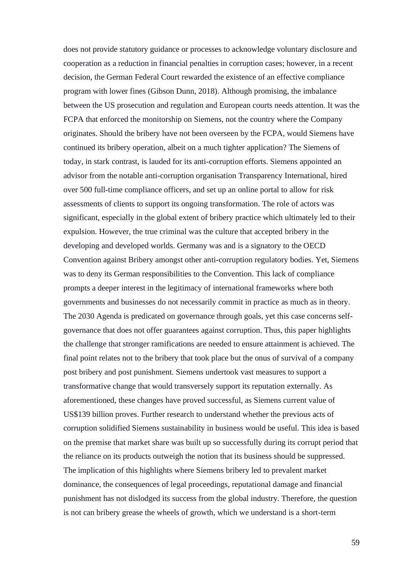does not provide statutory guidance or processes to acknowledge voluntary disclosure and cooperation as a reduction in financial penalties in corruption cases; however, in a recent decision, the German Federal Court rewarded the existence of an effective compliance program with lower fines (Gibson Dunn, 2018). Although promising, the imbalance between the US prosecution and regulation and European courts needs attention. It was the FCPA that enforced the monitorship on Siemens, not the country where the Company originates. Should the bribery have not been overseen by the FCPA, would Siemens have continued its bribery operation, albeit on a much tighter application? The Siemens of today, in stark contrast, is lauded for its anti-corruption efforts. Siemens appointed an advisor from the notable anti-corruption organisation Transparency International, hired over 500 full-time compliance officers, and set up an online portal to allow for risk assessments of clients to support its ongoing transformation. The role of actors was significant, especially in the global extent of bribery practice which ultimately led to their expulsion. However, the true criminal was the culture that accepted bribery in the developing and developed worlds. Germany was and is a signatory to the OECD Convention against Bribery amongst other anti-corruption regulatory bodies. Yet, Siemens was to deny its German responsibilities to the Convention. This lack of compliance prompts a deeper interest in the legitimacy of international frameworks where both governments and businesses do not necessarily commit in practice as much as in theory. The 2030 Agenda is predicated on governance through goals, yet this case concerns selfgovernance that does not offer guarantees against corruption. Thus, this paper highlights the challenge that stronger ramifications are needed to ensure attainment is achieved. The final point relates not to the bribery that took place but the onus of survival of a company post bribery and post punishment. Siemens undertook vast measures to support a transformative change that would transversely support its reputation externally. As aforementioned, these changes have proved successful, as Siemens current value of US\$139 billion proves. Further research to understand whether the previous acts of corruption solidified Siemens sustainability in business would be useful. This idea is based on the premise that market share was built up so successfully during its corrupt period that the reliance on its products outweigh the notion that its business should be suppressed. The implication of this highlights where Siemens bribery led to prevalent market dominance, the consequences of legal proceedings, reputational damage and financial punishment has not dislodged its success from the global industry. Therefore, the question is not can bribery grease the wheels of growth, which we understand is a short-term

59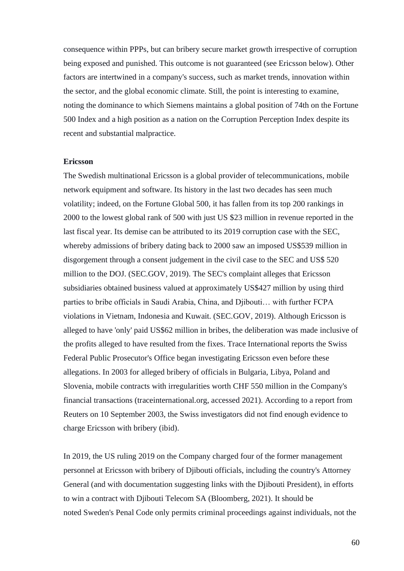consequence within PPPs, but can bribery secure market growth irrespective of corruption being exposed and punished. This outcome is not guaranteed (see Ericsson below). Other factors are intertwined in a company's success, such as market trends, innovation within the sector, and the global economic climate. Still, the point is interesting to examine, noting the dominance to which Siemens maintains a global position of 74th on the Fortune 500 Index and a high position as a nation on the Corruption Perception Index despite its recent and substantial malpractice.

#### **Ericsson**

The Swedish multinational Ericsson is a global provider of telecommunications, mobile network equipment and software. Its history in the last two decades has seen much volatility; indeed, on the Fortune Global 500, it has fallen from its top 200 rankings in 2000 to the lowest global rank of 500 with just US \$23 million in revenue reported in the last fiscal year. Its demise can be attributed to its 2019 corruption case with the SEC, whereby admissions of bribery dating back to 2000 saw an imposed US\$539 million in disgorgement through a consent judgement in the civil case to the SEC and US\$ 520 million to the DOJ. (SEC.GOV, 2019). The SEC's complaint alleges that Ericsson subsidiaries obtained business valued at approximately US\$427 million by using third parties to bribe officials in Saudi Arabia, China, and Djibouti… with further FCPA violations in Vietnam, Indonesia and Kuwait. (SEC.GOV, 2019). Although Ericsson is alleged to have 'only' paid US\$62 million in bribes, the deliberation was made inclusive of the profits alleged to have resulted from the fixes. Trace International reports the Swiss Federal Public Prosecutor's Office began investigating Ericsson even before these allegations. In 2003 for alleged bribery of officials in Bulgaria, Libya, Poland and Slovenia, mobile contracts with irregularities worth CHF 550 million in the Company's financial transactions (traceinternational.org, accessed 2021). According to a report from Reuters on 10 September 2003, the Swiss investigators did not find enough evidence to charge Ericsson with bribery (ibid).

In 2019, the US ruling 2019 on the Company charged four of the former management personnel at Ericsson with bribery of Djibouti officials, including the country's Attorney General (and with documentation suggesting links with the Djibouti President), in efforts to win a contract with Djibouti Telecom SA (Bloomberg, 2021). It should be noted Sweden's Penal Code only permits criminal proceedings against individuals, not the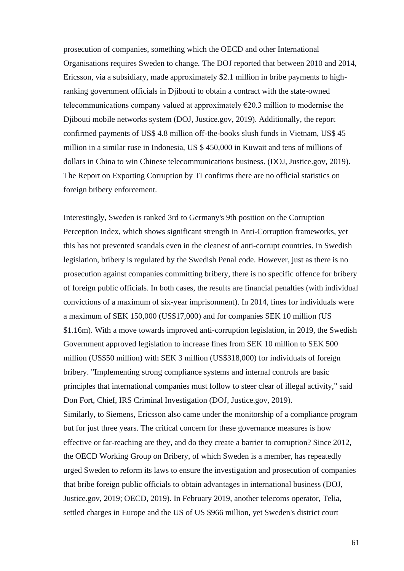prosecution of companies, something which the OECD and other International Organisations requires Sweden to change. The DOJ reported that between 2010 and 2014, Ericsson, via a subsidiary, made approximately \$2.1 million in bribe payments to highranking government officials in Djibouti to obtain a contract with the state-owned telecommunications company valued at approximately  $\epsilon$ 20.3 million to modernise the Djibouti mobile networks system (DOJ, Justice.gov, 2019). Additionally, the report confirmed payments of US\$ 4.8 million off-the-books slush funds in Vietnam, US\$ 45 million in a similar ruse in Indonesia, US \$ 450,000 in Kuwait and tens of millions of dollars in China to win Chinese telecommunications business. (DOJ, Justice.gov, 2019). The Report on Exporting Corruption by TI confirms there are no official statistics on foreign bribery enforcement.

Interestingly, Sweden is ranked 3rd to Germany's 9th position on the Corruption Perception Index, which shows significant strength in Anti-Corruption frameworks, yet this has not prevented scandals even in the cleanest of anti-corrupt countries. In Swedish legislation, bribery is regulated by the Swedish Penal code. However, just as there is no prosecution against companies committing bribery, there is no specific offence for bribery of foreign public officials. In both cases, the results are financial penalties (with individual convictions of a maximum of six-year imprisonment). In 2014, fines for individuals were a maximum of SEK 150,000 (US\$17,000) and for companies SEK 10 million (US \$1.16m). With a move towards improved anti-corruption legislation, in 2019, the Swedish Government approved legislation to increase fines from SEK 10 million to SEK 500 million (US\$50 million) with SEK 3 million (US\$318,000) for individuals of foreign bribery. "Implementing strong compliance systems and internal controls are basic principles that international companies must follow to steer clear of illegal activity," said Don Fort, Chief, IRS Criminal Investigation (DOJ, Justice.gov, 2019). Similarly, to Siemens, Ericsson also came under the monitorship of a compliance program but for just three years. The critical concern for these governance measures is how effective or far-reaching are they, and do they create a barrier to corruption? Since 2012, the OECD Working Group on Bribery, of which Sweden is a member, has repeatedly urged Sweden to reform its laws to ensure the investigation and prosecution of companies that bribe foreign public officials to obtain advantages in international business (DOJ, Justice.gov, 2019; OECD, 2019). In February 2019, another telecoms operator, Telia, settled charges in Europe and the US of US \$966 million, yet Sweden's district court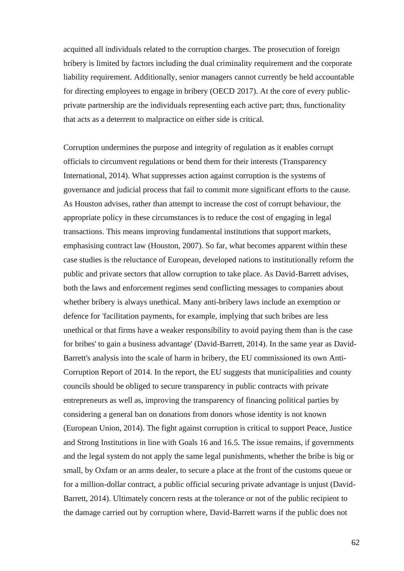acquitted all individuals related to the corruption charges. The prosecution of foreign bribery is limited by factors including the dual criminality requirement and the corporate liability requirement. Additionally, senior managers cannot currently be held accountable for directing employees to engage in bribery (OECD 2017). At the core of every publicprivate partnership are the individuals representing each active part; thus, functionality that acts as a deterrent to malpractice on either side is critical.

Corruption undermines the purpose and integrity of regulation as it enables corrupt officials to circumvent regulations or bend them for their interests (Transparency International, 2014). What suppresses action against corruption is the systems of governance and judicial process that fail to commit more significant efforts to the cause. As Houston advises, rather than attempt to increase the cost of corrupt behaviour, the appropriate policy in these circumstances is to reduce the cost of engaging in legal transactions. This means improving fundamental institutions that support markets, emphasising contract law (Houston, 2007). So far, what becomes apparent within these case studies is the reluctance of European, developed nations to institutionally reform the public and private sectors that allow corruption to take place. As David-Barrett advises, both the laws and enforcement regimes send conflicting messages to companies about whether bribery is always unethical. Many anti-bribery laws include an exemption or defence for 'facilitation payments, for example, implying that such bribes are less unethical or that firms have a weaker responsibility to avoid paying them than is the case for bribes' to gain a business advantage' (David-Barrett, 2014). In the same year as David-Barrett's analysis into the scale of harm in bribery, the EU commissioned its own Anti-Corruption Report of 2014. In the report, the EU suggests that municipalities and county councils should be obliged to secure transparency in public contracts with private entrepreneurs as well as, improving the transparency of financing political parties by considering a general ban on donations from donors whose identity is not known (European Union, 2014). The fight against corruption is critical to support Peace, Justice and Strong Institutions in line with Goals 16 and 16.5. The issue remains, if governments and the legal system do not apply the same legal punishments, whether the bribe is big or small, by Oxfam or an arms dealer, to secure a place at the front of the customs queue or for a million-dollar contract, a public official securing private advantage is unjust (David-Barrett, 2014). Ultimately concern rests at the tolerance or not of the public recipient to the damage carried out by corruption where, David-Barrett warns if the public does not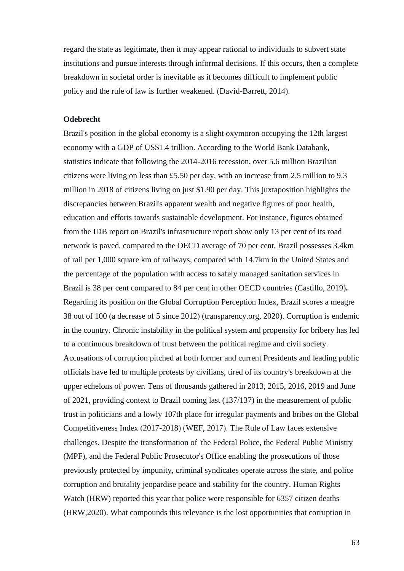regard the state as legitimate, then it may appear rational to individuals to subvert state institutions and pursue interests through informal decisions. If this occurs, then a complete breakdown in societal order is inevitable as it becomes difficult to implement public policy and the rule of law is further weakened. (David-Barrett, 2014).

#### **Odebrecht**

Brazil's position in the global economy is a slight oxymoron occupying the 12th largest economy with a GDP of US\$1.4 trillion. According to the World Bank Databank, statistics indicate that following the 2014-2016 recession, over 5.6 million Brazilian citizens were living on less than £5.50 per day, with an increase from 2.5 million to 9.3 million in 2018 of citizens living on just \$1.90 per day. This juxtaposition highlights the discrepancies between Brazil's apparent wealth and negative figures of poor health, education and efforts towards sustainable development. For instance, figures obtained from the IDB report on Brazil's infrastructure report show only 13 per cent of its road network is paved, compared to the OECD average of 70 per cent, Brazil possesses 3.4km of rail per 1,000 square km of railways, compared with 14.7km in the United States and the percentage of the population with access to safely managed sanitation services in Brazil is 38 per cent compared to 84 per cent in other OECD countries (Castillo, 2019)**.** Regarding its position on the Global Corruption Perception Index, Brazil scores a meagre 38 out of 100 (a decrease of 5 since 2012) (transparency.org, 2020). Corruption is endemic in the country. Chronic instability in the political system and propensity for bribery has led to a continuous breakdown of trust between the political regime and civil society. Accusations of corruption pitched at both former and current Presidents and leading public officials have led to multiple protests by civilians, tired of its country's breakdown at the upper echelons of power. Tens of thousands gathered in 2013, 2015, 2016, 2019 and June of 2021, providing context to Brazil coming last (137/137) in the measurement of public trust in politicians and a lowly 107th place for irregular payments and bribes on the Global Competitiveness Index (2017-2018) (WEF, 2017). The Rule of Law faces extensive challenges. Despite the transformation of 'the Federal Police, the Federal Public Ministry (MPF), and the Federal Public Prosecutor's Office enabling the prosecutions of those previously protected by impunity, criminal syndicates operate across the state, and police corruption and brutality jeopardise peace and stability for the country. Human Rights Watch (HRW) reported this year that police were responsible for 6357 citizen deaths (HRW,2020). What compounds this relevance is the lost opportunities that corruption in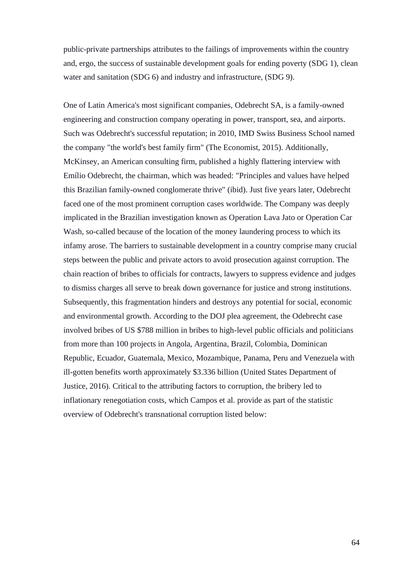public-private partnerships attributes to the failings of improvements within the country and, ergo, the success of sustainable development goals for ending poverty (SDG 1), clean water and sanitation (SDG 6) and industry and infrastructure, (SDG 9).

One of Latin America's most significant companies, Odebrecht SA, is a family-owned engineering and construction company operating in power, transport, sea, and airports. Such was Odebrecht's successful reputation; in 2010, IMD Swiss Business School named the company "the world's best family firm" (The Economist, 2015). Additionally, McKinsey, an American consulting firm, published a highly flattering interview with Emílio Odebrecht, the chairman, which was headed: "Principles and values have helped this Brazilian family-owned conglomerate thrive" (ibid). Just five years later, Odebrecht faced one of the most prominent corruption cases worldwide. The Company was deeply implicated in the Brazilian investigation known as Operation Lava Jato or Operation Car Wash, so-called because of the location of the money laundering process to which its infamy arose. The barriers to sustainable development in a country comprise many crucial steps between the public and private actors to avoid prosecution against corruption. The chain reaction of bribes to officials for contracts, lawyers to suppress evidence and judges to dismiss charges all serve to break down governance for justice and strong institutions. Subsequently, this fragmentation hinders and destroys any potential for social, economic and environmental growth. According to the DOJ plea agreement, the Odebrecht case involved bribes of US \$788 million in bribes to high-level public officials and politicians from more than 100 projects in Angola, Argentina, Brazil, Colombia, Dominican Republic, Ecuador, Guatemala, Mexico, Mozambique, Panama, Peru and Venezuela with ill-gotten benefits worth approximately \$3.336 billion (United States Department of Justice, 2016). Critical to the attributing factors to corruption, the bribery led to inflationary renegotiation costs, which Campos et al. provide as part of the statistic overview of Odebrecht's transnational corruption listed below: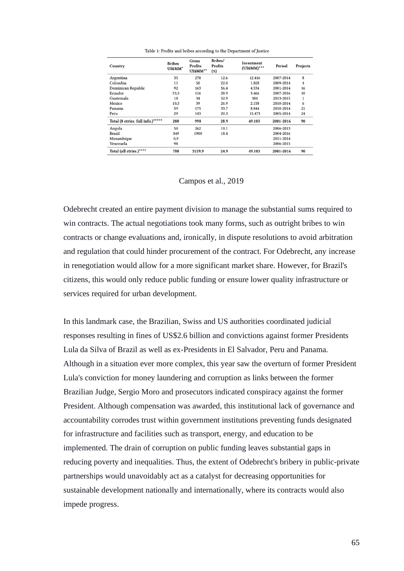| Country                           | <b>Bribes</b><br>USSMM* | Gross<br>Profits<br>US\$MM** | Bribes/<br>Profits<br>(%) | Investment<br>$(USSMM)^{***}$ | Period    | Projects |
|-----------------------------------|-------------------------|------------------------------|---------------------------|-------------------------------|-----------|----------|
| Argentina                         | 35                      | 278                          | 12.6                      | 12.416                        | 2007-2014 | 8        |
| Colombia                          | 11                      | 50                           | 22.0                      | 1.828                         | 2009-2014 | 4        |
| Dominican Republic                | 92                      | 163                          | 56,4                      | 4.534                         | 2001-2014 | 16       |
| Ecuador                           | 33,5                    | 116                          | 28.9                      | 3.466                         | 2007-2016 | 10       |
| Guatemala                         | 18                      | 34                           | 52.9                      | 384                           | 2013-2015 | 1        |
| Mexico                            | 10,5                    | 39                           | 26.9                      | 2.158                         | 2010-2014 | 6        |
| Panama                            | 59                      | 175                          | 33.7                      | 8.844                         | 2010-2014 | 21       |
| Peru                              | 29                      | 143                          | 20.3                      | 15.473                        | 2005-2014 | 24       |
| Total (8 ctries. full info.)***** | 288                     | 998                          | 28.9                      | 49.103                        | 2001-2016 | 90       |
| Angola                            | 50                      | 262                          | 19.1                      |                               | 2006-2013 |          |
| Brazil                            | 349                     | 1900                         | 18.4                      |                               | 2004-2016 |          |
| Mozambique                        | 0,9                     |                              |                           |                               | 2011-2014 |          |
| Venezuela                         | 98                      |                              |                           |                               | 2006-2015 |          |
| Total (all ctries.)*****          | 788                     | 3159.9                       | 24.9                      | 49.103                        | 2001-2016 | 90       |

Table 1: Profits and bribes according to the Department of Justice

## Campos et al., 2019

Odebrecht created an entire payment division to manage the substantial sums required to win contracts. The actual negotiations took many forms, such as outright bribes to win contracts or change evaluations and, ironically, in dispute resolutions to avoid arbitration and regulation that could hinder procurement of the contract. For Odebrecht, any increase in renegotiation would allow for a more significant market share. However, for Brazil's citizens, this would only reduce public funding or ensure lower quality infrastructure or services required for urban development.

In this landmark case, the Brazilian, Swiss and US authorities coordinated judicial responses resulting in fines of US\$2.6 billion and convictions against former Presidents Lula da Silva of Brazil as well as ex-Presidents in El Salvador, Peru and Panama. Although in a situation ever more complex, this year saw the overturn of former President Lula's conviction for money laundering and corruption as links between the former Brazilian Judge, Sergio Moro and prosecutors indicated conspiracy against the former President. Although compensation was awarded, this institutional lack of governance and accountability corrodes trust within government institutions preventing funds designated for infrastructure and facilities such as transport, energy, and education to be implemented. The drain of corruption on public funding leaves substantial gaps in reducing poverty and inequalities. Thus, the extent of Odebrecht's bribery in public-private partnerships would unavoidably act as a catalyst for decreasing opportunities for sustainable development nationally and internationally, where its contracts would also impede progress.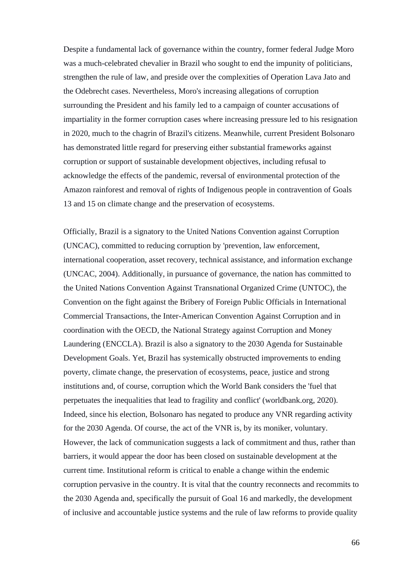Despite a fundamental lack of governance within the country, former federal Judge Moro was a much-celebrated chevalier in Brazil who sought to end the impunity of politicians, strengthen the rule of law, and preside over the complexities of Operation Lava Jato and the Odebrecht cases. Nevertheless, Moro's increasing allegations of corruption surrounding the President and his family led to a campaign of counter accusations of impartiality in the former corruption cases where increasing pressure led to his resignation in 2020, much to the chagrin of Brazil's citizens. Meanwhile, current President Bolsonaro has demonstrated little regard for preserving either substantial frameworks against corruption or support of sustainable development objectives, including refusal to acknowledge the effects of the pandemic, reversal of environmental protection of the Amazon rainforest and removal of rights of Indigenous people in contravention of Goals 13 and 15 on climate change and the preservation of ecosystems.

Officially, Brazil is a signatory to the United Nations Convention against Corruption (UNCAC), committed to reducing corruption by 'prevention, law enforcement, international cooperation, asset recovery, technical assistance, and information exchange (UNCAC, 2004). Additionally, in pursuance of governance, the nation has committed to the United Nations Convention Against Transnational Organized Crime (UNTOC), the Convention on the fight against the Bribery of Foreign Public Officials in International Commercial Transactions, the Inter-American Convention Against Corruption and in coordination with the OECD, the National Strategy against Corruption and Money Laundering (ENCCLA). Brazil is also a signatory to the 2030 Agenda for Sustainable Development Goals. Yet, Brazil has systemically obstructed improvements to ending poverty, climate change, the preservation of ecosystems, peace, justice and strong institutions and, of course, corruption which the World Bank considers the 'fuel that perpetuates the inequalities that lead to fragility and conflict' (worldbank.org, 2020). Indeed, since his election, Bolsonaro has negated to produce any VNR regarding activity for the 2030 Agenda. Of course, the act of the VNR is, by its moniker, voluntary. However, the lack of communication suggests a lack of commitment and thus, rather than barriers, it would appear the door has been closed on sustainable development at the current time. Institutional reform is critical to enable a change within the endemic corruption pervasive in the country. It is vital that the country reconnects and recommits to the 2030 Agenda and, specifically the pursuit of Goal 16 and markedly, the development of inclusive and accountable justice systems and the rule of law reforms to provide quality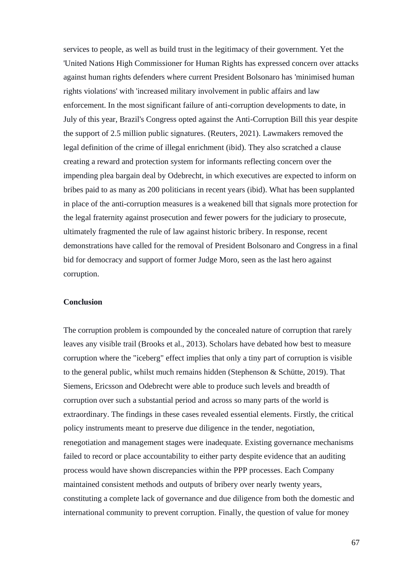services to people, as well as build trust in the legitimacy of their government. Yet the 'United Nations High Commissioner for Human Rights has expressed concern over attacks against human rights defenders where current President Bolsonaro has 'minimised human rights violations' with 'increased military involvement in public affairs and law enforcement. In the most significant failure of anti-corruption developments to date, in July of this year, Brazil's Congress opted against the Anti-Corruption Bill this year despite the support of 2.5 million public signatures. (Reuters, 2021). Lawmakers removed the legal definition of the crime of illegal enrichment (ibid). They also scratched a clause creating a reward and protection system for informants reflecting concern over the impending plea bargain deal by Odebrecht, in which executives are expected to inform on bribes paid to as many as 200 politicians in recent years (ibid). What has been supplanted in place of the anti-corruption measures is a weakened bill that signals more protection for the legal fraternity against prosecution and fewer powers for the judiciary to prosecute, ultimately fragmented the rule of law against historic bribery. In response, recent demonstrations have called for the removal of President Bolsonaro and Congress in a final bid for democracy and support of former Judge Moro, seen as the last hero against corruption.

# **Conclusion**

The corruption problem is compounded by the concealed nature of corruption that rarely leaves any visible trail (Brooks et al., 2013). Scholars have debated how best to measure corruption where the "iceberg" effect implies that only a tiny part of corruption is visible to the general public, whilst much remains hidden (Stephenson & Schütte, 2019). That Siemens, Ericsson and Odebrecht were able to produce such levels and breadth of corruption over such a substantial period and across so many parts of the world is extraordinary. The findings in these cases revealed essential elements. Firstly, the critical policy instruments meant to preserve due diligence in the tender, negotiation, renegotiation and management stages were inadequate. Existing governance mechanisms failed to record or place accountability to either party despite evidence that an auditing process would have shown discrepancies within the PPP processes. Each Company maintained consistent methods and outputs of bribery over nearly twenty years, constituting a complete lack of governance and due diligence from both the domestic and international community to prevent corruption. Finally, the question of value for money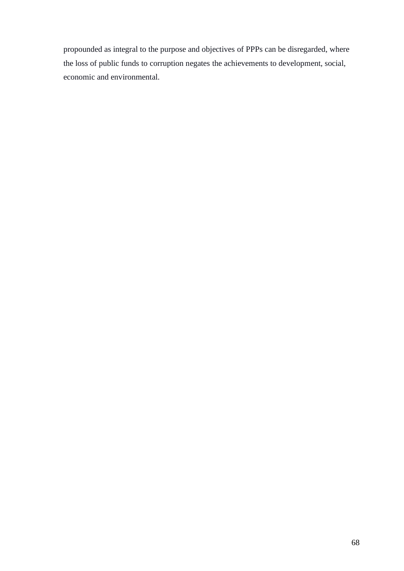propounded as integral to the purpose and objectives of PPPs can be disregarded, where the loss of public funds to corruption negates the achievements to development, social, economic and environmental.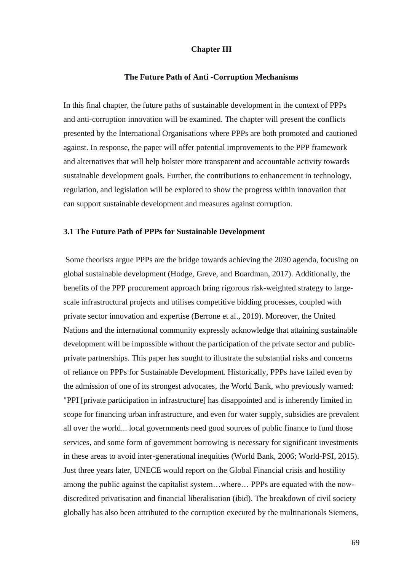# **Chapter III**

#### **The Future Path of Anti -Corruption Mechanisms**

In this final chapter, the future paths of sustainable development in the context of PPPs and anti-corruption innovation will be examined. The chapter will present the conflicts presented by the International Organisations where PPPs are both promoted and cautioned against. In response, the paper will offer potential improvements to the PPP framework and alternatives that will help bolster more transparent and accountable activity towards sustainable development goals. Further, the contributions to enhancement in technology, regulation, and legislation will be explored to show the progress within innovation that can support sustainable development and measures against corruption.

#### **3.1 The Future Path of PPPs for Sustainable Development**

Some theorists argue PPPs are the bridge towards achieving the 2030 agenda, focusing on global sustainable development (Hodge, Greve, and Boardman, 2017). Additionally, the benefits of the PPP procurement approach bring rigorous risk-weighted strategy to largescale infrastructural projects and utilises competitive bidding processes, coupled with private sector innovation and expertise (Berrone et al., 2019). Moreover, the United Nations and the international community expressly acknowledge that attaining sustainable development will be impossible without the participation of the private sector and publicprivate partnerships. This paper has sought to illustrate the substantial risks and concerns of reliance on PPPs for Sustainable Development. Historically, PPPs have failed even by the admission of one of its strongest advocates, the World Bank, who previously warned: "PPI [private participation in infrastructure] has disappointed and is inherently limited in scope for financing urban infrastructure, and even for water supply, subsidies are prevalent all over the world... local governments need good sources of public finance to fund those services, and some form of government borrowing is necessary for significant investments in these areas to avoid inter-generational inequities (World Bank, 2006; World-PSI, 2015). Just three years later, UNECE would report on the Global Financial crisis and hostility among the public against the capitalist system…where… PPPs are equated with the nowdiscredited privatisation and financial liberalisation (ibid). The breakdown of civil society globally has also been attributed to the corruption executed by the multinationals Siemens,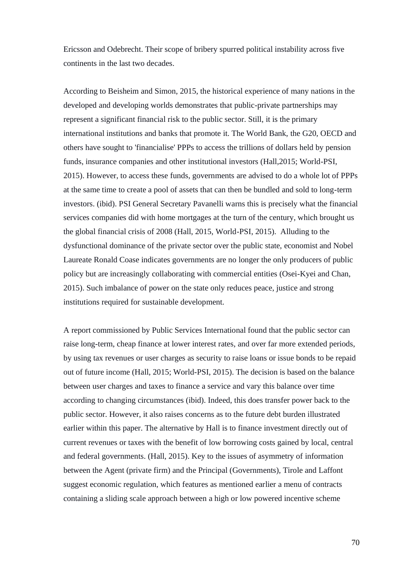Ericsson and Odebrecht. Their scope of bribery spurred political instability across five continents in the last two decades.

According to Beisheim and Simon, 2015, the historical experience of many nations in the developed and developing worlds demonstrates that public-private partnerships may represent a significant financial risk to the public sector. Still, it is the primary international institutions and banks that promote it. The World Bank, the G20, OECD and others have sought to 'financialise' PPPs to access the trillions of dollars held by pension funds, insurance companies and other institutional investors (Hall,2015; World-PSI, 2015). However, to access these funds, governments are advised to do a whole lot of PPPs at the same time to create a pool of assets that can then be bundled and sold to long-term investors. (ibid). PSI General Secretary Pavanelli warns this is precisely what the financial services companies did with home mortgages at the turn of the century, which brought us the global financial crisis of 2008 (Hall, 2015, World-PSI, 2015). Alluding to the dysfunctional dominance of the private sector over the public state, economist and Nobel Laureate Ronald Coase indicates governments are no longer the only producers of public policy but are increasingly collaborating with commercial entities (Osei-Kyei and Chan, 2015). Such imbalance of power on the state only reduces peace, justice and strong institutions required for sustainable development.

A report commissioned by Public Services International found that the public sector can raise long-term, cheap finance at lower interest rates, and over far more extended periods, by using tax revenues or user charges as security to raise loans or issue bonds to be repaid out of future income (Hall, 2015; World-PSI, 2015). The decision is based on the balance between user charges and taxes to finance a service and vary this balance over time according to changing circumstances (ibid). Indeed, this does transfer power back to the public sector. However, it also raises concerns as to the future debt burden illustrated earlier within this paper. The alternative by Hall is to finance investment directly out of current revenues or taxes with the benefit of low borrowing costs gained by local, central and federal governments. (Hall, 2015). Key to the issues of asymmetry of information between the Agent (private firm) and the Principal (Governments), Tirole and Laffont suggest economic regulation, which features as mentioned earlier a menu of contracts containing a sliding scale approach between a high or low powered incentive scheme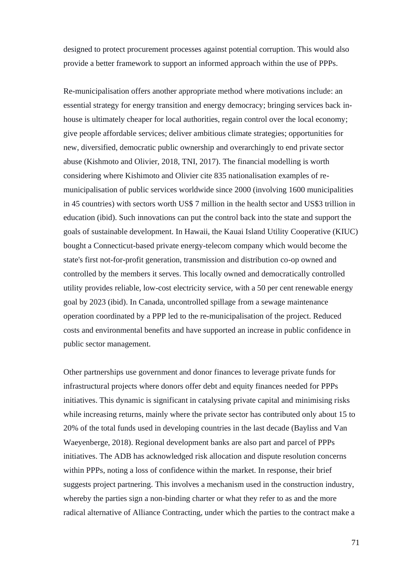designed to protect procurement processes against potential corruption. This would also provide a better framework to support an informed approach within the use of PPPs.

Re-municipalisation offers another appropriate method where motivations include: an essential strategy for energy transition and energy democracy; bringing services back inhouse is ultimately cheaper for local authorities, regain control over the local economy; give people affordable services; deliver ambitious climate strategies; opportunities for new, diversified, democratic public ownership and overarchingly to end private sector abuse (Kishmoto and Olivier, 2018, TNI, 2017). The financial modelling is worth considering where Kishimoto and Olivier cite 835 nationalisation examples of remunicipalisation of public services worldwide since 2000 (involving 1600 municipalities in 45 countries) with sectors worth US\$ 7 million in the health sector and US\$3 trillion in education (ibid). Such innovations can put the control back into the state and support the goals of sustainable development. In Hawaii, the Kauai Island Utility Cooperative (KIUC) bought a Connecticut-based private energy-telecom company which would become the state's first not-for-profit generation, transmission and distribution co-op owned and controlled by the members it serves. This locally owned and democratically controlled utility provides reliable, low-cost electricity service, with a 50 per cent renewable energy goal by 2023 (ibid). In Canada, uncontrolled spillage from a sewage maintenance operation coordinated by a PPP led to the re-municipalisation of the project. Reduced costs and environmental benefits and have supported an increase in public confidence in public sector management.

Other partnerships use government and donor finances to leverage private funds for infrastructural projects where donors offer debt and equity finances needed for PPPs initiatives. This dynamic is significant in catalysing private capital and minimising risks while increasing returns, mainly where the private sector has contributed only about 15 to 20% of the total funds used in developing countries in the last decade (Bayliss and Van Waeyenberge, 2018). Regional development banks are also part and parcel of PPPs initiatives. The ADB has acknowledged risk allocation and dispute resolution concerns within PPPs, noting a loss of confidence within the market. In response, their brief suggests project partnering. This involves a mechanism used in the construction industry, whereby the parties sign a non-binding charter or what they refer to as and the more radical alternative of Alliance Contracting, under which the parties to the contract make a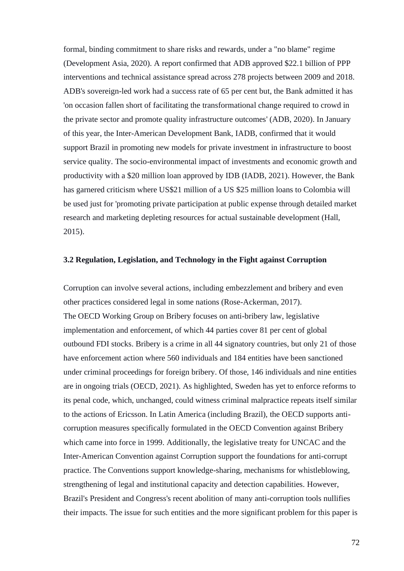formal, binding commitment to share risks and rewards, under a "no blame" regime (Development Asia, 2020). A report confirmed that ADB approved \$22.1 billion of PPP interventions and technical assistance spread across 278 projects between 2009 and 2018. ADB's sovereign-led work had a success rate of 65 per cent but, the Bank admitted it has 'on occasion fallen short of facilitating the transformational change required to crowd in the private sector and promote quality infrastructure outcomes' (ADB, 2020). In January of this year, the Inter-American Development Bank, IADB, confirmed that it would support Brazil in promoting new models for private investment in infrastructure to boost service quality. The socio-environmental impact of investments and economic growth and productivity with a \$20 million loan approved by IDB (IADB, 2021). However, the Bank has garnered criticism where US\$21 million of a US \$25 million loans to Colombia will be used just for 'promoting private participation at public expense through detailed market research and marketing depleting resources for actual sustainable development (Hall, 2015).

## **3.2 Regulation, Legislation, and Technology in the Fight against Corruption**

Corruption can involve several actions, including embezzlement and bribery and even other practices considered legal in some nations (Rose-Ackerman, 2017). The OECD Working Group on Bribery focuses on anti-bribery law, legislative implementation and enforcement, of which 44 parties cover 81 per cent of global outbound FDI stocks. Bribery is a crime in all 44 signatory countries, but only 21 of those have enforcement action where 560 individuals and 184 entities have been sanctioned under criminal proceedings for foreign bribery. Of those, 146 individuals and nine entities are in ongoing trials (OECD, 2021). As highlighted, Sweden has yet to enforce reforms to its penal code, which, unchanged, could witness criminal malpractice repeats itself similar to the actions of Ericsson. In Latin America (including Brazil), the OECD supports anticorruption measures specifically formulated in the OECD Convention against Bribery which came into force in 1999. Additionally, the legislative treaty for UNCAC and the Inter-American Convention against Corruption support the foundations for anti-corrupt practice. The Conventions support knowledge-sharing, mechanisms for whistleblowing, strengthening of legal and institutional capacity and detection capabilities. However, Brazil's President and Congress's recent abolition of many anti-corruption tools nullifies their impacts. The issue for such entities and the more significant problem for this paper is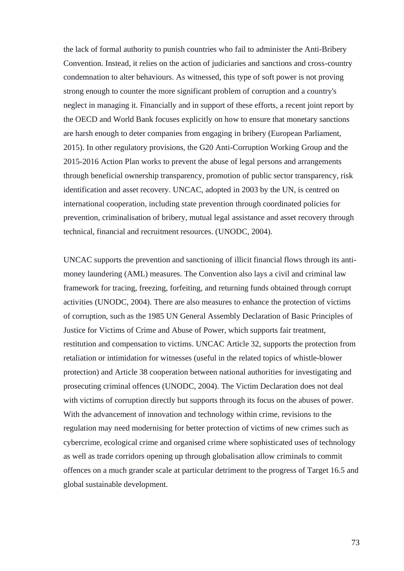the lack of formal authority to punish countries who fail to administer the Anti-Bribery Convention. Instead, it relies on the action of judiciaries and sanctions and cross-country condemnation to alter behaviours. As witnessed, this type of soft power is not proving strong enough to counter the more significant problem of corruption and a country's neglect in managing it. Financially and in support of these efforts, a recent joint report by the OECD and World Bank focuses explicitly on how to ensure that monetary sanctions are harsh enough to deter companies from engaging in bribery (European Parliament, 2015). In other regulatory provisions, the G20 Anti-Corruption Working Group and the 2015-2016 Action Plan works to prevent the abuse of legal persons and arrangements through beneficial ownership transparency, promotion of public sector transparency, risk identification and asset recovery. UNCAC, adopted in 2003 by the UN, is centred on international cooperation, including state prevention through coordinated policies for prevention, criminalisation of bribery, mutual legal assistance and asset recovery through technical, financial and recruitment resources. (UNODC, 2004).

UNCAC supports the prevention and sanctioning of illicit financial flows through its antimoney laundering (AML) measures. The Convention also lays a civil and criminal law framework for tracing, freezing, forfeiting, and returning funds obtained through corrupt activities (UNODC, 2004). There are also measures to enhance the protection of victims of corruption, such as the 1985 UN General Assembly Declaration of Basic Principles of Justice for Victims of Crime and Abuse of Power, which supports fair treatment, restitution and compensation to victims. UNCAC Article 32, supports the protection from retaliation or intimidation for witnesses (useful in the related topics of whistle-blower protection) and Article 38 cooperation between national authorities for investigating and prosecuting criminal offences (UNODC, 2004). The Victim Declaration does not deal with victims of corruption directly but supports through its focus on the abuses of power. With the advancement of innovation and technology within crime, revisions to the regulation may need modernising for better protection of victims of new crimes such as cybercrime, ecological crime and organised crime where sophisticated uses of technology as well as trade corridors opening up through globalisation allow criminals to commit offences on a much grander scale at particular detriment to the progress of Target 16.5 and global sustainable development.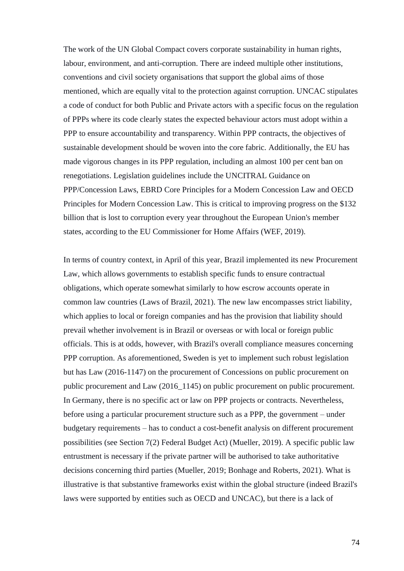The work of the UN Global Compact covers corporate sustainability in human rights, labour, environment, and anti-corruption. There are indeed multiple other institutions, conventions and civil society organisations that support the global aims of those mentioned, which are equally vital to the protection against corruption. UNCAC stipulates a code of conduct for both Public and Private actors with a specific focus on the regulation of PPPs where its code clearly states the expected behaviour actors must adopt within a PPP to ensure accountability and transparency. Within PPP contracts, the objectives of sustainable development should be woven into the core fabric. Additionally, the EU has made vigorous changes in its PPP regulation, including an almost 100 per cent ban on renegotiations. Legislation guidelines include the UNCITRAL Guidance on PPP/Concession Laws, EBRD Core Principles for a Modern Concession Law and OECD Principles for Modern Concession Law. This is critical to improving progress on the \$132 billion that is lost to corruption every year throughout the European Union's member states, according to the EU Commissioner for Home Affairs (WEF, 2019).

In terms of country context, in April of this year, Brazil implemented its new Procurement Law, which allows governments to establish specific funds to ensure contractual obligations, which operate somewhat similarly to how escrow accounts operate in common law countries (Laws of Brazil, 2021). The new law encompasses strict liability, which applies to local or foreign companies and has the provision that liability should prevail whether involvement is in Brazil or overseas or with local or foreign public officials. This is at odds, however, with Brazil's overall compliance measures concerning PPP corruption. As aforementioned, Sweden is yet to implement such robust legislation but has Law (2016-1147) on the procurement of Concessions on public procurement on public procurement and Law (2016\_1145) on public procurement on public procurement. In Germany, there is no specific act or law on PPP projects or contracts. Nevertheless, before using a particular procurement structure such as a PPP, the government – under budgetary requirements – has to conduct a cost-benefit analysis on different procurement possibilities (see Section 7(2) Federal Budget Act) (Mueller, 2019). A specific public law entrustment is necessary if the private partner will be authorised to take authoritative decisions concerning third parties (Mueller, 2019; Bonhage and Roberts, 2021). What is illustrative is that substantive frameworks exist within the global structure (indeed Brazil's laws were supported by entities such as OECD and UNCAC), but there is a lack of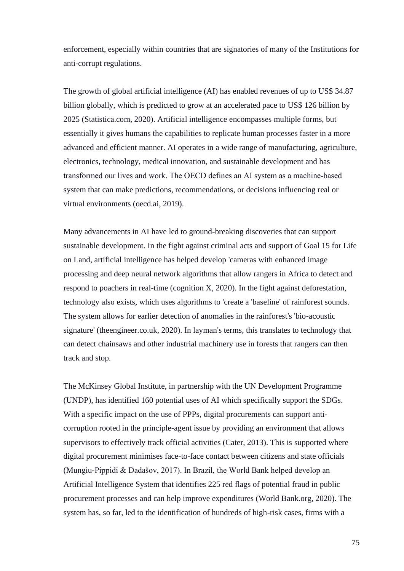enforcement, especially within countries that are signatories of many of the Institutions for anti-corrupt regulations.

The growth of global artificial intelligence (AI) has enabled revenues of up to US\$ 34.87 billion globally, which is predicted to grow at an accelerated pace to US\$ 126 billion by 2025 (Statistica.com, 2020). Artificial intelligence encompasses multiple forms, but essentially it gives humans the capabilities to replicate human processes faster in a more advanced and efficient manner. AI operates in a wide range of manufacturing, agriculture, electronics, technology, medical innovation, and sustainable development and has transformed our lives and work. The OECD defines an AI system as a machine‐based system that can make predictions, recommendations, or decisions influencing real or virtual environments (oecd.ai, 2019).

Many advancements in AI have led to ground-breaking discoveries that can support sustainable development. In the fight against criminal acts and support of Goal 15 for Life on Land, artificial intelligence has helped develop 'cameras with enhanced image processing and deep neural network algorithms that allow rangers in Africa to detect and respond to poachers in real-time (cognition X, 2020). In the fight against deforestation, technology also exists, which uses algorithms to 'create a 'baseline' of rainforest sounds. The system allows for earlier detection of anomalies in the rainforest's 'bio-acoustic signature' (theengineer.co.uk, 2020). In layman's terms, this translates to technology that can detect chainsaws and other industrial machinery use in forests that rangers can then track and stop.

The McKinsey Global Institute, in partnership with the UN Development Programme (UNDP), has identified 160 potential uses of AI which specifically support the SDGs. With a specific impact on the use of PPPs, digital procurements can support anticorruption rooted in the principle-agent issue by providing an environment that allows supervisors to effectively track official activities (Cater, 2013). This is supported where digital procurement minimises face-to-face contact between citizens and state officials (Mungiu-Pippidi & Dadašov, 2017). In Brazil, the World Bank helped develop an Artificial Intelligence System that identifies 225 red flags of potential fraud in public procurement processes and can help improve expenditures (World Bank.org, 2020). The system has, so far, led to the identification of hundreds of high-risk cases, firms with a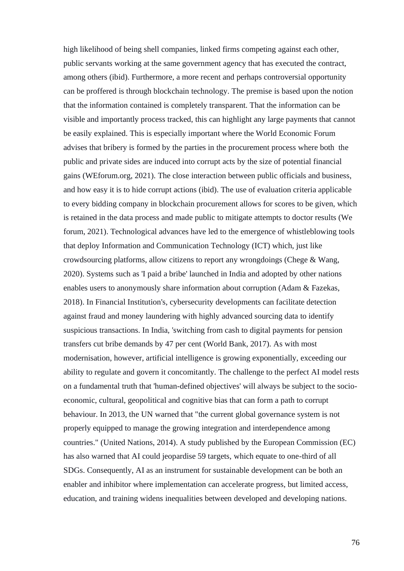high likelihood of being shell companies, linked firms competing against each other, public servants working at the same government agency that has executed the contract, among others (ibid). Furthermore, a more recent and perhaps controversial opportunity can be proffered is through blockchain technology. The premise is based upon the notion that the information contained is completely transparent. That the information can be visible and importantly process tracked, this can highlight any large payments that cannot be easily explained. This is especially important where the World Economic Forum advises that bribery is formed by the parties in the procurement process where both the public and private sides are induced into corrupt acts by the size of potential financial gains (WEforum.org, 2021). The close interaction between public officials and business, and how easy it is to hide corrupt actions (ibid). The use of evaluation criteria applicable to every bidding company in blockchain procurement allows for scores to be given, which is retained in the data process and made public to mitigate attempts to doctor results (We forum, 2021). Technological advances have led to the emergence of whistleblowing tools that deploy Information and Communication Technology (ICT) which, just like crowdsourcing platforms, allow citizens to report any wrongdoings (Chege & Wang, 2020). Systems such as 'I paid a bribe' launched in India and adopted by other nations enables users to anonymously share information about corruption (Adam & Fazekas, 2018). In Financial Institution's, cybersecurity developments can facilitate detection against fraud and money laundering with highly advanced sourcing data to identify suspicious transactions. In India, 'switching from cash to digital payments for pension transfers cut bribe demands by 47 per cent (World Bank, 2017). As with most modernisation, however, artificial intelligence is growing exponentially, exceeding our ability to regulate and govern it concomitantly. The challenge to the perfect AI model rests on a fundamental truth that 'human-defined objectives' will always be subject to the socioeconomic, cultural, geopolitical and cognitive bias that can form a path to corrupt behaviour. In 2013, the UN warned that "the current global governance system is not properly equipped to manage the growing integration and interdependence among countries." (United Nations, 2014). A study published by the European Commission (EC) has also warned that AI could jeopardise 59 targets, which equate to one-third of all SDGs. Consequently, AI as an instrument for sustainable development can be both an enabler and inhibitor where implementation can accelerate progress, but limited access, education, and training widens inequalities between developed and developing nations.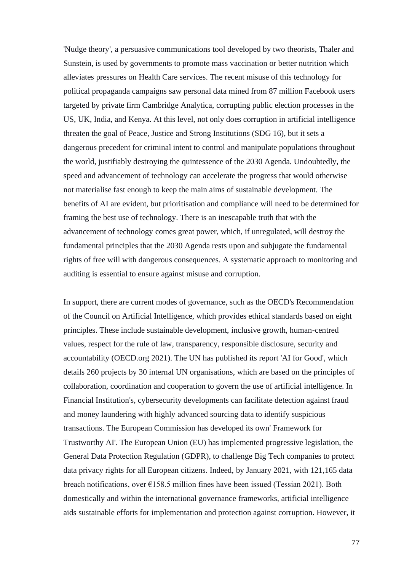'Nudge theory', a persuasive communications tool developed by two theorists, Thaler and Sunstein, is used by governments to promote mass vaccination or better nutrition which alleviates pressures on Health Care services. The recent misuse of this technology for political propaganda campaigns saw personal data mined from 87 million Facebook users targeted by private firm Cambridge Analytica, corrupting public election processes in the US, UK, India, and Kenya. At this level, not only does corruption in artificial intelligence threaten the goal of Peace, Justice and Strong Institutions (SDG 16), but it sets a dangerous precedent for criminal intent to control and manipulate populations throughout the world, justifiably destroying the quintessence of the 2030 Agenda. Undoubtedly, the speed and advancement of technology can accelerate the progress that would otherwise not materialise fast enough to keep the main aims of sustainable development. The benefits of AI are evident, but prioritisation and compliance will need to be determined for framing the best use of technology. There is an inescapable truth that with the advancement of technology comes great power, which, if unregulated, will destroy the fundamental principles that the 2030 Agenda rests upon and subjugate the fundamental rights of free will with dangerous consequences. A systematic approach to monitoring and auditing is essential to ensure against misuse and corruption.

In support, there are current modes of governance, such as the OECD's Recommendation of the Council on Artificial Intelligence, which provides ethical standards based on eight principles. These include sustainable development, inclusive growth, human-centred values, respect for the rule of law, transparency, responsible disclosure, security and accountability (OECD.org 2021). The UN has published its report 'AI for Good', which details 260 projects by 30 internal UN organisations, which are based on the principles of collaboration, coordination and cooperation to govern the use of artificial intelligence. In Financial Institution's, cybersecurity developments can facilitate detection against fraud and money laundering with highly advanced sourcing data to identify suspicious transactions. The European Commission has developed its own' Framework for Trustworthy AI'. The European Union (EU) has implemented progressive legislation, the General Data Protection Regulation (GDPR), to challenge Big Tech companies to protect data privacy rights for all European citizens. Indeed, by January 2021, with 121,165 data breach notifications, over €158.5 million fines have been issued (Tessian 2021). Both domestically and within the international governance frameworks, artificial intelligence aids sustainable efforts for implementation and protection against corruption. However, it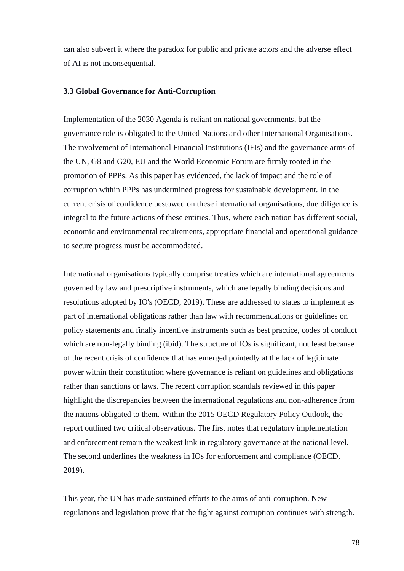can also subvert it where the paradox for public and private actors and the adverse effect of AI is not inconsequential.

### **3.3 Global Governance for Anti-Corruption**

Implementation of the 2030 Agenda is reliant on national governments, but the governance role is obligated to the United Nations and other International Organisations. The involvement of International Financial Institutions (IFIs) and the governance arms of the UN, G8 and G20, EU and the World Economic Forum are firmly rooted in the promotion of PPPs. As this paper has evidenced, the lack of impact and the role of corruption within PPPs has undermined progress for sustainable development. In the current crisis of confidence bestowed on these international organisations, due diligence is integral to the future actions of these entities. Thus, where each nation has different social, economic and environmental requirements, appropriate financial and operational guidance to secure progress must be accommodated.

International organisations typically comprise treaties which are international agreements governed by law and prescriptive instruments, which are legally binding decisions and resolutions adopted by IO's (OECD, 2019). These are addressed to states to implement as part of international obligations rather than law with recommendations or guidelines on policy statements and finally incentive instruments such as best practice, codes of conduct which are non-legally binding (ibid). The structure of IOs is significant, not least because of the recent crisis of confidence that has emerged pointedly at the lack of legitimate power within their constitution where governance is reliant on guidelines and obligations rather than sanctions or laws. The recent corruption scandals reviewed in this paper highlight the discrepancies between the international regulations and non-adherence from the nations obligated to them. Within the 2015 OECD Regulatory Policy Outlook, the report outlined two critical observations. The first notes that regulatory implementation and enforcement remain the weakest link in regulatory governance at the national level. The second underlines the weakness in IOs for enforcement and compliance (OECD, 2019).

This year, the UN has made sustained efforts to the aims of anti-corruption. New regulations and legislation prove that the fight against corruption continues with strength.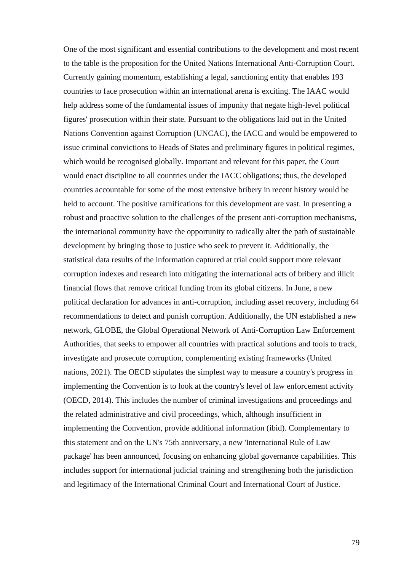One of the most significant and essential contributions to the development and most recent to the table is the proposition for the United Nations International Anti-Corruption Court. Currently gaining momentum, establishing a legal, sanctioning entity that enables 193 countries to face prosecution within an international arena is exciting. The IAAC would help address some of the fundamental issues of impunity that negate high-level political figures' prosecution within their state. Pursuant to the obligations laid out in the United Nations Convention against Corruption (UNCAC), the IACC and would be empowered to issue criminal convictions to Heads of States and preliminary figures in political regimes, which would be recognised globally. Important and relevant for this paper, the Court would enact discipline to all countries under the IACC obligations; thus, the developed countries accountable for some of the most extensive bribery in recent history would be held to account. The positive ramifications for this development are vast. In presenting a robust and proactive solution to the challenges of the present anti-corruption mechanisms, the international community have the opportunity to radically alter the path of sustainable development by bringing those to justice who seek to prevent it. Additionally, the statistical data results of the information captured at trial could support more relevant corruption indexes and research into mitigating the international acts of bribery and illicit financial flows that remove critical funding from its global citizens. In June, a new political declaration for advances in anti-corruption, including asset recovery, including 64 recommendations to detect and punish corruption. Additionally, the UN established a new network, GLOBE, the Global Operational Network of Anti-Corruption Law Enforcement Authorities, that seeks to empower all countries with practical solutions and tools to track, investigate and prosecute corruption, complementing existing frameworks (United nations, 2021). The OECD stipulates the simplest way to measure a country's progress in implementing the Convention is to look at the country's level of law enforcement activity (OECD, 2014). This includes the number of criminal investigations and proceedings and the related administrative and civil proceedings, which, although insufficient in implementing the Convention, provide additional information (ibid). Complementary to this statement and on the UN's 75th anniversary, a new 'International Rule of Law package' has been announced, focusing on enhancing global governance capabilities. This includes support for international judicial training and strengthening both the jurisdiction and legitimacy of the International Criminal Court and International Court of Justice.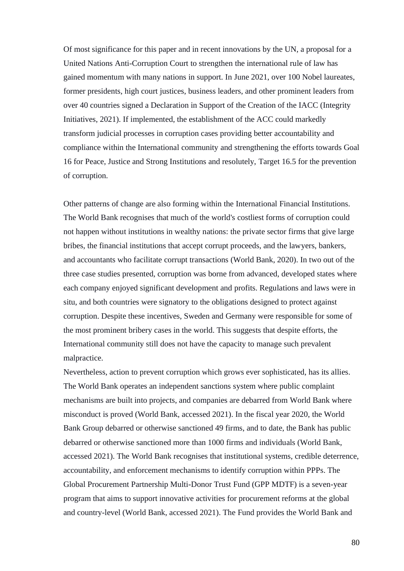Of most significance for this paper and in recent innovations by the UN, a proposal for a United Nations Anti-Corruption Court to strengthen the international rule of law has gained momentum with many nations in support. In June 2021, over 100 Nobel laureates, former presidents, high court justices, business leaders, and other prominent leaders from over 40 countries signed a Declaration in Support of the Creation of the IACC (Integrity Initiatives, 2021). If implemented, the establishment of the ACC could markedly transform judicial processes in corruption cases providing better accountability and compliance within the International community and strengthening the efforts towards Goal 16 for Peace, Justice and Strong Institutions and resolutely, Target 16.5 for the prevention of corruption.

Other patterns of change are also forming within the International Financial Institutions. The World Bank recognises that much of the world's costliest forms of corruption could not happen without institutions in wealthy nations: the private sector firms that give large bribes, the financial institutions that accept corrupt proceeds, and the lawyers, bankers, and accountants who facilitate corrupt transactions (World Bank, 2020). In two out of the three case studies presented, corruption was borne from advanced, developed states where each company enjoyed significant development and profits. Regulations and laws were in situ, and both countries were signatory to the obligations designed to protect against corruption. Despite these incentives, Sweden and Germany were responsible for some of the most prominent bribery cases in the world. This suggests that despite efforts, the International community still does not have the capacity to manage such prevalent malpractice.

Nevertheless, action to prevent corruption which grows ever sophisticated, has its allies. The World Bank operates an independent sanctions system where public complaint mechanisms are built into projects, and companies are debarred from World Bank where misconduct is proved (World Bank, accessed 2021). In the fiscal year 2020, the World Bank Group debarred or otherwise sanctioned 49 firms, and to date, the Bank has public debarred or otherwise sanctioned more than 1000 firms and individuals (World Bank, accessed 2021). The World Bank recognises that institutional systems, credible deterrence, accountability, and enforcement mechanisms to identify corruption within PPPs. The Global Procurement Partnership Multi-Donor Trust Fund (GPP MDTF) is a seven-year program that aims to support innovative activities for procurement reforms at the global and country-level (World Bank, accessed 2021). The Fund provides the World Bank and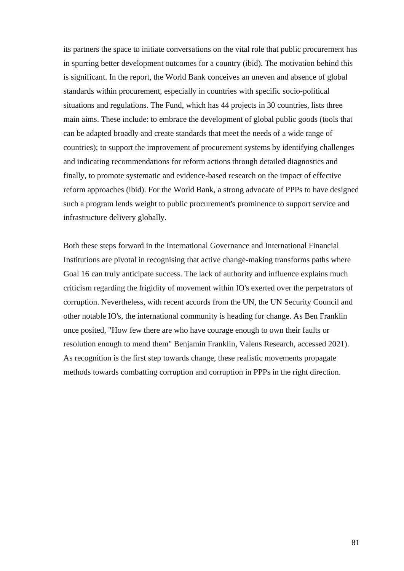its partners the space to initiate conversations on the vital role that public procurement has in spurring better development outcomes for a country (ibid). The motivation behind this is significant. In the report, the World Bank conceives an uneven and absence of global standards within procurement, especially in countries with specific socio-political situations and regulations. The Fund, which has 44 projects in 30 countries, lists three main aims. These include: to embrace the development of global public goods (tools that can be adapted broadly and create standards that meet the needs of a wide range of countries); to support the improvement of procurement systems by identifying challenges and indicating recommendations for reform actions through detailed diagnostics and finally, to promote systematic and evidence-based research on the impact of effective reform approaches (ibid). For the World Bank, a strong advocate of PPPs to have designed such a program lends weight to public procurement's prominence to support service and infrastructure delivery globally.

Both these steps forward in the International Governance and International Financial Institutions are pivotal in recognising that active change-making transforms paths where Goal 16 can truly anticipate success. The lack of authority and influence explains much criticism regarding the frigidity of movement within IO's exerted over the perpetrators of corruption. Nevertheless, with recent accords from the UN, the UN Security Council and other notable IO's, the international community is heading for change. As Ben Franklin once posited, "How few there are who have courage enough to own their faults or resolution enough to mend them" Benjamin Franklin, Valens Research, accessed 2021). As recognition is the first step towards change, these realistic movements propagate methods towards combatting corruption and corruption in PPPs in the right direction.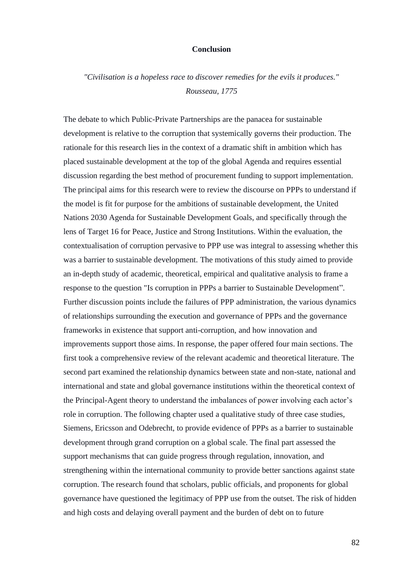# **Conclusion**

*"Civilisation is a hopeless race to discover remedies for the evils it produces." Rousseau, 1775*

The debate to which Public-Private Partnerships are the panacea for sustainable development is relative to the corruption that systemically governs their production. The rationale for this research lies in the context of a dramatic shift in ambition which has placed sustainable development at the top of the global Agenda and requires essential discussion regarding the best method of procurement funding to support implementation. The principal aims for this research were to review the discourse on PPPs to understand if the model is fit for purpose for the ambitions of sustainable development, the United Nations 2030 Agenda for Sustainable Development Goals, and specifically through the lens of Target 16 for Peace, Justice and Strong Institutions. Within the evaluation, the contextualisation of corruption pervasive to PPP use was integral to assessing whether this was a barrier to sustainable development. The motivations of this study aimed to provide an in-depth study of academic, theoretical, empirical and qualitative analysis to frame a response to the question "Is corruption in PPPs a barrier to Sustainable Development". Further discussion points include the failures of PPP administration, the various dynamics of relationships surrounding the execution and governance of PPPs and the governance frameworks in existence that support anti-corruption, and how innovation and improvements support those aims. In response, the paper offered four main sections. The first took a comprehensive review of the relevant academic and theoretical literature. The second part examined the relationship dynamics between state and non-state, national and international and state and global governance institutions within the theoretical context of the Principal-Agent theory to understand the imbalances of power involving each actor's role in corruption. The following chapter used a qualitative study of three case studies, Siemens, Ericsson and Odebrecht, to provide evidence of PPPs as a barrier to sustainable development through grand corruption on a global scale. The final part assessed the support mechanisms that can guide progress through regulation, innovation, and strengthening within the international community to provide better sanctions against state corruption. The research found that scholars, public officials, and proponents for global governance have questioned the legitimacy of PPP use from the outset. The risk of hidden and high costs and delaying overall payment and the burden of debt on to future

82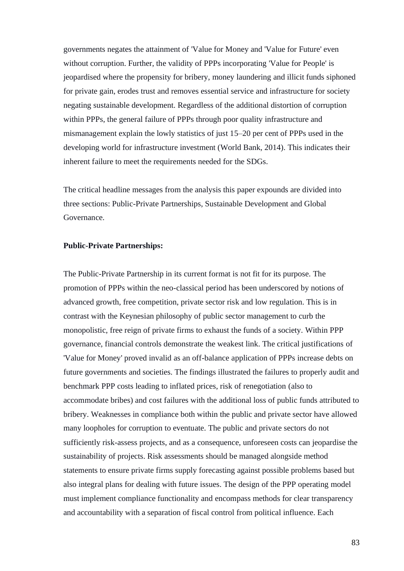governments negates the attainment of 'Value for Money and 'Value for Future' even without corruption. Further, the validity of PPPs incorporating 'Value for People' is jeopardised where the propensity for bribery, money laundering and illicit funds siphoned for private gain, erodes trust and removes essential service and infrastructure for society negating sustainable development. Regardless of the additional distortion of corruption within PPPs, the general failure of PPPs through poor quality infrastructure and mismanagement explain the lowly statistics of just 15–20 per cent of PPPs used in the developing world for infrastructure investment (World Bank, 2014). This indicates their inherent failure to meet the requirements needed for the SDGs.

The critical headline messages from the analysis this paper expounds are divided into three sections: Public-Private Partnerships, Sustainable Development and Global Governance.

## **Public-Private Partnerships:**

The Public-Private Partnership in its current format is not fit for its purpose. The promotion of PPPs within the neo-classical period has been underscored by notions of advanced growth, free competition, private sector risk and low regulation. This is in contrast with the Keynesian philosophy of public sector management to curb the monopolistic, free reign of private firms to exhaust the funds of a society. Within PPP governance, financial controls demonstrate the weakest link. The critical justifications of 'Value for Money' proved invalid as an off-balance application of PPPs increase debts on future governments and societies. The findings illustrated the failures to properly audit and benchmark PPP costs leading to inflated prices, risk of renegotiation (also to accommodate bribes) and cost failures with the additional loss of public funds attributed to bribery. Weaknesses in compliance both within the public and private sector have allowed many loopholes for corruption to eventuate. The public and private sectors do not sufficiently risk-assess projects, and as a consequence, unforeseen costs can jeopardise the sustainability of projects. Risk assessments should be managed alongside method statements to ensure private firms supply forecasting against possible problems based but also integral plans for dealing with future issues. The design of the PPP operating model must implement compliance functionality and encompass methods for clear transparency and accountability with a separation of fiscal control from political influence. Each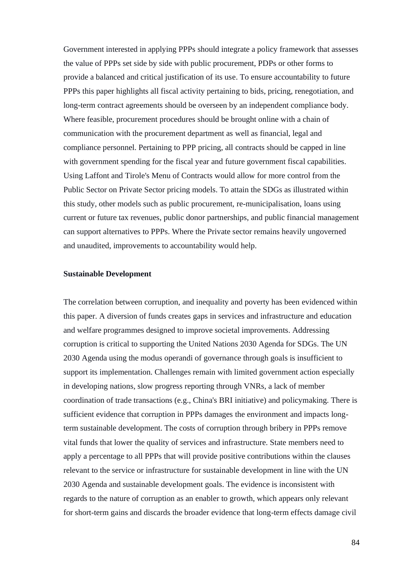Government interested in applying PPPs should integrate a policy framework that assesses the value of PPPs set side by side with public procurement, PDPs or other forms to provide a balanced and critical justification of its use. To ensure accountability to future PPPs this paper highlights all fiscal activity pertaining to bids, pricing, renegotiation, and long-term contract agreements should be overseen by an independent compliance body. Where feasible, procurement procedures should be brought online with a chain of communication with the procurement department as well as financial, legal and compliance personnel. Pertaining to PPP pricing, all contracts should be capped in line with government spending for the fiscal year and future government fiscal capabilities. Using Laffont and Tirole's Menu of Contracts would allow for more control from the Public Sector on Private Sector pricing models. To attain the SDGs as illustrated within this study, other models such as public procurement, re-municipalisation, loans using current or future tax revenues, public donor partnerships, and public financial management can support alternatives to PPPs. Where the Private sector remains heavily ungoverned and unaudited, improvements to accountability would help.

#### **Sustainable Development**

The correlation between corruption, and inequality and poverty has been evidenced within this paper. A diversion of funds creates gaps in services and infrastructure and education and welfare programmes designed to improve societal improvements. Addressing corruption is critical to supporting the United Nations 2030 Agenda for SDGs. The UN 2030 Agenda using the modus operandi of governance through goals is insufficient to support its implementation. Challenges remain with limited government action especially in developing nations, slow progress reporting through VNRs, a lack of member coordination of trade transactions (e.g., China's BRI initiative) and policymaking. There is sufficient evidence that corruption in PPPs damages the environment and impacts longterm sustainable development. The costs of corruption through bribery in PPPs remove vital funds that lower the quality of services and infrastructure. State members need to apply a percentage to all PPPs that will provide positive contributions within the clauses relevant to the service or infrastructure for sustainable development in line with the UN 2030 Agenda and sustainable development goals. The evidence is inconsistent with regards to the nature of corruption as an enabler to growth, which appears only relevant for short-term gains and discards the broader evidence that long-term effects damage civil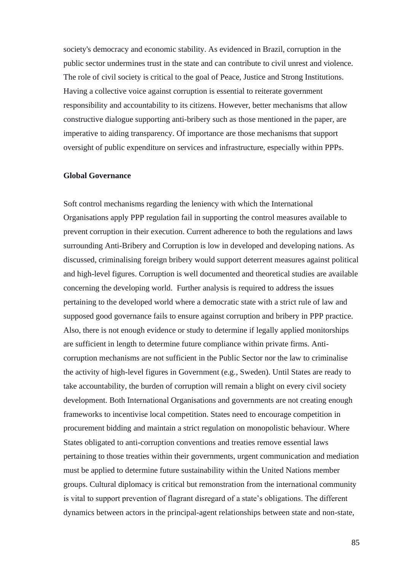society's democracy and economic stability. As evidenced in Brazil, corruption in the public sector undermines trust in the state and can contribute to civil unrest and violence. The role of civil society is critical to the goal of Peace, Justice and Strong Institutions. Having a collective voice against corruption is essential to reiterate government responsibility and accountability to its citizens. However, better mechanisms that allow constructive dialogue supporting anti-bribery such as those mentioned in the paper, are imperative to aiding transparency. Of importance are those mechanisms that support oversight of public expenditure on services and infrastructure, especially within PPPs.

# **Global Governance**

Soft control mechanisms regarding the leniency with which the International Organisations apply PPP regulation fail in supporting the control measures available to prevent corruption in their execution. Current adherence to both the regulations and laws surrounding Anti-Bribery and Corruption is low in developed and developing nations. As discussed, criminalising foreign bribery would support deterrent measures against political and high-level figures. Corruption is well documented and theoretical studies are available concerning the developing world. Further analysis is required to address the issues pertaining to the developed world where a democratic state with a strict rule of law and supposed good governance fails to ensure against corruption and bribery in PPP practice. Also, there is not enough evidence or study to determine if legally applied monitorships are sufficient in length to determine future compliance within private firms. Anticorruption mechanisms are not sufficient in the Public Sector nor the law to criminalise the activity of high-level figures in Government (e.g., Sweden). Until States are ready to take accountability, the burden of corruption will remain a blight on every civil society development. Both International Organisations and governments are not creating enough frameworks to incentivise local competition. States need to encourage competition in procurement bidding and maintain a strict regulation on monopolistic behaviour. Where States obligated to anti-corruption conventions and treaties remove essential laws pertaining to those treaties within their governments, urgent communication and mediation must be applied to determine future sustainability within the United Nations member groups. Cultural diplomacy is critical but remonstration from the international community is vital to support prevention of flagrant disregard of a state's obligations. The different dynamics between actors in the principal-agent relationships between state and non-state,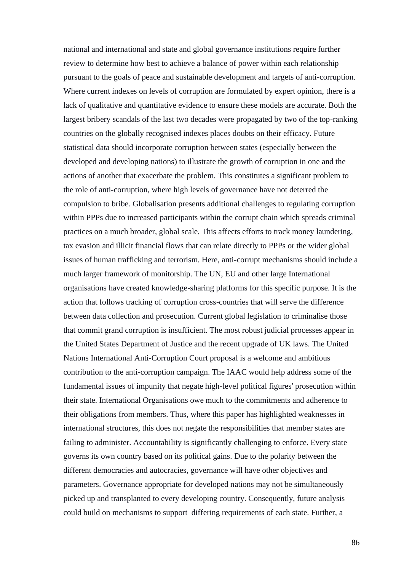national and international and state and global governance institutions require further review to determine how best to achieve a balance of power within each relationship pursuant to the goals of peace and sustainable development and targets of anti-corruption. Where current indexes on levels of corruption are formulated by expert opinion, there is a lack of qualitative and quantitative evidence to ensure these models are accurate. Both the largest bribery scandals of the last two decades were propagated by two of the top-ranking countries on the globally recognised indexes places doubts on their efficacy. Future statistical data should incorporate corruption between states (especially between the developed and developing nations) to illustrate the growth of corruption in one and the actions of another that exacerbate the problem. This constitutes a significant problem to the role of anti-corruption, where high levels of governance have not deterred the compulsion to bribe. Globalisation presents additional challenges to regulating corruption within PPPs due to increased participants within the corrupt chain which spreads criminal practices on a much broader, global scale. This affects efforts to track money laundering, tax evasion and illicit financial flows that can relate directly to PPPs or the wider global issues of human trafficking and terrorism. Here, anti-corrupt mechanisms should include a much larger framework of monitorship. The UN, EU and other large International organisations have created knowledge-sharing platforms for this specific purpose. It is the action that follows tracking of corruption cross-countries that will serve the difference between data collection and prosecution. Current global legislation to criminalise those that commit grand corruption is insufficient. The most robust judicial processes appear in the United States Department of Justice and the recent upgrade of UK laws. The United Nations International Anti-Corruption Court proposal is a welcome and ambitious contribution to the anti-corruption campaign. The IAAC would help address some of the fundamental issues of impunity that negate high-level political figures' prosecution within their state. International Organisations owe much to the commitments and adherence to their obligations from members. Thus, where this paper has highlighted weaknesses in international structures, this does not negate the responsibilities that member states are failing to administer. Accountability is significantly challenging to enforce. Every state governs its own country based on its political gains. Due to the polarity between the different democracies and autocracies, governance will have other objectives and parameters. Governance appropriate for developed nations may not be simultaneously picked up and transplanted to every developing country. Consequently, future analysis could build on mechanisms to support differing requirements of each state. Further, a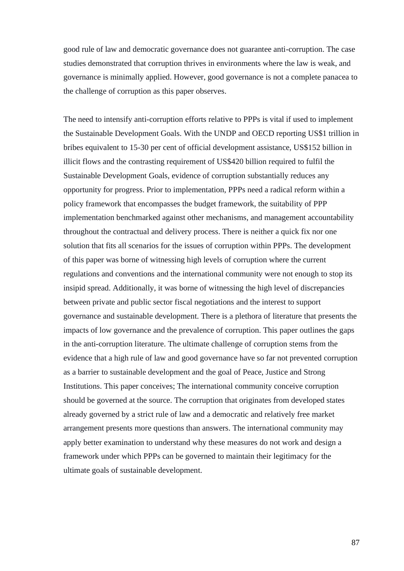good rule of law and democratic governance does not guarantee anti-corruption. The case studies demonstrated that corruption thrives in environments where the law is weak, and governance is minimally applied. However, good governance is not a complete panacea to the challenge of corruption as this paper observes.

The need to intensify anti-corruption efforts relative to PPPs is vital if used to implement the Sustainable Development Goals. With the UNDP and OECD reporting US\$1 trillion in bribes equivalent to 15-30 per cent of official development assistance, US\$152 billion in illicit flows and the contrasting requirement of US\$420 billion required to fulfil the Sustainable Development Goals, evidence of corruption substantially reduces any opportunity for progress. Prior to implementation, PPPs need a radical reform within a policy framework that encompasses the budget framework, the suitability of PPP implementation benchmarked against other mechanisms, and management accountability throughout the contractual and delivery process. There is neither a quick fix nor one solution that fits all scenarios for the issues of corruption within PPPs. The development of this paper was borne of witnessing high levels of corruption where the current regulations and conventions and the international community were not enough to stop its insipid spread. Additionally, it was borne of witnessing the high level of discrepancies between private and public sector fiscal negotiations and the interest to support governance and sustainable development. There is a plethora of literature that presents the impacts of low governance and the prevalence of corruption. This paper outlines the gaps in the anti-corruption literature. The ultimate challenge of corruption stems from the evidence that a high rule of law and good governance have so far not prevented corruption as a barrier to sustainable development and the goal of Peace, Justice and Strong Institutions. This paper conceives; The international community conceive corruption should be governed at the source. The corruption that originates from developed states already governed by a strict rule of law and a democratic and relatively free market arrangement presents more questions than answers. The international community may apply better examination to understand why these measures do not work and design a framework under which PPPs can be governed to maintain their legitimacy for the ultimate goals of sustainable development.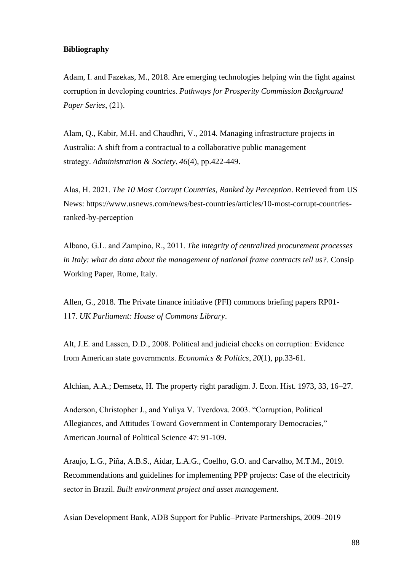## **Bibliography**

Adam, I. and Fazekas, M., 2018. Are emerging technologies helping win the fight against corruption in developing countries. *Pathways for Prosperity Commission Background Paper Series*, (21). 

Alam, Q., Kabir, M.H. and Chaudhri, V., 2014. Managing infrastructure projects in Australia: A shift from a contractual to a collaborative public management strategy. *Administration & Society*, *46*(4), pp.422-449.

Alas, H. 2021. *The 10 Most Corrupt Countries, Ranked by Perception*. Retrieved from US News: https://www.usnews.com/news/best-countries/articles/10-most-corrupt-countriesranked-by-perception 

Albano, G.L. and Zampino, R., 2011. *The integrity of centralized procurement processes in Italy: what do data about the management of national frame contracts tell us?*. Consip Working Paper, Rome, Italy.

Allen, G., 2018. The Private finance initiative (PFI) commons briefing papers RP01- 117. *UK Parliament: House of Commons Library*.

Alt, J.E. and Lassen, D.D., 2008. Political and judicial checks on corruption: Evidence from American state governments. *Economics & Politics*, *20*(1), pp.33-61.

Alchian, A.A.; Demsetz, H. The property right paradigm. J. Econ. Hist. 1973, 33, 16–27.

Anderson, Christopher J., and Yuliya V. Tverdova. 2003. "Corruption, Political Allegiances, and Attitudes Toward Government in Contemporary Democracies," American Journal of Political Science 47: 91-109.

Araujo, L.G., Piña, A.B.S., Aidar, L.A.G., Coelho, G.O. and Carvalho, M.T.M., 2019. Recommendations and guidelines for implementing PPP projects: Case of the electricity sector in Brazil. *Built environment project and asset management*.

Asian Development Bank, ADB Support for Public–Private Partnerships, 2009–2019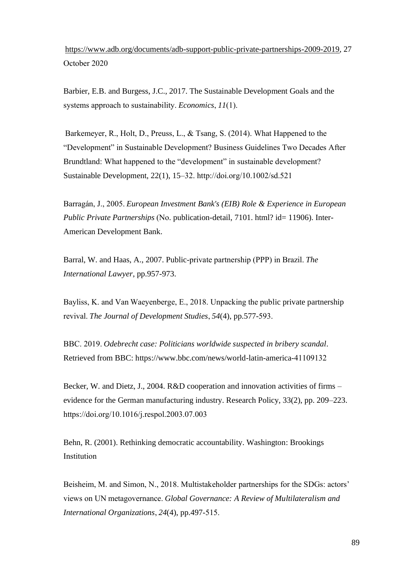[https://www.adb.org/documents/adb-support-public-private-partnerships-2009-2019,](https://www.adb.org/documents/adb-support-public-private-partnerships-2009-2019) 27 October 2020 

Barbier, E.B. and Burgess, J.C., 2017. The Sustainable Development Goals and the systems approach to sustainability. *Economics*, *11*(1). 

 Barkemeyer, R., Holt, D., Preuss, L., & Tsang, S. (2014). What Happened to the "Development" in Sustainable Development? Business Guidelines Two Decades After Brundtland: What happened to the "development" in sustainable development? Sustainable Development, 22(1), 15–32. http://doi.org/10.1002/sd.521 

Barragán, J., 2005. *European Investment Bank's (EIB) Role & Experience in European Public Private Partnerships* (No. publication-detail, 7101. html? id= 11906). Inter-American Development Bank.

Barral, W. and Haas, A., 2007. Public-private partnership (PPP) in Brazil. *The International Lawyer*, pp.957-973.

Bayliss, K. and Van Waeyenberge, E., 2018. Unpacking the public private partnership revival. *The Journal of Development Studies*, *54*(4), pp.577-593. 

BBC. 2019. *Odebrecht case: Politicians worldwide suspected in bribery scandal*. Retrieved from BBC: https://www.bbc.com/news/world-latin-america-41109132 

Becker, W. and Dietz, J., 2004. R&D cooperation and innovation activities of firms – evidence for the German manufacturing industry. Research Policy, 33(2), pp. 209–223. https://doi.org/10.1016/j.respol.2003.07.003  

Behn, R. (2001). Rethinking democratic accountability. Washington: Brookings Institution 

Beisheim, M. and Simon, N., 2018. Multistakeholder partnerships for the SDGs: actors' views on UN metagovernance. *Global Governance: A Review of Multilateralism and International Organizations*, *24*(4), pp.497-515.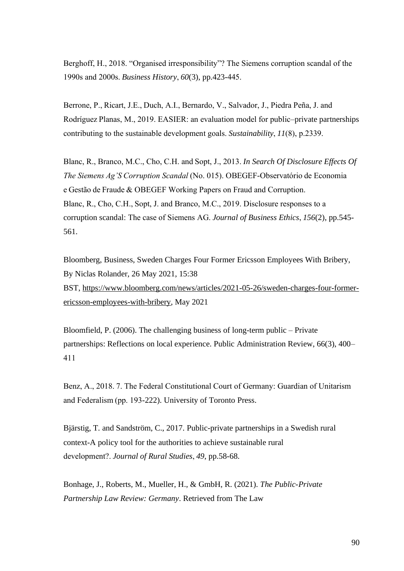Berghoff, H., 2018. "Organised irresponsibility"? The Siemens corruption scandal of the 1990s and 2000s. *Business History*, *60*(3), pp.423-445. 

Berrone, P., Ricart, J.E., Duch, A.I., Bernardo, V., Salvador, J., Piedra Peña, J. and Rodríguez Planas, M., 2019. EASIER: an evaluation model for public–private partnerships contributing to the sustainable development goals. *Sustainability*, *11*(8), p.2339. 

Blanc, R., Branco, M.C., Cho, C.H. and Sopt, J., 2013. *In Search Of Disclosure Effects Of The Siemens Ag'S Corruption Scandal* (No. 015). OBEGEF-Observatório de Economia e Gestão de Fraude & OBEGEF Working Papers on Fraud and Corruption. Blanc, R., Cho, C.H., Sopt, J. and Branco, M.C., 2019. Disclosure responses to a corruption scandal: The case of Siemens AG. *Journal of Business Ethics*, *156*(2), pp.545- 561.

Bloomberg, Business, Sweden Charges Four Former Ericsson Employees With Bribery, By Niclas Rolander, 26 May 2021, 15:38 BST, [https://www.bloomberg.com/news/articles/2021-05-26/sweden-charges-four-former](https://www.bloomberg.com/news/articles/2021-05-26/sweden-charges-four-former-ericsson-employees-with-bribery)[ericsson-employees-with-bribery,](https://www.bloomberg.com/news/articles/2021-05-26/sweden-charges-four-former-ericsson-employees-with-bribery) May 2021

Bloomfield, P. (2006). The challenging business of long-term public – Private partnerships: Reflections on local experience. Public Administration Review, 66(3), 400– 411 

Benz, A., 2018. 7. The Federal Constitutional Court of Germany: Guardian of Unitarism and Federalism (pp. 193-222). University of Toronto Press.

Bjärstig, T. and Sandström, C., 2017. Public-private partnerships in a Swedish rural context-A policy tool for the authorities to achieve sustainable rural development?. *Journal of Rural Studies*, *49*, pp.58-68.

Bonhage, J., Roberts, M., Mueller, H., & GmbH, R. (2021). *The Public-Private Partnership Law Review: Germany*. Retrieved from The Law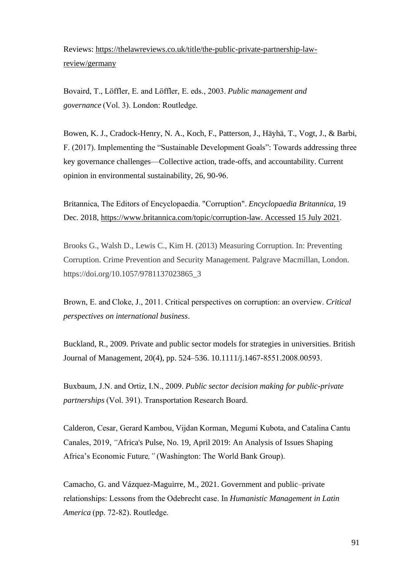Reviews: [https://thelawreviews.co.uk/title/the-public-private-partnership-law](https://thelawreviews.co.uk/title/the-public-private-partnership-law-review/germany)[review/germany](https://thelawreviews.co.uk/title/the-public-private-partnership-law-review/germany)

Bovaird, T., Löffler, E. and Löffler, E. eds., 2003. *Public management and governance* (Vol. 3). London: Routledge.

Bowen, K. J., Cradock-Henry, N. A., Koch, F., Patterson, J., Häyhä, T., Vogt, J., & Barbi, F. (2017). Implementing the "Sustainable Development Goals": Towards addressing three key governance challenges—Collective action, trade-offs, and accountability. Current opinion in environmental sustainability, 26, 90-96. 

Britannica, The Editors of Encyclopaedia. "Corruption". *Encyclopaedia Britannica*, 19 Dec. 2018, [https://www.britannica.com/topic/corruption-law. Accessed 15 July 2021.](https://www.britannica.com/topic/corruption-law.%20Accessed%2015%20July%202021)

Brooks G., Walsh D., Lewis C., Kim H. (2013) Measuring Corruption. In: Preventing Corruption. Crime Prevention and Security Management. Palgrave Macmillan, London. https://doi.org/10.1057/9781137023865\_3

Brown, E. and Cloke, J., 2011. Critical perspectives on corruption: an overview. *Critical perspectives on international business*. 

Buckland, R., 2009. Private and public sector models for strategies in universities. British Journal of Management, 20(4), pp. 524–536. 10.1111/j.1467-8551.2008.00593. 

Buxbaum, J.N. and Ortiz, I.N., 2009. *Public sector decision making for public-private partnerships* (Vol. 391). Transportation Research Board.

Calderon, Cesar, Gerard Kambou, Vijdan Korman, Megumi Kubota, and Catalina Cantu Canales, 2019, *"*Africa's Pulse, No. 19, April 2019: An Analysis of Issues Shaping Africa's Economic Future*,"*(Washington: The World Bank Group).  

Camacho, G. and Vázquez-Maguirre, M., 2021. Government and public–private relationships: Lessons from the Odebrecht case. In *Humanistic Management in Latin America* (pp. 72-82). Routledge.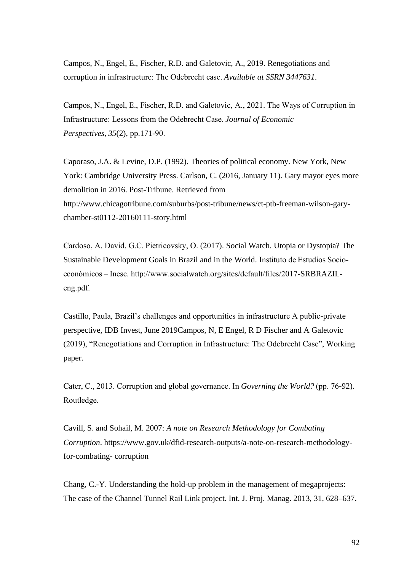Campos, N., Engel, E., Fischer, R.D. and Galetovic, A., 2019. Renegotiations and corruption in infrastructure: The Odebrecht case. *Available at SSRN 3447631*.

Campos, N., Engel, E., Fischer, R.D. and Galetovic, A., 2021. The Ways of Corruption in Infrastructure: Lessons from the Odebrecht Case. *Journal of Economic Perspectives*, *35*(2), pp.171-90. 

Caporaso, J.A. & Levine, D.P. (1992). Theories of political economy. New York, New York: Cambridge University Press. Carlson, C. (2016, January 11). Gary mayor eyes more demolition in 2016. Post-Tribune. Retrieved from http://www.chicagotribune.com/suburbs/post-tribune/news/ct-ptb-freeman-wilson-garychamber-st0112-20160111-story.html

Cardoso, A. David, G.C. Pietricovsky, O. (2017). Social Watch. Utopia or Dystopia? The Sustainable Development Goals in Brazil and in the World. Instituto de Estudios Socioeconómicos – Inesc. http://www.socialwatch.org/sites/default/files/2017-SRBRAZILeng.pdf.  

Castillo, Paula, Brazil's challenges and opportunities in infrastructure A public-private perspective, IDB Invest, June 2019Campos, N, E Engel, R D Fischer and A Galetovic (2019), "Renegotiations and Corruption in Infrastructure: The Odebrecht Case", Working paper.

Cater, C., 2013. Corruption and global governance. In *Governing the World?* (pp. 76-92). Routledge. 

Cavill, S. and Sohail, M. 2007: *A note on Research Methodology for Combating Corruption*. https://www.gov.uk/dfid-research-outputs/a-note-on-research-methodologyfor-combating- corruption

Chang, C.-Y. Understanding the hold-up problem in the management of megaprojects: The case of the Channel Tunnel Rail Link project. Int. J. Proj. Manag. 2013, 31, 628–637.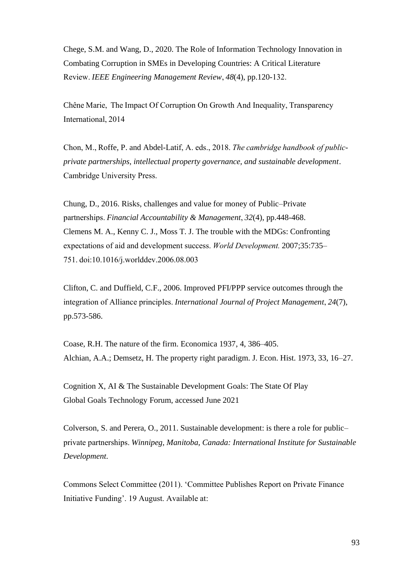Chege, S.M. and Wang, D., 2020. The Role of Information Technology Innovation in Combating Corruption in SMEs in Developing Countries: A Critical Literature Review. *IEEE Engineering Management Review*, *48*(4), pp.120-132. 

Chêne Marie,  The Impact Of Corruption On Growth And Inequality, Transparency International, 2014 

Chon, M., Roffe, P. and Abdel-Latif, A. eds., 2018. *The cambridge handbook of publicprivate partnerships, intellectual property governance, and sustainable development*. Cambridge University Press. 

Chung, D., 2016. Risks, challenges and value for money of Public–Private partnerships. *Financial Accountability & Management*, *32*(4), pp.448-468. Clemens M. A., Kenny C. J., Moss T. J. The trouble with the MDGs: Confronting expectations of aid and development success. *World Development.*2007;35:735– 751. doi:10.1016/j.worlddev.2006.08.003  

Clifton, C. and Duffield, C.F., 2006. Improved PFI/PPP service outcomes through the integration of Alliance principles. *International Journal of Project Management*, *24*(7), pp.573-586.

Coase, R.H. The nature of the firm. Economica 1937, 4, 386–405. Alchian, A.A.; Demsetz, H. The property right paradigm. J. Econ. Hist. 1973, 33, 16–27.

Cognition X, AI & The Sustainable Development Goals: The State Of Play Global Goals Technology Forum, accessed June 2021

Colverson, S. and Perera, O., 2011. Sustainable development: is there a role for public– private partnerships. *Winnipeg, Manitoba, Canada: International Institute for Sustainable Development*.

Commons Select Committee (2011). 'Committee Publishes Report on Private Finance Initiative Funding'. 19 August. Available at: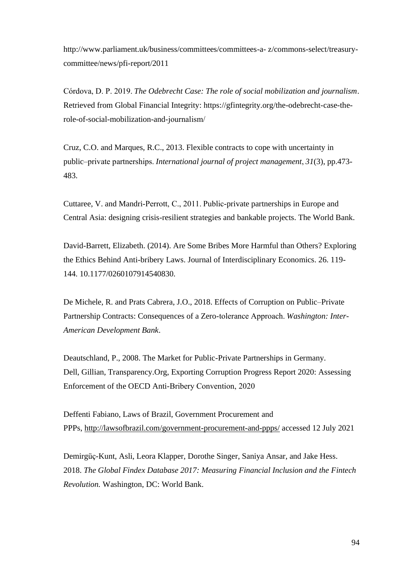http://www.parliament.uk/business/committees/committees-a- z/commons-select/treasurycommittee/news/pfi-report/2011

Córdova, D. P. 2019. *The Odebrecht Case: The role of social mobilization and journalism*. Retrieved from Global Financial Integrity: https://gfintegrity.org/the-odebrecht-case-therole-of-social-mobilization-and-journalism/ 

Cruz, C.O. and Marques, R.C., 2013. Flexible contracts to cope with uncertainty in public–private partnerships. *International journal of project management*, *31*(3), pp.473- 483.

Cuttaree, V. and Mandri-Perrott, C., 2011. Public-private partnerships in Europe and Central Asia: designing crisis-resilient strategies and bankable projects. The World Bank.

David-Barrett, Elizabeth. (2014). Are Some Bribes More Harmful than Others? Exploring the Ethics Behind Anti-bribery Laws. Journal of Interdisciplinary Economics. 26. 119- 144. 10.1177/0260107914540830.

De Michele, R. and Prats Cabrera, J.O., 2018. Effects of Corruption on Public–Private Partnership Contracts: Consequences of a Zero-tolerance Approach. *Washington: Inter-American Development Bank*.

Deautschland, P., 2008. The Market for Public-Private Partnerships in Germany. Dell, Gillian, Transparency.Org, Exporting Corruption Progress Report 2020: Assessing Enforcement of the OECD Anti-Bribery Convention, 2020 

Deffenti Fabiano, Laws of Brazil, Government Procurement and PPPs, <http://lawsofbrazil.com/government-procurement-and-ppps/> accessed 12 July 2021

Demirgüç-Kunt, Asli, Leora Klapper, Dorothe Singer, Saniya Ansar, and Jake Hess. 2018. *The Global Findex Database 2017: Measuring Financial Inclusion and the Fintech Revolution.* Washington, DC: World Bank.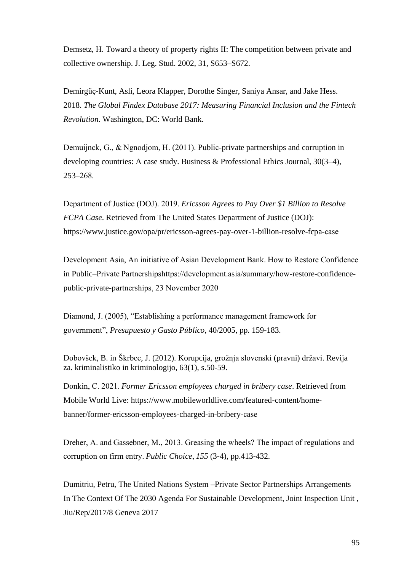Demsetz, H. Toward a theory of property rights II: The competition between private and collective ownership. J. Leg. Stud. 2002, 31, S653–S672.

Demirgüç-Kunt, Asli, Leora Klapper, Dorothe Singer, Saniya Ansar, and Jake Hess. 2018. *The Global Findex Database 2017: Measuring Financial Inclusion and the Fintech Revolution.* Washington, DC: World Bank.

Demuijnck, G., & Ngnodjom, H. (2011). Public-private partnerships and corruption in developing countries: A case study. Business & Professional Ethics Journal, 30(3–4), 253–268. 

Department of Justice (DOJ). 2019. *Ericsson Agrees to Pay Over \$1 Billion to Resolve FCPA Case*. Retrieved from The United States Department of Justice (DOJ): https://www.justice.gov/opa/pr/ericsson-agrees-pay-over-1-billion-resolve-fcpa-case 

Development Asia, An initiative of Asian Development Bank. How to Restore Confidence in Public–Private Partnershipshttps://development.asia/summary/how-restore-confidencepublic-private-partnerships, 23 November 2020  

Diamond, J. (2005), "Establishing a performance management framework for government", *Presupuesto y Gasto Público*, 40/2005, pp. 159-183.

Dobovšek, B. in Škrbec, J. (2012). Korupcija, grožnja slovenski (pravni) državi. Revija za. kriminalistiko in kriminologijo, 63(1), s.50-59.

Donkin, C. 2021. *Former Ericsson employees charged in bribery case*. Retrieved from Mobile World Live: https://www.mobileworldlive.com/featured-content/homebanner/former-ericsson-employees-charged-in-bribery-case 

Dreher, A. and Gassebner, M., 2013. Greasing the wheels? The impact of regulations and corruption on firm entry. *Public Choice*, *155* (3-4), pp.413-432.

Dumitriu, Petru, The United Nations System –Private Sector Partnerships Arrangements In The Context Of The 2030 Agenda For Sustainable Development, Joint Inspection Unit , Jiu/Rep/2017/8 Geneva 2017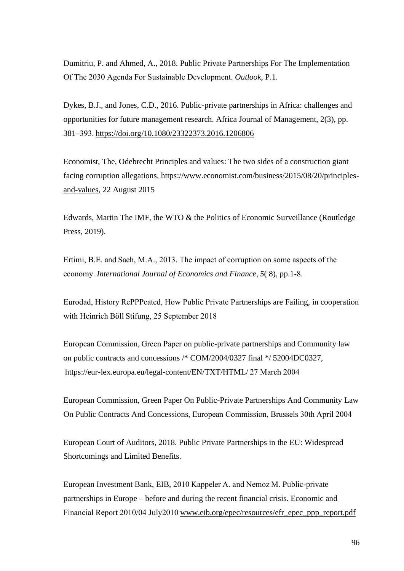Dumitriu, P. and Ahmed, A., 2018. Public Private Partnerships For The Implementation Of The 2030 Agenda For Sustainable Development. *Outlook*, P.1.

Dykes, B.J., and Jones, C.D., 2016. Public-private partnerships in Africa: challenges and opportunities for future management research. Africa Journal of Management, 2(3), pp. 381–393.<https://doi.org/10.1080/23322373.2016.1206806>

Economist, The, Odebrecht Principles and values: The two sides of a construction giant facing corruption allegations, [https://www.economist.com/business/2015/08/20/principles](https://www.economist.com/business/2015/08/20/principles-and-values)[and-values,](https://www.economist.com/business/2015/08/20/principles-and-values) 22 August 2015

Edwards, Martin The IMF, the WTO & the Politics of Economic Surveillance (Routledge Press, 2019).

Ertimi, B.E. and Saeh, M.A., 2013. The impact of corruption on some aspects of the economy. *International Journal of Economics and Finance*, *5*( 8), pp.1-8. 

Eurodad, History RePPPeated, How Public Private Partnerships are Failing, in cooperation with Heinrich Böll Stifung, 25 September 2018 

European Commission, Green Paper on public-private partnerships and Community law on public contracts and concessions /\* COM/2004/0327 final \*/ 52004DC0327, <https://eur-lex.europa.eu/legal-content/EN/TXT/HTML/>27 March 2004 

European Commission, Green Paper On Public-Private Partnerships And Community Law On Public Contracts And Concessions, European Commission, Brussels 30th April 2004  

European Court of Auditors, 2018. Public Private Partnerships in the EU: Widespread Shortcomings and Limited Benefits.

European Investment Bank, EIB, 2010 Kappeler A. and Nemoz M. Public-private partnerships in Europe – before and during the recent financial crisis. Economic and Financial Report 2010/04 July201[0 www.eib.org/epec/resources/efr\\_epec\\_ppp\\_report.pdf](http://www.eib.org/epec/resources/efr_epec_ppp_report.pdf)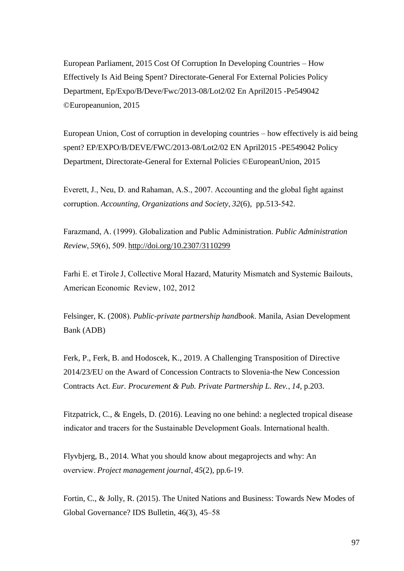European Parliament, 2015 Cost Of Corruption In Developing Countries – How Effectively Is Aid Being Spent? Directorate-General For External Policies Policy Department, Ep/Expo/B/Deve/Fwc/2013-08/Lot2/02 En April2015 -Pe549042 ©Europeanunion, 2015

European Union, Cost of corruption in developing countries – how effectively is aid being spent? EP/EXPO/B/DEVE/FWC/2013-08/Lot2/02 EN April2015 -PE549042 Policy Department, Directorate-General for External Policies ©EuropeanUnion, 2015

Everett, J., Neu, D. and Rahaman, A.S., 2007. Accounting and the global fight against corruption. *Accounting, Organizations and Society*, *32*(6), pp.513-542. 

Farazmand, A. (1999). Globalization and Public Administration. *Public Administration Review*, *59*(6), 509.<http://doi.org/10.2307/3110299>

Farhi E. et Tirole J, Collective Moral Hazard, Maturity Mismatch and Systemic Bailouts, American Economic  Review, 102, 2012

Felsinger, K. (2008). *Public-private partnership handbook*. Manila, Asian Development Bank (ADB)

Ferk, P., Ferk, B. and Hodoscek, K., 2019. A Challenging Transposition of Directive 2014/23/EU on the Award of Concession Contracts to Slovenia-the New Concession Contracts Act. *Eur. Procurement & Pub. Private Partnership L. Rev.*, *14*, p.203.

Fitzpatrick, C., & Engels, D. (2016). Leaving no one behind: a neglected tropical disease indicator and tracers for the Sustainable Development Goals. International health. 

Flyvbjerg, B., 2014. What you should know about megaprojects and why: An overview. *Project management journal*, *45*(2), pp.6-19. 

Fortin, C., & Jolly, R. (2015). The United Nations and Business: Towards New Modes of Global Governance? IDS Bulletin, 46(3), 45–58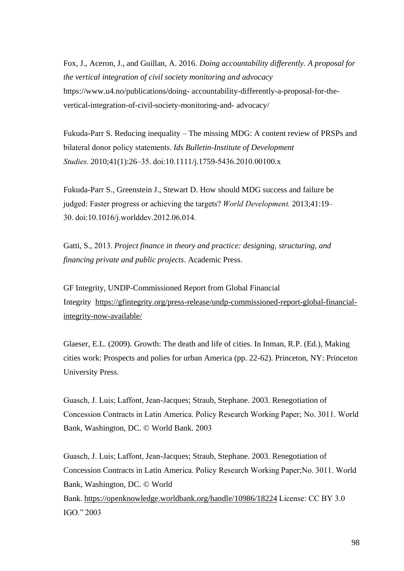Fox, J., Aceron, J., and Guillan, A. 2016. *Doing accountability differently. A proposal for the vertical integration of civil society monitoring and advocacy*  https://www.u4.no/publications/doing- accountability-differently-a-proposal-for-thevertical-integration-of-civil-society-monitoring-and- advocacy/

Fukuda-Parr S. Reducing inequality – The missing MDG: A content review of PRSPs and bilateral donor policy statements. *Ids Bulletin-Institute of Development Studies.*2010;41(1):26–35. doi:10.1111/j.1759-5436.2010.00100.x 

Fukuda-Parr S., Greenstein J., Stewart D. How should MDG success and failure be judged: Faster progress or achieving the targets? *World Development.*2013;41:19– 30. doi:10.1016/j.worlddev.2012.06.014.  

Gatti, S., 2013. *Project finance in theory and practice: designing, structuring, and financing private and public projects*. Academic Press.

GF Integrity, UNDP-Commissioned Report from Global Financial Integrity [https://gfintegrity.org/press-release/undp-commissioned-report-global-financial](https://gfintegrity.org/press-release/undp-commissioned-report-global-financial-integrity-now-available/)[integrity-now-available/](https://gfintegrity.org/press-release/undp-commissioned-report-global-financial-integrity-now-available/)

Glaeser, E.L. (2009). Growth: The death and life of cities. In Inman, R.P. (Ed.), Making cities work: Prospects and polies for urban America (pp. 22-62). Princeton, NY: Princeton University Press.

Guasch, J. Luis; Laffont, Jean-Jacques; Straub, Stephane. 2003. Renegotiation of Concession Contracts in Latin America. Policy Research Working Paper; No. 3011. World Bank, Washington, DC. © World Bank. 2003 

Guasch, J. Luis; Laffont, Jean-Jacques; Straub, Stephane. 2003. Renegotiation of Concession Contracts in Latin America. Policy Research Working Paper;No. 3011. World Bank, Washington, DC. © World Bank.<https://openknowledge.worldbank.org/handle/10986/18224>License: CC BY 3.0 IGO." 2003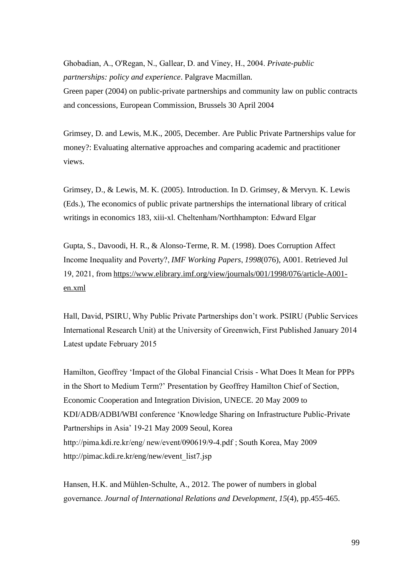Ghobadian, A., O'Regan, N., Gallear, D. and Viney, H., 2004. *Private-public partnerships: policy and experience*. Palgrave Macmillan.

Green paper (2004) on public-private partnerships and community law on public contracts and concessions, European Commission, Brussels 30 April 2004

Grimsey, D. and Lewis, M.K., 2005, December. Are Public Private Partnerships value for money?: Evaluating alternative approaches and comparing academic and practitioner views.

Grimsey, D., & Lewis, M. K. (2005). Introduction. In D. Grimsey, & Mervyn. K. Lewis (Eds.), The economics of public private partnerships the international library of critical writings in economics 183, xiii-xl. Cheltenham/Northhampton: Edward Elgar 

Gupta, S., Davoodi, H. R., & Alonso-Terme, R. M. (1998). Does Corruption Affect Income Inequality and Poverty?, *IMF Working Papers*, *1998*(076), A001. Retrieved Jul 19, 2021, from[https://www.elibrary.imf.org/view/journals/001/1998/076/article-A001](https://www.elibrary.imf.org/view/journals/001/1998/076/article-A001-en.xml) [en.xml](https://www.elibrary.imf.org/view/journals/001/1998/076/article-A001-en.xml)

Hall, David, PSIRU, Why Public Private Partnerships don't work. PSIRU (Public Services International Research Unit) at the University of Greenwich, First Published January 2014 Latest update February 2015  

Hamilton, Geoffrey 'Impact of the Global Financial Crisis - What Does It Mean for PPPs in the Short to Medium Term?' Presentation by Geoffrey Hamilton Chief of Section, Economic Cooperation and Integration Division, UNECE. 20 May 2009 to KDI/ADB/ADBI/WBI conference 'Knowledge Sharing on Infrastructure Public-Private Partnerships in Asia' 19-21 May 2009 Seoul, Korea http://pima.kdi.re.kr/eng/ new/event/090619/9-4.pdf ; South Korea, May 2009 http://pimac.kdi.re.kr/eng/new/event\_list7.jsp  

Hansen, H.K. and Mühlen-Schulte, A., 2012. The power of numbers in global governance. *Journal of International Relations and Development*, *15*(4), pp.455-465.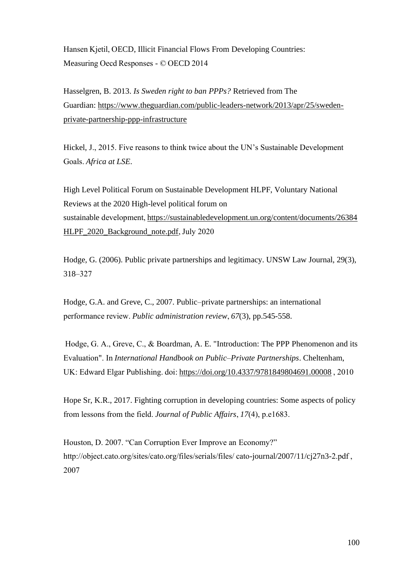Hansen Kjetil, OECD, Illicit Financial Flows From Developing Countries: Measuring Oecd Responses - © OECD 2014 

Hasselgren, B. 2013. *Is Sweden right to ban PPPs?* Retrieved from The Guardian: [https://www.theguardian.com/public-leaders-network/2013/apr/25/sweden](https://www.theguardian.com/public-leaders-network/2013/apr/25/sweden-private-partnership-ppp-infrastructure)[private-partnership-ppp-infrastructure](https://www.theguardian.com/public-leaders-network/2013/apr/25/sweden-private-partnership-ppp-infrastructure)

Hickel, J., 2015. Five reasons to think twice about the UN's Sustainable Development Goals. *Africa at LSE*.

High Level Political Forum on Sustainable Development HLPF, Voluntary National Reviews at the 2020 High-level political forum on sustainable development, https://sustainabledevelopment.un.org/content/documents/26384 [HLPF\\_2020\\_Background\\_note.pdf,](https://sustainabledevelopment.un.org/content/documents/26384HLPF_2020_Background_note.pdf) July 2020 

Hodge, G. (2006). Public private partnerships and legitimacy. UNSW Law Journal, 29(3), 318–327 

Hodge, G.A. and Greve, C., 2007. Public–private partnerships: an international performance review. *Public administration review*, *67*(3), pp.545-558.

 Hodge, G. A., Greve, C., & Boardman, A. E. "Introduction: The PPP Phenomenon and its Evaluation". In *International Handbook on Public–Private Partnerships*. Cheltenham, UK: Edward Elgar Publishing. doi:<https://doi.org/10.4337/9781849804691.00008>, 2010

Hope Sr, K.R., 2017. Fighting corruption in developing countries: Some aspects of policy from lessons from the field. *Journal of Public Affairs*, *17*(4), p.e1683. 

Houston, D. 2007. "Can Corruption Ever Improve an Economy?" http://object.cato.org/sites/cato.org/files/serials/files/ cato-journal/2007/11/cj27n3-2.pdf , 2007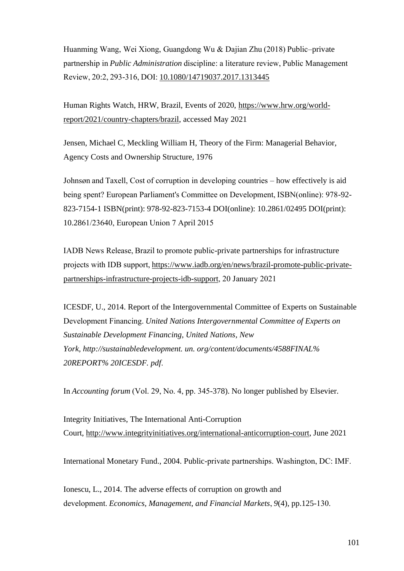Huanming Wang, Wei Xiong, Guangdong Wu & Dajian Zhu (2018) Public–private partnership in *Public Administration* discipline: a literature review, Public Management Review, 20:2, 293-316, DOI:[10.1080/14719037.2017.1313445](https://doi.org/10.1080/14719037.2017.1313445)

Human Rights Watch, HRW, Brazil, Events of 2020, [https://www.hrw.org/world](https://www.hrw.org/world-report/2021/country-chapters/brazil)[report/2021/country-chapters/brazil,](https://www.hrw.org/world-report/2021/country-chapters/brazil) accessed May 2021

Jensen, Michael C, Meckling William H, Theory of the Firm: Managerial Behavior, Agency Costs and Ownership Structure, 1976

Johnsøn and Taxell, Cost of corruption in developing countries – how effectively is aid being spent? European Parliament's Committee on Development, ISBN(online): 978-92- 823-7154-1 ISBN(print): 978-92-823-7153-4 DOI(online): 10.2861/02495 DOI(print): 10.2861/23640, European Union 7 April 2015  

IADB News Release, Brazil to promote public-private partnerships for infrastructure projects with IDB support,[https://www.iadb.org/en/news/brazil-promote-public-private](https://www.iadb.org/en/news/brazil-promote-public-private-partnerships-infrastructure-projects-idb-support)[partnerships-infrastructure-projects-idb-support,](https://www.iadb.org/en/news/brazil-promote-public-private-partnerships-infrastructure-projects-idb-support) 20 January 2021 

ICESDF, U., 2014. Report of the Intergovernmental Committee of Experts on Sustainable Development Financing. *United Nations Intergovernmental Committee of Experts on Sustainable Development Financing, United Nations, New York, http://sustainabledevelopment. un. org/content/documents/4588FINAL% 20REPORT% 20ICESDF. pdf*. 

In *Accounting forum* (Vol. 29, No. 4, pp. 345-378). No longer published by Elsevier.

Integrity Initiatives, The International Anti-Corruption Court, [http://www.integrityinitiatives.org/international-anticorruption-court,](http://www.integrityinitiatives.org/international-anticorruption-court) June 2021

International Monetary Fund., 2004. Public-private partnerships. Washington, DC: IMF. 

Ionescu, L., 2014. The adverse effects of corruption on growth and development. *Economics, Management, and Financial Markets*, *9*(4), pp.125-130.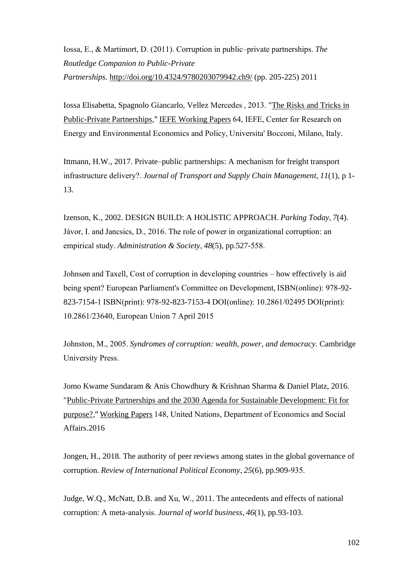Iossa, E., & Martimort, D. (2011). Corruption in public–private partnerships. *The Routledge Companion to Public-Private Partnerships*. <http://doi.org/10.4324/9780203079942.ch9/> (pp. 205-225) 2011

Iossa Elisabetta, Spagnolo Giancarlo, Vellez Mercedes , 2013. ["The Risks and Tricks in](https://ideas.repec.org/p/bcu/iefewp/iefewp64.html)  [Public-Private Partnerships,](https://ideas.repec.org/p/bcu/iefewp/iefewp64.html)"[IEFE Working Papers](https://ideas.repec.org/s/bcu/iefewp.html)64, IEFE, Center for Research on Energy and Environmental Economics and Policy, Universita' Bocconi, Milano, Italy. 

Ittmann, H.W., 2017. Private–public partnerships: A mechanism for freight transport infrastructure delivery?. *Journal of Transport and Supply Chain Management*, *11*(1), p 1- 13.

Izenson, K., 2002. DESIGN BUILD: A HOLISTIC APPROACH. *Parking Today*, *7*(4). Jávor, I. and Jancsics, D., 2016. The role of power in organizational corruption: an empirical study. *Administration & Society*, *48*(5), pp.527-558. 

Johnsøn and Taxell, Cost of corruption in developing countries – how effectively is aid being spent? European Parliament's Committee on Development, ISBN(online): 978-92- 823-7154-1 ISBN(print): 978-92-823-7153-4 DOI(online): 10.2861/02495 DOI(print): 10.2861/23640, European Union 7 April 2015  

Johnston, M., 2005. *Syndromes of corruption: wealth, power, and democracy*. Cambridge University Press. 

Jomo Kwame Sundaram & Anis Chowdhury & Krishnan Sharma & Daniel Platz, 2016. ["Public-Private Partnerships and the 2030 Agenda for Sustainable Development: Fit for](https://ideas.repec.org/p/une/wpaper/148.html)  [purpose?,](https://ideas.repec.org/p/une/wpaper/148.html)"[Working Papers](https://ideas.repec.org/s/une/wpaper.html)148, United Nations, Department of Economics and Social Affairs.2016

Jongen, H., 2018. The authority of peer reviews among states in the global governance of corruption. *Review of International Political Economy*, *25*(6), pp.909-935. 

Judge, W.Q., McNatt, D.B. and Xu, W., 2011. The antecedents and effects of national corruption: A meta-analysis. *Journal of world business*, *46*(1), pp.93-103.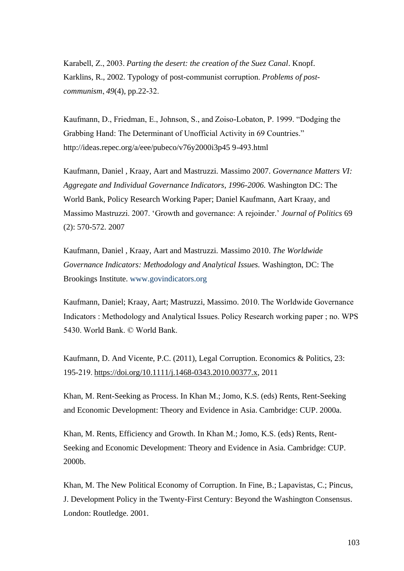Karabell, Z., 2003. *Parting the desert: the creation of the Suez Canal*. Knopf. Karklins, R., 2002. Typology of post-communist corruption. *Problems of postcommunism*, *49*(4), pp.22-32. 

Kaufmann, D., Friedman, E., Johnson, S., and Zoiso-Lobaton, P. 1999. "Dodging the Grabbing Hand: The Determinant of Unofficial Activity in 69 Countries." http://ideas.repec.org/a/eee/pubeco/v76y2000i3p45 9-493.html  

Kaufmann, Daniel , Kraay, Aart and Mastruzzi. Massimo 2007. *Governance Matters VI: Aggregate and Individual Governance Indicators, 1996-2006.* Washington DC: The World Bank, Policy Research Working Paper; Daniel Kaufmann, Aart Kraay, and Massimo Mastruzzi. 2007. 'Growth and governance: A rejoinder.' *Journal of Politics* 69 (2): 570-572. 2007

Kaufmann, Daniel , Kraay, Aart and Mastruzzi. Massimo 2010. *The Worldwide Governance Indicators: Methodology and Analytical Issues.* Washington, DC: The Brookings Institute. www.govindicators.org

Kaufmann, Daniel; Kraay, Aart; Mastruzzi, Massimo. 2010. The Worldwide Governance Indicators : Methodology and Analytical Issues. Policy Research working paper ; no. WPS 5430. World Bank. © World Bank.

Kaufmann, D. And Vicente, P.C. (2011), Legal Corruption. Economics & Politics, 23: 195-219.[https://doi.org/10.1111/j.1468-0343.2010.00377.x,](https://doi.org/10.1111/j.1468-0343.2010.00377.x) 2011

Khan, M. Rent-Seeking as Process. In Khan M.; Jomo, K.S. (eds) Rents, Rent-Seeking and Economic Development: Theory and Evidence in Asia. Cambridge: CUP. 2000a.

Khan, M. Rents, Efficiency and Growth. In Khan M.; Jomo, K.S. (eds) Rents, Rent-Seeking and Economic Development: Theory and Evidence in Asia. Cambridge: CUP. 2000b.

Khan, M. The New Political Economy of Corruption. In Fine, B.; Lapavistas, C.; Pincus, J. Development Policy in the Twenty-First Century: Beyond the Washington Consensus. London: Routledge. 2001.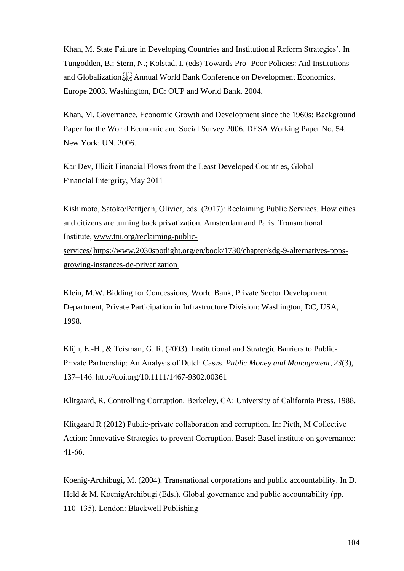Khan, M. State Failure in Developing Countries and Institutional Reform Strategies'. In Tungodden, B.; Stern, N.; Kolstad, I. (eds) Towards Pro- Poor Policies: Aid Institutions and Globalization.<sup>[17]</sup> Annual World Bank Conference on Development Economics, Europe 2003. Washington, DC: OUP and World Bank. 2004.

Khan, M. Governance, Economic Growth and Development since the 1960s: Background Paper for the World Economic and Social Survey 2006. DESA Working Paper No. 54. New York: UN. 2006.

Kar Dev, Illicit Financial Flows from the Least Developed Countries, Global Financial Intergrity, May 2011 

Kishimoto, Satoko/Petitjean, Olivier, eds. (2017): Reclaiming Public Services. How cities and citizens are turning back privatization. Amsterdam and Paris. Transnational Institute,[www.tni.org/reclaiming-public](http://www.tni.org/reclaiming-public-services)[services/](http://www.tni.org/reclaiming-public-services) [https://www.2030spotlight.org/en/book/1730/chapter/sdg-9-alternatives-ppps](https://www.2030spotlight.org/en/book/1730/chapter/sdg-9-alternatives-ppps-growing-instances-de-privatization)[growing-instances-de-privatization](https://www.2030spotlight.org/en/book/1730/chapter/sdg-9-alternatives-ppps-growing-instances-de-privatization)

Klein, M.W. Bidding for Concessions; World Bank, Private Sector Development Department, Private Participation in Infrastructure Division: Washington, DC, USA, 1998.

Klijn, E.-H., & Teisman, G. R. (2003). Institutional and Strategic Barriers to Public-Private Partnership: An Analysis of Dutch Cases. *Public Money and Management*, *23*(3), 137–146.<http://doi.org/10.1111/1467-9302.00361>

Klitgaard, R. Controlling Corruption. Berkeley, CA: University of California Press. 1988.

Klitgaard R (2012) Public-private collaboration and corruption. In: Pieth, M Collective Action: Innovative Strategies to prevent Corruption. Basel: Basel institute on governance: 41-66. 

Koenig-Archibugi, M. (2004). Transnational corporations and public accountability. In D. Held & M. KoenigArchibugi (Eds.), Global governance and public accountability (pp. 110–135). London: Blackwell Publishing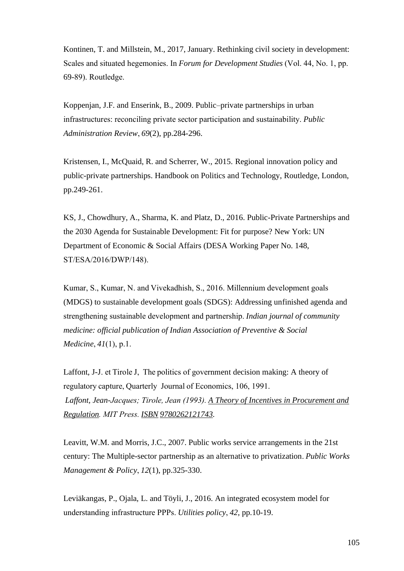Kontinen, T. and Millstein, M., 2017, January. Rethinking civil society in development: Scales and situated hegemonies. In *Forum for Development Studies* (Vol. 44, No. 1, pp. 69-89). Routledge. 

Koppenjan, J.F. and Enserink, B., 2009. Public–private partnerships in urban infrastructures: reconciling private sector participation and sustainability. *Public Administration Review*, *69*(2), pp.284-296.

Kristensen, I., McQuaid, R. and Scherrer, W., 2015. Regional innovation policy and public-private partnerships. Handbook on Politics and Technology, Routledge, London, pp.249-261.

KS, J., Chowdhury, A., Sharma, K. and Platz, D., 2016. Public-Private Partnerships and the 2030 Agenda for Sustainable Development: Fit for purpose? New York: UN Department of Economic & Social Affairs (DESA Working Paper No. 148, ST/ESA/2016/DWP/148). 

Kumar, S., Kumar, N. and Vivekadhish, S., 2016. Millennium development goals (MDGS) to sustainable development goals (SDGS): Addressing unfinished agenda and strengthening sustainable development and partnership. *Indian journal of community medicine: official publication of Indian Association of Preventive & Social Medicine*, *41*(1), p.1. 

Laffont, J-J. et Tirole J,  The politics of government decision making: A theory of regulatory capture, Quarterly  Journal of Economics, 106, 1991. *Laffont, Jean-Jacques; Tirole, Jean (1993).[A Theory of Incentives in Procurement and](https://books.google.com/books?id=4iH4Z2wbNqAC&q=tirole+laffont&pg=PA1)  [Regulation.](https://books.google.com/books?id=4iH4Z2wbNqAC&q=tirole+laffont&pg=PA1) MIT Press.[ISBN](https://en.wikipedia.org/wiki/ISBN_(identifier)) [9780262121743.](https://en.wikipedia.org/wiki/Special:BookSources/9780262121743)*

Leavitt, W.M. and Morris, J.C., 2007. Public works service arrangements in the 21st century: The Multiple-sector partnership as an alternative to privatization. *Public Works Management & Policy*, *12*(1), pp.325-330.

Leviäkangas, P., Ojala, L. and Töyli, J., 2016. An integrated ecosystem model for understanding infrastructure PPPs. *Utilities policy*, *42*, pp.10-19.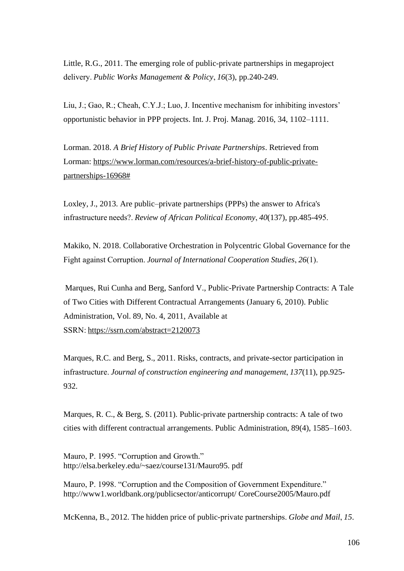Little, R.G., 2011. The emerging role of public-private partnerships in megaproject delivery. *Public Works Management & Policy*, *16*(3), pp.240-249.

Liu, J.; Gao, R.; Cheah, C.Y.J.; Luo, J. Incentive mechanism for inhibiting investors' opportunistic behavior in PPP projects. Int. J. Proj. Manag. 2016, 34, 1102–1111.

Lorman. 2018. *A Brief History of Public Private Partnerships*. Retrieved from Lorman: [https://www.lorman.com/resources/a-brief-history-of-public-private](https://www.lorman.com/resources/a-brief-history-of-public-private-partnerships-16968)[partnerships-16968#](https://www.lorman.com/resources/a-brief-history-of-public-private-partnerships-16968)

Loxley, J., 2013. Are public–private partnerships (PPPs) the answer to Africa's infrastructure needs?. *Review of African Political Economy*, *40*(137), pp.485-495. 

Makiko, N. 2018. Collaborative Orchestration in Polycentric Global Governance for the Fight against Corruption. *Journal of International Cooperation Studies*, *26*(1). 

Marques, Rui Cunha and Berg, Sanford V., Public-Private Partnership Contracts: A Tale of Two Cities with Different Contractual Arrangements (January 6, 2010). Public Administration, Vol. 89, No. 4, 2011, Available at SSRN[: https://ssrn.com/abstract=2120073](https://ssrn.com/abstract=2120073)

Marques, R.C. and Berg, S., 2011. Risks, contracts, and private-sector participation in infrastructure. *Journal of construction engineering and management*, *137*(11), pp.925- 932.

Marques, R. C., & Berg, S. (2011). Public-private partnership contracts: A tale of two cities with different contractual arrangements. Public Administration, 89(4), 1585–1603. 

Mauro, P. 1995. "Corruption and Growth." http://elsa.berkeley.edu/~saez/course131/Mauro95. pdf

Mauro, P. 1998. "Corruption and the Composition of Government Expenditure." http://www1.worldbank.org/publicsector/anticorrupt/ CoreCourse2005/Mauro.pdf

McKenna, B., 2012. The hidden price of public-private partnerships. *Globe and Mail*, *15*.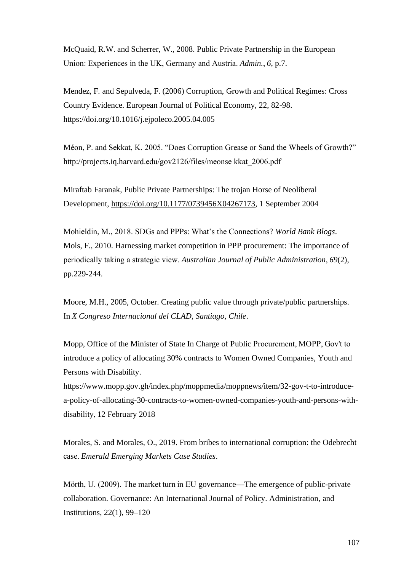McQuaid, R.W. and Scherrer, W., 2008. Public Private Partnership in the European Union: Experiences in the UK, Germany and Austria. *Admin.*, *6*, p.7.

Mendez, F. and Sepulveda, F. (2006) Corruption, Growth and Political Regimes: Cross Country Evidence. European Journal of Political Economy, 22, 82-98. https://doi.org/10.1016/j.ejpoleco.2005.04.005

Méon, P. and Sekkat, K. 2005. "Does Corruption Grease or Sand the Wheels of Growth?" http://projects.iq.harvard.edu/gov2126/files/meonse kkat\_2006.pdf  

Miraftab Faranak, Public Private Partnerships: The trojan Horse of Neoliberal Development, [https://doi.org/10.1177/0739456X04267173,](https://doi.org/10.1177%2F0739456X04267173) 1 September 2004

Mohieldin, M., 2018. SDGs and PPPs: What's the Connections? *World Bank Blogs*. Mols, F., 2010. Harnessing market competition in PPP procurement: The importance of periodically taking a strategic view. *Australian Journal of Public Administration*, *69*(2), pp.229-244.

Moore, M.H., 2005, October. Creating public value through private/public partnerships. In *X Congreso Internacional del CLAD, Santiago, Chile*.

Mopp, Office of the Minister of State In Charge of Public Procurement, MOPP, Gov't to introduce a policy of allocating 30% contracts to Women Owned Companies, Youth and Persons with Disability.

https://www.mopp.gov.gh/index.php/moppmedia/moppnews/item/32-gov-t-to-introducea-policy-of-allocating-30-contracts-to-women-owned-companies-youth-and-persons-withdisability, 12 February 2018

Morales, S. and Morales, O., 2019. From bribes to international corruption: the Odebrecht case. *Emerald Emerging Markets Case Studies*. 

Mörth, U. (2009). The market turn in EU governance—The emergence of public-private collaboration. Governance: An International Journal of Policy. Administration, and Institutions, 22(1), 99–120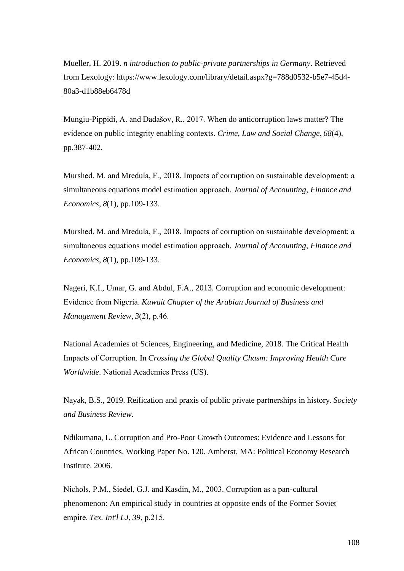Mueller, H. 2019. *n introduction to public-private partnerships in Germany*. Retrieved from Lexology: [https://www.lexology.com/library/detail.aspx?g=788d0532-b5e7-45d4-](https://www.lexology.com/library/detail.aspx?g=788d0532-b5e7-45d4-80a3-d1b88eb6478d) [80a3-d1b88eb6478d](https://www.lexology.com/library/detail.aspx?g=788d0532-b5e7-45d4-80a3-d1b88eb6478d)

Mungiu-Pippidi, A. and Dadašov, R., 2017. When do anticorruption laws matter? The evidence on public integrity enabling contexts. *Crime, Law and Social Change*, *68*(4), pp.387-402.

Murshed, M. and Mredula, F., 2018. Impacts of corruption on sustainable development: a simultaneous equations model estimation approach. *Journal of Accounting, Finance and Economics*, *8*(1), pp.109-133.

Murshed, M. and Mredula, F., 2018. Impacts of corruption on sustainable development: a simultaneous equations model estimation approach. *Journal of Accounting, Finance and Economics*, *8*(1), pp.109-133.

Nageri, K.I., Umar, G. and Abdul, F.A., 2013. Corruption and economic development: Evidence from Nigeria. *Kuwait Chapter of the Arabian Journal of Business and Management Review*, *3*(2), p.46. 

National Academies of Sciences, Engineering, and Medicine, 2018. The Critical Health Impacts of Corruption. In *Crossing the Global Quality Chasm: Improving Health Care Worldwide*. National Academies Press (US). 

Nayak, B.S., 2019. Reification and praxis of public private partnerships in history. *Society and Business Review*.

Ndikumana, L. Corruption and Pro-Poor Growth Outcomes: Evidence and Lessons for African Countries. Working Paper No. 120. Amherst, MA: Political Economy Research Institute. 2006.

Nichols, P.M., Siedel, G.J. and Kasdin, M., 2003. Corruption as a pan-cultural phenomenon: An empirical study in countries at opposite ends of the Former Soviet empire. *Tex. Int'l LJ*, *39*, p.215.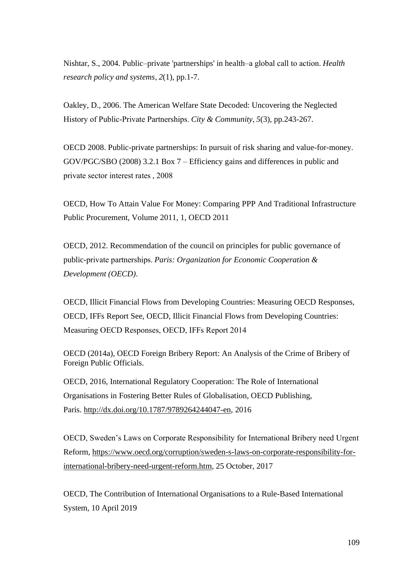Nishtar, S., 2004. Public–private 'partnerships' in health–a global call to action. *Health research policy and systems*, *2*(1), pp.1-7.

Oakley, D., 2006. The American Welfare State Decoded: Uncovering the Neglected History of Public‐Private Partnerships. *City & Community*, *5*(3), pp.243-267.

OECD 2008. Public-private partnerships: In pursuit of risk sharing and value-for-money. GOV/PGC/SBO (2008) 3.2.1 Box 7 – Efficiency gains and differences in public and private sector interest rates , 2008

OECD, How To Attain Value For Money: Comparing PPP And Traditional Infrastructure Public Procurement, Volume 2011, 1, OECD 2011

OECD, 2012. Recommendation of the council on principles for public governance of public-private partnerships. *Paris: Organization for Economic Cooperation & Development (OECD)*.

OECD, Illicit Financial Flows from Developing Countries: Measuring OECD Responses, OECD, IFFs Report See, OECD, Illicit Financial Flows from Developing Countries: Measuring OECD Responses, OECD, IFFs Report 2014 

OECD (2014a), OECD Foreign Bribery Report: An Analysis of the Crime of Bribery of Foreign Public Officials.

OECD, 2016, International Regulatory Cooperation: The Role of International Organisations in Fostering Better Rules of Globalisation, OECD Publishing, Paris. [http://dx.doi.org/10.1787/9789264244047-en,](http://dx.doi.org/10.1787/9789264244047-en) 2016

OECD, Sweden's Laws on Corporate Responsibility for International Bribery need Urgent Reform, [https://www.oecd.org/corruption/sweden-s-laws-on-corporate-responsibility-for](https://www.oecd.org/corruption/sweden-s-laws-on-corporate-responsibility-for-international-bribery-need-urgent-reform.htm)[international-bribery-need-urgent-reform.htm,](https://www.oecd.org/corruption/sweden-s-laws-on-corporate-responsibility-for-international-bribery-need-urgent-reform.htm) 25 October, 2017

OECD, The Contribution of International Organisations to a Rule-Based International System, 10 April 2019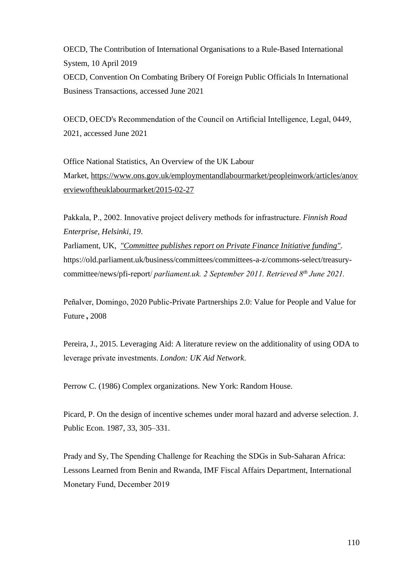OECD, The Contribution of International Organisations to a Rule-Based International System, 10 April 2019 OECD, Convention On Combating Bribery Of Foreign Public Officials In International Business Transactions, accessed June 2021

OECD, OECD's Recommendation of the Council on Artificial Intelligence, Legal, 0449, 2021, accessed June 2021

Office National Statistics, An Overview of the UK Labour Market, [https://www.ons.gov.uk/employmentandlabourmarket/peopleinwork/articles/anov](https://www.ons.gov.uk/employmentandlabourmarket/peopleinwork/articles/anoverviewoftheuklabourmarket/2015-02-27) [erviewoftheuklabourmarket/2015-02-27](https://www.ons.gov.uk/employmentandlabourmarket/peopleinwork/articles/anoverviewoftheuklabourmarket/2015-02-27)

Pakkala, P., 2002. Innovative project delivery methods for infrastructure. *Finnish Road Enterprise, Helsinki*, *19*.

Parliament, UK, *["Committee publishes report on Private Finance Initiative funding".](http://www.parliament.uk/business/committees/committees-a-z/commons-select/treasury-committee/news/pfi-report/)* https://old.parliament.uk/business/committees/committees-a-z/commons-select/treasurycommittee/news/pfi-report/ *parliament.uk. 2 September 2011. Retrieved 8th June 2021.*

Peñalver, Domingo, 2020 Public-Private Partnerships 2.0: Value for People and Value for Future**,** 2008

Pereira, J., 2015. Leveraging Aid: A literature review on the additionality of using ODA to leverage private investments. *London: UK Aid Network*. 

Perrow C. (1986) Complex organizations. New York: Random House.

Picard, P. On the design of incentive schemes under moral hazard and adverse selection. J. Public Econ. 1987, 33, 305–331.

Prady and Sy, The Spending Challenge for Reaching the SDGs in Sub-Saharan Africa: Lessons Learned from Benin and Rwanda, IMF Fiscal Affairs Department, International Monetary Fund, December 2019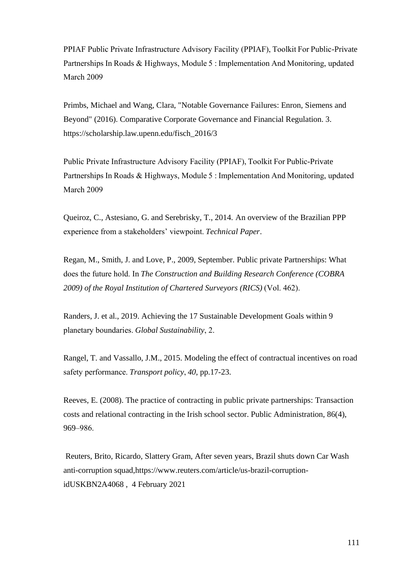PPIAF Public Private Infrastructure Advisory Facility (PPIAF), Toolkit For Public-Private Partnerships In Roads & Highways, Module 5 : Implementation And Monitoring, updated March 2009  

Primbs, Michael and Wang, Clara, "Notable Governance Failures: Enron, Siemens and Beyond" (2016). Comparative Corporate Governance and Financial Regulation. 3. https://scholarship.law.upenn.edu/fisch\_2016/3

Public Private Infrastructure Advisory Facility (PPIAF), Toolkit For Public-Private Partnerships In Roads & Highways, Module 5 : Implementation And Monitoring, updated March 2009  

Queiroz, C., Astesiano, G. and Serebrisky, T., 2014. An overview of the Brazilian PPP experience from a stakeholders' viewpoint. *Technical Paper*.

Regan, M., Smith, J. and Love, P., 2009, September. Public private Partnerships: What does the future hold. In *The Construction and Building Research Conference (COBRA 2009) of the Royal Institution of Chartered Surveyors (RICS)* (Vol. 462). 

Randers, J. et al., 2019. Achieving the 17 Sustainable Development Goals within 9 planetary boundaries. *Global Sustainability*, 2.  

Rangel, T. and Vassallo, J.M., 2015. Modeling the effect of contractual incentives on road safety performance. *Transport policy*, *40*, pp.17-23.

Reeves, E. (2008). The practice of contracting in public private partnerships: Transaction costs and relational contracting in the Irish school sector. Public Administration, 86(4), 969–986. 

Reuters, Brito, Ricardo, Slattery Gram, After seven years, Brazil shuts down Car Wash anti-corruption squad,https://www.reuters.com/article/us-brazil-corruptionidUSKBN2A4068 , 4 February 2021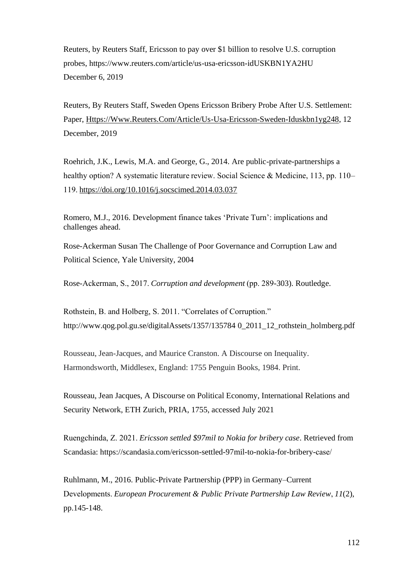Reuters, by Reuters Staff, Ericsson to pay over \$1 billion to resolve U.S. corruption probes, https://www.reuters.com/article/us-usa-ericsson-idUSKBN1YA2HU December 6, 2019

Reuters, By Reuters Staff, Sweden Opens Ericsson Bribery Probe After U.S. Settlement: Paper, [Https://Www.Reuters.Com/Article/Us-Usa-Ericsson-Sweden-Iduskbn1yg248,](https://www.reuters.com/article/us-usa-ericsson-sweden-idUSKBN1YG248) 12 December, 2019

Roehrich, J.K., Lewis, M.A. and George, G., 2014. Are public-private-partnerships a healthy option? A systematic literature review. Social Science & Medicine, 113, pp. 110– 119.<https://doi.org/10.1016/j.socscimed.2014.03.037>

Romero, M.J., 2016. Development finance takes 'Private Turn': implications and challenges ahead.

Rose-Ackerman Susan The Challenge of Poor Governance and Corruption Law and Political Science, Yale University, 2004

Rose-Ackerman, S., 2017. *Corruption and development* (pp. 289-303). Routledge.

Rothstein, B. and Holberg, S. 2011. "Correlates of Corruption." http://www.qog.pol.gu.se/digitalAssets/1357/135784 0\_2011\_12\_rothstein\_holmberg.pdf

Rousseau, Jean-Jacques, and Maurice Cranston. A Discourse on Inequality. Harmondsworth, Middlesex, England: 1755 Penguin Books, 1984. Print.

Rousseau, Jean Jacques, A Discourse on Political Economy, International Relations and Security Network, ETH Zurich, PRIA, 1755, accessed July 2021

Ruengchinda, Z. 2021. *Ericsson settled \$97mil to Nokia for bribery case*. Retrieved from Scandasia: https://scandasia.com/ericsson-settled-97mil-to-nokia-for-bribery-case/ 

Ruhlmann, M., 2016. Public-Private Partnership (PPP) in Germany–Current Developments. *European Procurement & Public Private Partnership Law Review*, *11*(2), pp.145-148.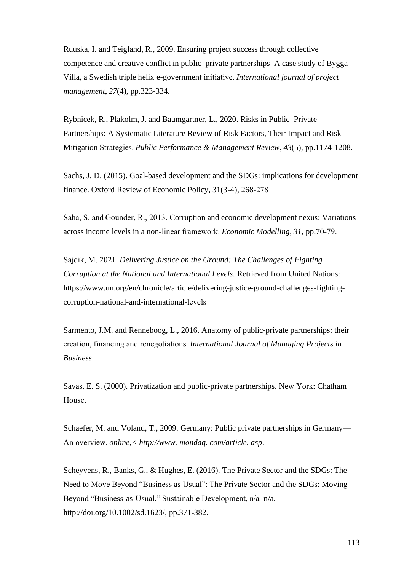Ruuska, I. and Teigland, R., 2009. Ensuring project success through collective competence and creative conflict in public–private partnerships–A case study of Bygga Villa, a Swedish triple helix e-government initiative. *International journal of project management*, *27*(4), pp.323-334.

Rybnicek, R., Plakolm, J. and Baumgartner, L., 2020. Risks in Public–Private Partnerships: A Systematic Literature Review of Risk Factors, Their Impact and Risk Mitigation Strategies. *Public Performance & Management Review*, *43*(5), pp.1174-1208.

Sachs, J. D. (2015). Goal-based development and the SDGs: implications for development finance. Oxford Review of Economic Policy, 31(3-4), 268-278 

Saha, S. and Gounder, R., 2013. Corruption and economic development nexus: Variations across income levels in a non-linear framework. *Economic Modelling*, *31*, pp.70-79. 

Sajdik, M. 2021. *Delivering Justice on the Ground: The Challenges of Fighting Corruption at the National and International Levels*. Retrieved from United Nations: https://www.un.org/en/chronicle/article/delivering-justice-ground-challenges-fightingcorruption-national-and-international-levels 

Sarmento, J.M. and Renneboog, L., 2016. Anatomy of public-private partnerships: their creation, financing and renegotiations. *International Journal of Managing Projects in Business*.

Savas, E. S. (2000). Privatization and public-private partnerships. New York: Chatham House. 

Schaefer, M. and Voland, T., 2009. Germany: Public private partnerships in Germany— An overview. *online,< http://www. mondaq. com/article. asp*.

Scheyvens, R., Banks, G., & Hughes, E. (2016). The Private Sector and the SDGs: The Need to Move Beyond "Business as Usual": The Private Sector and the SDGs: Moving Beyond "Business-as-Usual." Sustainable Development, n/a–n/a. http://doi.org/10.1002/sd.1623/, pp.371-382.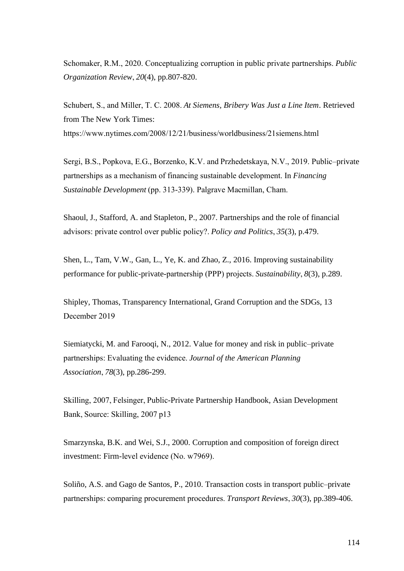Schomaker, R.M., 2020. Conceptualizing corruption in public private partnerships. *Public Organization Review*, *20*(4), pp.807-820.

Schubert, S., and Miller, T. C. 2008. *At Siemens, Bribery Was Just a Line Item*. Retrieved from The New York Times: https://www.nytimes.com/2008/12/21/business/worldbusiness/21siemens.html 

Sergi, B.S., Popkova, E.G., Borzenko, K.V. and Przhedetskaya, N.V., 2019. Public–private partnerships as a mechanism of financing sustainable development. In *Financing Sustainable Development* (pp. 313-339). Palgrave Macmillan, Cham. 

Shaoul, J., Stafford, A. and Stapleton, P., 2007. Partnerships and the role of financial advisors: private control over public policy?. *Policy and Politics*, *35*(3), p.479.

Shen, L., Tam, V.W., Gan, L., Ye, K. and Zhao, Z., 2016. Improving sustainability performance for public-private-partnership (PPP) projects. *Sustainability*, *8*(3), p.289.

Shipley, Thomas, Transparency International, Grand Corruption and the SDGs, 13 December 2019 

Siemiatycki, M. and Farooqi, N., 2012. Value for money and risk in public–private partnerships: Evaluating the evidence. *Journal of the American Planning Association*, *78*(3), pp.286-299.

Skilling, 2007, Felsinger, Public-Private Partnership Handbook, Asian Development Bank, Source: Skilling, 2007 p13 

Smarzynska, B.K. and Wei, S.J., 2000. Corruption and composition of foreign direct investment: Firm-level evidence (No. w7969). 

Soliño, A.S. and Gago de Santos, P., 2010. Transaction costs in transport public–private partnerships: comparing procurement procedures. *Transport Reviews*, *30*(3), pp.389-406.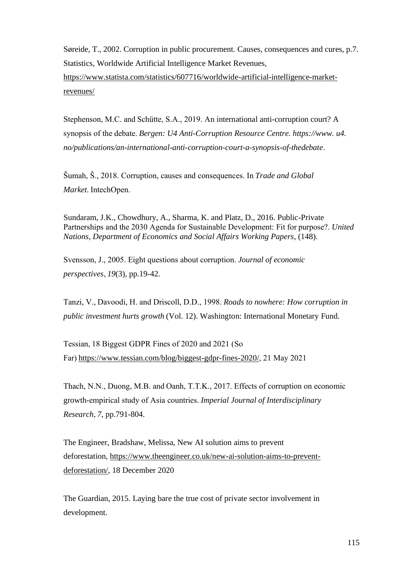Søreide, T., 2002. Corruption in public procurement. Causes, consequences and cures, p.7. Statistics, Worldwide Artificial Intelligence Market Revenues, [https://www.statista.com/statistics/607716/worldwide-artificial-intelligence-market-](https://www.statista.com/statistics/607716/worldwide-artificial-intelligence-market-%20revenues/)

[revenues/](https://www.statista.com/statistics/607716/worldwide-artificial-intelligence-market-%20revenues/)

Stephenson, M.C. and Schütte, S.A., 2019. An international anti-corruption court? A synopsis of the debate. *Bergen: U4 Anti-Corruption Resource Centre. https://www. u4. no/publications/an-international-anti-corruption-court-a-synopsis-of-thedebate*. 

Šumah, Š., 2018. Corruption, causes and consequences. In *Trade and Global Market*. IntechOpen. 

Sundaram, J.K., Chowdhury, A., Sharma, K. and Platz, D., 2016. Public-Private Partnerships and the 2030 Agenda for Sustainable Development: Fit for purpose?. *United Nations, Department of Economics and Social Affairs Working Papers*, (148).

Svensson, J., 2005. Eight questions about corruption. *Journal of economic perspectives*, *19*(3), pp.19-42.

Tanzi, V., Davoodi, H. and Driscoll, D.D., 1998. *Roads to nowhere: How corruption in public investment hurts growth* (Vol. 12). Washington: International Monetary Fund.

Tessian, 18 Biggest GDPR Fines of 2020 and 2021 (So Far)[https://www.tessian.com/blog/biggest-gdpr-fines-2020/,](https://www.tessian.com/blog/biggest-gdpr-fines-2020/) 21 May 2021 

Thach, N.N., Duong, M.B. and Oanh, T.T.K., 2017. Effects of corruption on economic growth-empirical study of Asia countries. *Imperial Journal of Interdisciplinary Research*, *7*, pp.791-804.

The Engineer, Bradshaw, Melissa, New AI solution aims to prevent deforestation, [https://www.theengineer.co.uk/new-ai-solution-aims-to-prevent](https://www.theengineer.co.uk/new-ai-solution-aims-to-prevent-deforestation/)[deforestation/,](https://www.theengineer.co.uk/new-ai-solution-aims-to-prevent-deforestation/) 18 December 2020

The Guardian, 2015. Laying bare the true cost of private sector involvement in development.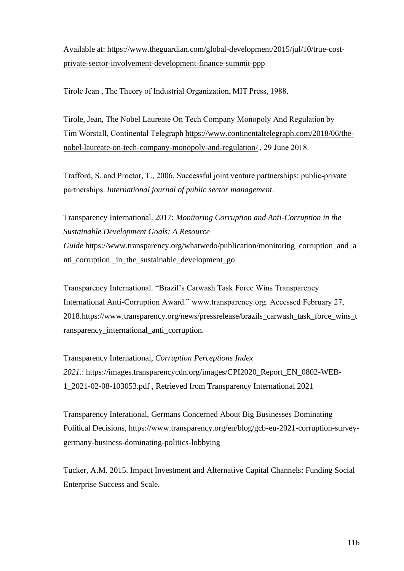Available at: [https://www.theguardian.com/global-development/2015/jul/10/true-cost](https://www.theguardian.com/global-development/2015/jul/10/true-cost-private-sector-involvement-development-finance-summit-ppp)[private-sector-involvement-development-finance-summit-ppp](https://www.theguardian.com/global-development/2015/jul/10/true-cost-private-sector-involvement-development-finance-summit-ppp)

Tirole Jean , The Theory of Industrial Organization, MIT Press, 1988.  

Tirole, Jean, The Nobel Laureate On Tech Company Monopoly And Regulation by Tim Worstall, Continental Telegraph[https://www.continentaltelegraph.com/2018/06/the](https://www.continentaltelegraph.com/2018/06/the-nobel-laureate-on-tech-company-monopoly-and-regulation/)[nobel-laureate-on-tech-company-monopoly-and-regulation/](https://www.continentaltelegraph.com/2018/06/the-nobel-laureate-on-tech-company-monopoly-and-regulation/), 29 June 2018.

Trafford, S. and Proctor, T., 2006. Successful joint venture partnerships: public‐private partnerships. *International journal of public sector management*.

Transparency International. 2017: *Monitoring Corruption and Anti-Corruption in the Sustainable Development Goals: A Resource Guide* https://www.transparency.org/whatwedo/publication/monitoring\_corruption\_and\_a nti\_corruption \_in\_the\_sustainable\_development\_go

Transparency International. "Brazil's Carwash Task Force Wins Transparency International Anti-Corruption Award." www.transparency.org. Accessed February 27, 2018.https://www.transparency.org/news/pressrelease/brazils\_carwash\_task\_force\_wins\_t ransparency international anti-corruption.

Transparency International, *Corruption Perceptions Index 2021*.: [https://images.transparencycdn.org/images/CPI2020\\_Report\\_EN\\_0802-WEB-](https://images.transparencycdn.org/images/CPI2020_Report_EN_0802-WEB-1_2021-02-08-103053.pdf)[1\\_2021-02-08-103053.pdf](https://images.transparencycdn.org/images/CPI2020_Report_EN_0802-WEB-1_2021-02-08-103053.pdf) , Retrieved from Transparency International 2021

Transparency Interational, Germans Concerned About Big Businesses Dominating Political Decisions, [https://www.transparency.org/en/blog/gcb-eu-2021-corruption-survey](https://www.transparency.org/en/blog/gcb-eu-2021-corruption-survey-germany-business-dominating-politics-lobbying)[germany-business-dominating-politics-lobbying](https://www.transparency.org/en/blog/gcb-eu-2021-corruption-survey-germany-business-dominating-politics-lobbying)

Tucker, A.M. 2015. Impact Investment and Alternative Capital Channels: Funding Social Enterprise Success and Scale.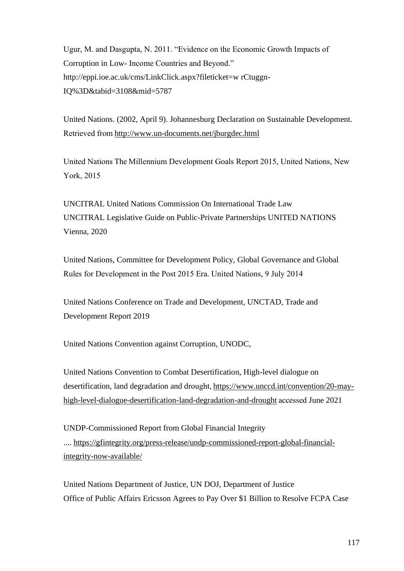Ugur, M. and Dasgupta, N. 2011. "Evidence on the Economic Growth Impacts of Corruption in Low- Income Countries and Beyond." http://eppi.ioe.ac.uk/cms/LinkClick.aspx?fileticket=w rCtuggn-IQ%3D&tabid=3108&mid=5787

United Nations. (2002, April 9). Johannesburg Declaration on Sustainable Development. Retrieved from<http://www.un-documents.net/jburgdec.html>

United Nations The Millennium Development Goals Report 2015, United Nations, New York, 2015 

UNCITRAL United Nations Commission On International Trade Law UNCITRAL Legislative Guide on Public-Private Partnerships UNITED NATIONS Vienna, 2020

United Nations, Committee for Development Policy, Global Governance and Global Rules for Development in the Post 2015 Era. United Nations, 9 July 2014 

United Nations Conference on Trade and Development, UNCTAD, Trade and Development Report 2019

United Nations Convention against Corruption, UNODC,

United Nations Convention to Combat Desertification, High-level dialogue on desertification, land degradation and drought,[https://www.unccd.int/convention/20-may](https://www.unccd.int/convention/20-may-high-level-dialogue-desertification-land-degradation-and-drought)[high-level-dialogue-desertification-land-degradation-and-drought](https://www.unccd.int/convention/20-may-high-level-dialogue-desertification-land-degradation-and-drought)accessed June 2021

UNDP-Commissioned Report from Global Financial Integrity .... [https://gfintegrity.org/press-release/undp-commissioned-report-global-financial](https://gfintegrity.org/press-release/undp-commissioned-report-global-financial-integrity-now-available/)[integrity-now-available/](https://gfintegrity.org/press-release/undp-commissioned-report-global-financial-integrity-now-available/)

United Nations Department of Justice, UN DOJ, Department of Justice Office of Public Affairs Ericsson Agrees to Pay Over \$1 Billion to Resolve FCPA Case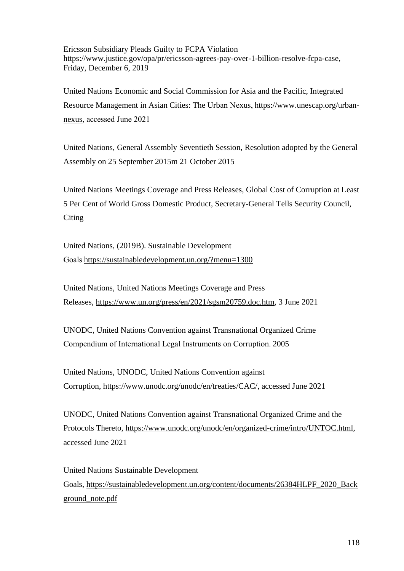Ericsson Subsidiary Pleads Guilty to FCPA Violation https://www.justice.gov/opa/pr/ericsson-agrees-pay-over-1-billion-resolve-fcpa-case, Friday, December 6, 2019

United Nations Economic and Social Commission for Asia and the Pacific, Integrated Resource Management in Asian Cities: The Urban Nexus,[https://www.unescap.org/urban](https://www.unescap.org/urban-nexus)[nexus,](https://www.unescap.org/urban-nexus) accessed June 2021 

United Nations, General Assembly Seventieth Session, Resolution adopted by the General Assembly on 25 September 2015m 21 October 2015

United Nations Meetings Coverage and Press Releases, Global Cost of Corruption at Least 5 Per Cent of World Gross Domestic Product, Secretary-General Tells Security Council, **Citing** 

United Nations, (2019B). Sustainable Development Goals<https://sustainabledevelopment.un.org/?menu=1300>

United Nations, United Nations Meetings Coverage and Press Releases, [https://www.un.org/press/en/2021/sgsm20759.doc.htm,](https://www.un.org/press/en/2021/sgsm20759.doc.htm) 3 June 2021

UNODC, United Nations Convention against Transnational Organized Crime Compendium of International Legal Instruments on Corruption. 2005

United Nations, UNODC, United Nations Convention against Corruption, [https://www.unodc.org/unodc/en/treaties/CAC/,](https://www.unodc.org/unodc/en/treaties/CAC/) accessed June 2021

UNODC, United Nations Convention against Transnational Organized Crime and the Protocols Thereto, [https://www.unodc.org/unodc/en/organized-crime/intro/UNTOC.html,](https://www.unodc.org/unodc/en/organized-crime/intro/UNTOC.html) accessed June 2021

United Nations Sustainable Development Goals, [https://sustainabledevelopment.un.org/content/documents/26384HLPF\\_2020\\_Back](https://sustainabledevelopment.un.org/content/documents/26384HLPF_2020_Background_note.pdf) [ground\\_note.pdf](https://sustainabledevelopment.un.org/content/documents/26384HLPF_2020_Background_note.pdf)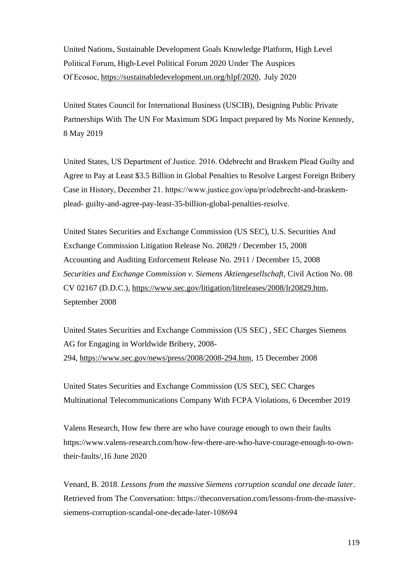United Nations, Sustainable Development Goals Knowledge Platform, High Level Political Forum, High-Level Political Forum 2020 Under The Auspices Of Ecosoc[, https://sustainabledevelopment.un.org/hlpf/2020,](https://sustainabledevelopment.un.org/hlpf/2020)  July 2020

United States Council for International Business (USCIB), Designing Public Private Partnerships With The UN For Maximum SDG Impact prepared by Ms Norine Kennedy, 8 May 2019

United States, US Department of Justice. 2016. Odebrecht and Braskem Plead Guilty and Agree to Pay at Least \$3.5 Billion in Global Penalties to Resolve Largest Foreign Bribery Case in History, December 21. https://www.justice.gov/opa/pr/odebrecht-and-braskemplead- guilty-and-agree-pay-least-35-billion-global-penalties-resolve.  

United States Securities and Exchange Commission (US SEC), U.S. Securities And Exchange Commission Litigation Release No. 20829 / December 15, 2008 Accounting and Auditing Enforcement Release No. 2911 / December 15, 2008 *Securities and Exchange Commission v. Siemens Aktiengesellschaft*, Civil Action No. 08 CV 02167 (D.D.C.), [https://www.sec.gov/litigation/litreleases/2008/lr20829.htm,](https://www.sec.gov/litigation/litreleases/2008/lr20829.htm) September 2008

United States Securities and Exchange Commission (US SEC) , SEC Charges Siemens AG for Engaging in Worldwide Bribery, 2008- 294, [https://www.sec.gov/news/press/2008/2008-294.htm,](https://www.sec.gov/news/press/2008/2008-294.htm) 15 December 2008

United States Securities and Exchange Commission (US SEC), SEC Charges Multinational Telecommunications Company With FCPA Violations, 6 December 2019

Valens Research, How few there are who have courage enough to own their faults https://www.valens-research.com/how-few-there-are-who-have-courage-enough-to-owntheir-faults/,16 June 2020

Venard, B. 2018. *Lessons from the massive Siemens corruption scandal one decade later*. Retrieved from The Conversation: https://theconversation.com/lessons-from-the-massivesiemens-corruption-scandal-one-decade-later-108694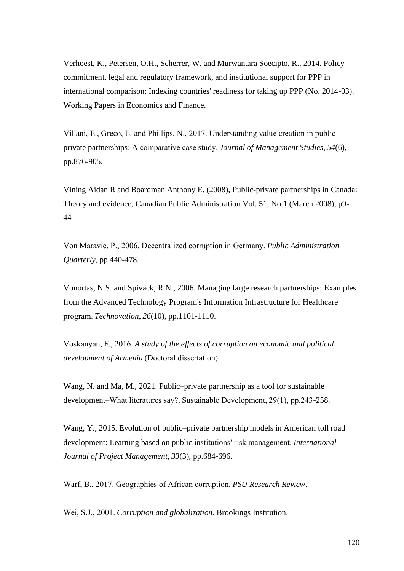Verhoest, K., Petersen, O.H., Scherrer, W. and Murwantara Soecipto, R., 2014. Policy commitment, legal and regulatory framework, and institutional support for PPP in international comparison: Indexing countries' readiness for taking up PPP (No. 2014-03). Working Papers in Economics and Finance.

Villani, E., Greco, L. and Phillips, N., 2017. Understanding value creation in public‐ private partnerships: A comparative case study. *Journal of Management Studies*, *54*(6), pp.876-905.

Vining Aidan R and Boardman Anthony E. (2008), Public-private partnerships in Canada: Theory and evidence, Canadian Public Administration Vol. 51, No.1 (March 2008), p9- 44  

Von Maravic, P., 2006. Decentralized corruption in Germany. *Public Administration Quarterly*, pp.440-478.

Vonortas, N.S. and Spivack, R.N., 2006. Managing large research partnerships: Examples from the Advanced Technology Program's Information Infrastructure for Healthcare program. *Technovation*, *26*(10), pp.1101-1110.

Voskanyan, F., 2016. *A study of the effects of corruption on economic and political development of Armenia* (Doctoral dissertation). 

Wang, N. and Ma, M., 2021. Public–private partnership as a tool for sustainable development–What literatures say?. Sustainable Development, 29(1), pp.243-258.

Wang, Y., 2015. Evolution of public–private partnership models in American toll road development: Learning based on public institutions' risk management. *International Journal of Project Management*, *33*(3), pp.684-696.

Warf, B., 2017. Geographies of African corruption. *PSU Research Review*.

Wei, S.J., 2001. *Corruption and globalization*. Brookings Institution.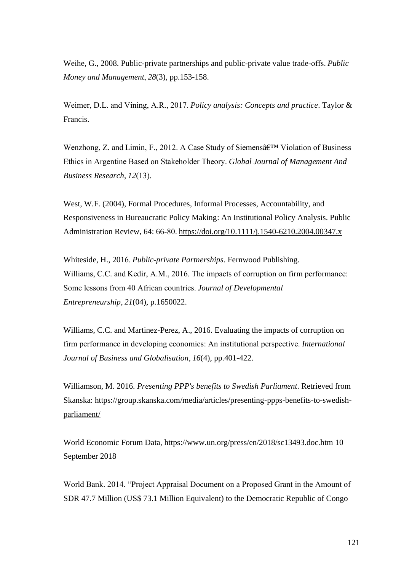Weihe, G., 2008. Public-private partnerships and public-private value trade-offs. *Public Money and Management*, *28*(3), pp.153-158.

Weimer, D.L. and Vining, A.R., 2017. *Policy analysis: Concepts and practice*. Taylor & Francis.

Wenzhong, Z. and Limin, F., 2012. A Case Study of Siemensâ€<sup>™</sup> Violation of Business Ethics in Argentine Based on Stakeholder Theory. *Global Journal of Management And Business Research*, *12*(13). 

West, W.F. (2004), Formal Procedures, Informal Processes, Accountability, and Responsiveness in Bureaucratic Policy Making: An Institutional Policy Analysis. Public Administration Review, 64: 66-80[. https://doi.org/10.1111/j.1540-6210.2004.00347.x](https://doi.org/10.1111/j.1540-6210.2004.00347.x)

Whiteside, H., 2016. *Public-private Partnerships*. Fernwood Publishing. Williams, C.C. and Kedir, A.M., 2016. The impacts of corruption on firm performance: Some lessons from 40 African countries. *Journal of Developmental Entrepreneurship*, *21*(04), p.1650022.

Williams, C.C. and Martinez-Perez, A., 2016. Evaluating the impacts of corruption on firm performance in developing economies: An institutional perspective. *International Journal of Business and Globalisation*, *16*(4), pp.401-422.

Williamson, M. 2016. *Presenting PPP's benefits to Swedish Parliament*. Retrieved from Skanska: [https://group.skanska.com/media/articles/presenting-ppps-benefits-to-swedish](https://group.skanska.com/media/articles/presenting-ppps-benefits-to-swedish-parliament/)[parliament/](https://group.skanska.com/media/articles/presenting-ppps-benefits-to-swedish-parliament/)

World Economic Forum Data, <https://www.un.org/press/en/2018/sc13493.doc.htm> 10 September 2018

World Bank. 2014. "Project Appraisal Document on a Proposed Grant in the Amount of SDR 47.7 Million (US\$ 73.1 Million Equivalent) to the Democratic Republic of Congo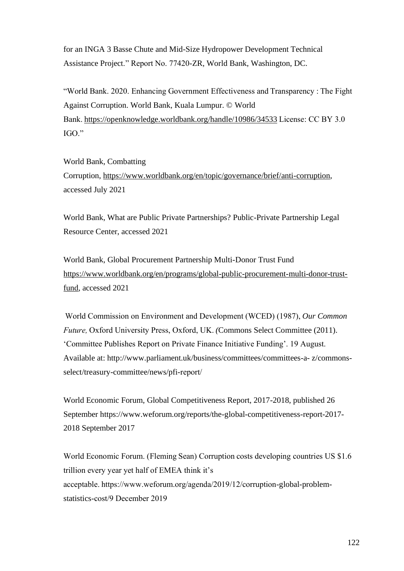for an INGA 3 Basse Chute and Mid-Size Hydropower Development Technical Assistance Project." Report No. 77420-ZR, World Bank, Washington, DC.

"World Bank. 2020. Enhancing Government Effectiveness and Transparency : The Fight Against Corruption. World Bank, Kuala Lumpur. © World Bank.<https://openknowledge.worldbank.org/handle/10986/34533>License: CC BY 3.0 IGO." 

World Bank, Combatting Corruption, [https://www.worldbank.org/en/topic/governance/brief/anti-corruption,](https://www.worldbank.org/en/topic/governance/brief/anti-corruption) accessed July 2021

World Bank, What are Public Private Partnerships? Public-Private Partnership Legal Resource Center, accessed 2021

World Bank, Global Procurement Partnership Multi-Donor Trust Fund [https://www.worldbank.org/en/programs/global-public-procurement-multi-donor-trust](https://www.worldbank.org/en/programs/global-public-procurement-multi-donor-trust-fund)[fund,](https://www.worldbank.org/en/programs/global-public-procurement-multi-donor-trust-fund) accessed 2021

 World Commission on Environment and Development (WCED) (1987), *Our Common Future,*Oxford University Press, Oxford, UK. *(*Commons Select Committee (2011). 'Committee Publishes Report on Private Finance Initiative Funding'. 19 August. Available at: http://www.parliament.uk/business/committees/committees-a- z/commonsselect/treasury-committee/news/pfi-report/  

World Economic Forum, Global Competitiveness Report, 2017-2018, published 26 September https://www.weforum.org/reports/the-global-competitiveness-report-2017- 2018 September 2017

World Economic Forum. (Fleming Sean) Corruption costs developing countries US \$1.6 trillion every year yet half of EMEA think it's acceptable. https://www.weforum.org/agenda/2019/12/corruption-global-problemstatistics-cost/9 December 2019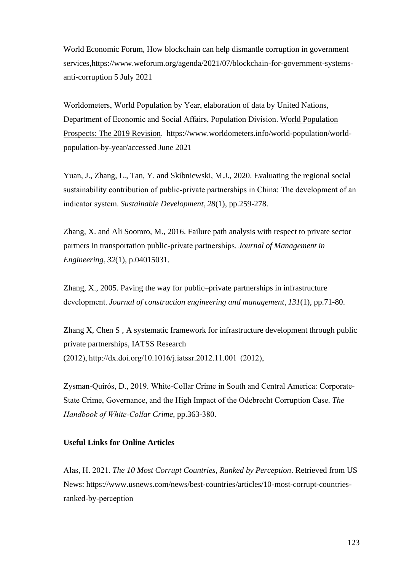World Economic Forum, How blockchain can help dismantle corruption in government services,https://www.weforum.org/agenda/2021/07/blockchain-for-government-systemsanti-corruption 5 July 2021

Worldometers, World Population by Year, elaboration of data by United Nations, Department of Economic and Social Affairs, Population Division.[World Population](https://esa.un.org/unpd/wpp/)  [Prospects: The 2019 Revision.](https://esa.un.org/unpd/wpp/)  https://www.worldometers.info/world-population/worldpopulation-by-year/accessed June 2021

Yuan, J., Zhang, L., Tan, Y. and Skibniewski, M.J., 2020. Evaluating the regional social sustainability contribution of public‐private partnerships in China: The development of an indicator system. *Sustainable Development*, *28*(1), pp.259-278.

Zhang, X. and Ali Soomro, M., 2016. Failure path analysis with respect to private sector partners in transportation public-private partnerships. *Journal of Management in Engineering*, *32*(1), p.04015031.

Zhang, X., 2005. Paving the way for public–private partnerships in infrastructure development. *Journal of construction engineering and management*, *131*(1), pp.71-80.

Zhang X, Chen S , A systematic framework for infrastructure development through public private partnerships, IATSS Research (2012), http://dx.doi.org/10.1016/j.iatssr.2012.11.001  (2012), 

Zysman‐Quirós, D., 2019. White‐Collar Crime in South and Central America: Corporate‐ State Crime, Governance, and the High Impact of the Odebrecht Corruption Case. *The Handbook of White‐Collar Crime*, pp.363-380. 

## **Useful Links for Online Articles**

Alas, H. 2021. *The 10 Most Corrupt Countries, Ranked by Perception*. Retrieved from US News: https://www.usnews.com/news/best-countries/articles/10-most-corrupt-countriesranked-by-perception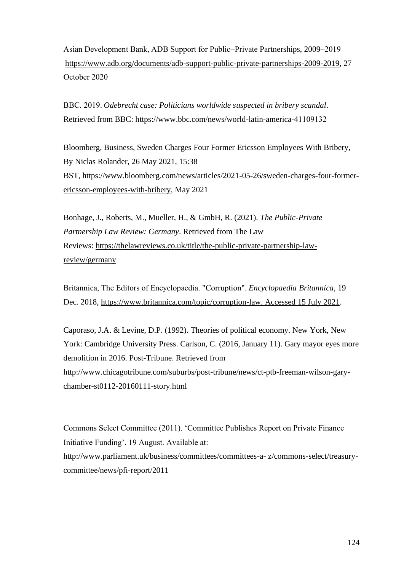Asian Development Bank, ADB Support for Public–Private Partnerships, 2009–2019  [https://www.adb.org/documents/adb-support-public-private-partnerships-2009-2019,](https://www.adb.org/documents/adb-support-public-private-partnerships-2009-2019) 27 October 2020 

BBC. 2019. *Odebrecht case: Politicians worldwide suspected in bribery scandal*. Retrieved from BBC: https://www.bbc.com/news/world-latin-america-41109132 

Bloomberg, Business, Sweden Charges Four Former Ericsson Employees With Bribery, By Niclas Rolander, 26 May 2021, 15:38 BST, [https://www.bloomberg.com/news/articles/2021-05-26/sweden-charges-four-former](https://www.bloomberg.com/news/articles/2021-05-26/sweden-charges-four-former-ericsson-employees-with-bribery)[ericsson-employees-with-bribery,](https://www.bloomberg.com/news/articles/2021-05-26/sweden-charges-four-former-ericsson-employees-with-bribery) May 2021

Bonhage, J., Roberts, M., Mueller, H., & GmbH, R. (2021). *The Public-Private Partnership Law Review: Germany*. Retrieved from The Law Reviews: [https://thelawreviews.co.uk/title/the-public-private-partnership-law](https://thelawreviews.co.uk/title/the-public-private-partnership-law-review/germany)[review/germany](https://thelawreviews.co.uk/title/the-public-private-partnership-law-review/germany)

Britannica, The Editors of Encyclopaedia. "Corruption". *Encyclopaedia Britannica*, 19 Dec. 2018, [https://www.britannica.com/topic/corruption-law. Accessed 15 July 2021.](https://www.britannica.com/topic/corruption-law.%20Accessed%2015%20July%202021)

Caporaso, J.A. & Levine, D.P. (1992). Theories of political economy. New York, New York: Cambridge University Press. Carlson, C. (2016, January 11). Gary mayor eyes more demolition in 2016. Post-Tribune. Retrieved from http://www.chicagotribune.com/suburbs/post-tribune/news/ct-ptb-freeman-wilson-garychamber-st0112-20160111-story.html

Commons Select Committee (2011). 'Committee Publishes Report on Private Finance Initiative Funding'. 19 August. Available at: http://www.parliament.uk/business/committees/committees-a- z/commons-select/treasurycommittee/news/pfi-report/2011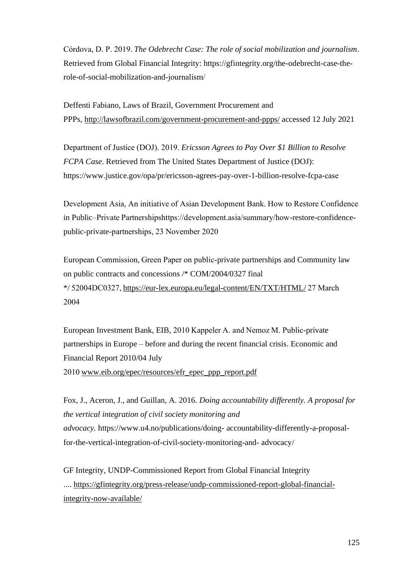Córdova, D. P. 2019. *The Odebrecht Case: The role of social mobilization and journalism*. Retrieved from Global Financial Integrity: https://gfintegrity.org/the-odebrecht-case-therole-of-social-mobilization-and-journalism/ 

Deffenti Fabiano, Laws of Brazil, Government Procurement and PPPs, <http://lawsofbrazil.com/government-procurement-and-ppps/> accessed 12 July 2021

Department of Justice (DOJ). 2019. *Ericsson Agrees to Pay Over \$1 Billion to Resolve FCPA Case*. Retrieved from The United States Department of Justice (DOJ): https://www.justice.gov/opa/pr/ericsson-agrees-pay-over-1-billion-resolve-fcpa-case 

Development Asia, An initiative of Asian Development Bank. How to Restore Confidence in Public–Private Partnershipshttps://development.asia/summary/how-restore-confidencepublic-private-partnerships, 23 November 2020  

European Commission, Green Paper on public-private partnerships and Community law on public contracts and concessions /\* COM/2004/0327 final \*/ 52004DC0327[, https://eur-lex.europa.eu/legal-content/EN/TXT/HTML/ 2](https://eur-lex.europa.eu/legal-content/EN/TXT/HTML/)7 March 2004 

European Investment Bank, EIB, 2010 Kappeler A. and Nemoz M. Public-private partnerships in Europe – before and during the recent financial crisis. Economic and Financial Report 2010/04 July

2010[www.eib.org/epec/resources/efr\\_epec\\_ppp\\_report.pdf](http://www.eib.org/epec/resources/efr_epec_ppp_report.pdf)

Fox, J., Aceron, J., and Guillan, A. 2016. *Doing accountability differently. A proposal for the vertical integration of civil society monitoring and advocacy.* https://www.u4.no/publications/doing- accountability-differently-a-proposalfor-the-vertical-integration-of-civil-society-monitoring-and- advocacy/

GF Integrity, UNDP-Commissioned Report from Global Financial Integrity .... [https://gfintegrity.org/press-release/undp-commissioned-report-global-financial](https://gfintegrity.org/press-release/undp-commissioned-report-global-financial-integrity-now-available/)[integrity-now-available/](https://gfintegrity.org/press-release/undp-commissioned-report-global-financial-integrity-now-available/)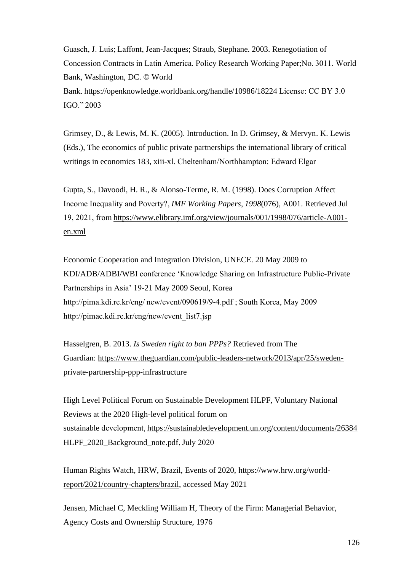Guasch, J. Luis; Laffont, Jean-Jacques; Straub, Stephane. 2003. Renegotiation of Concession Contracts in Latin America. Policy Research Working Paper;No. 3011. World Bank, Washington, DC. © World Bank.<https://openknowledge.worldbank.org/handle/10986/18224>License: CC BY 3.0 IGO." 2003

Grimsey, D., & Lewis, M. K. (2005). Introduction. In D. Grimsey, & Mervyn. K. Lewis (Eds.), The economics of public private partnerships the international library of critical writings in economics 183, xiii-xl. Cheltenham/Northhampton: Edward Elgar 

Gupta, S., Davoodi, H. R., & Alonso-Terme, R. M. (1998). Does Corruption Affect Income Inequality and Poverty?, *IMF Working Papers*, *1998*(076), A001. Retrieved Jul 19, 2021, from[https://www.elibrary.imf.org/view/journals/001/1998/076/article-A001](https://www.elibrary.imf.org/view/journals/001/1998/076/article-A001-en.xml) [en.xml](https://www.elibrary.imf.org/view/journals/001/1998/076/article-A001-en.xml)

Economic Cooperation and Integration Division, UNECE. 20 May 2009 to KDI/ADB/ADBI/WBI conference 'Knowledge Sharing on Infrastructure Public-Private Partnerships in Asia' 19-21 May 2009 Seoul, Korea http://pima.kdi.re.kr/eng/ new/event/090619/9-4.pdf ; South Korea, May 2009 http://pimac.kdi.re.kr/eng/new/event\_list7.jsp  

Hasselgren, B. 2013. *Is Sweden right to ban PPPs?* Retrieved from The Guardian: [https://www.theguardian.com/public-leaders-network/2013/apr/25/sweden](https://www.theguardian.com/public-leaders-network/2013/apr/25/sweden-private-partnership-ppp-infrastructure)[private-partnership-ppp-infrastructure](https://www.theguardian.com/public-leaders-network/2013/apr/25/sweden-private-partnership-ppp-infrastructure)

High Level Political Forum on Sustainable Development HLPF, Voluntary National Reviews at the 2020 High-level political forum on sustainable development, https://sustainabledevelopment.un.org/content/documents/26384 [HLPF\\_2020\\_Background\\_note.pdf,](https://sustainabledevelopment.un.org/content/documents/26384HLPF_2020_Background_note.pdf) July 2020

Human Rights Watch, HRW, Brazil, Events of 2020, [https://www.hrw.org/world](https://www.hrw.org/world-report/2021/country-chapters/brazil)[report/2021/country-chapters/brazil,](https://www.hrw.org/world-report/2021/country-chapters/brazil) accessed May 2021

Jensen, Michael C, Meckling William H, Theory of the Firm: Managerial Behavior, Agency Costs and Ownership Structure, 1976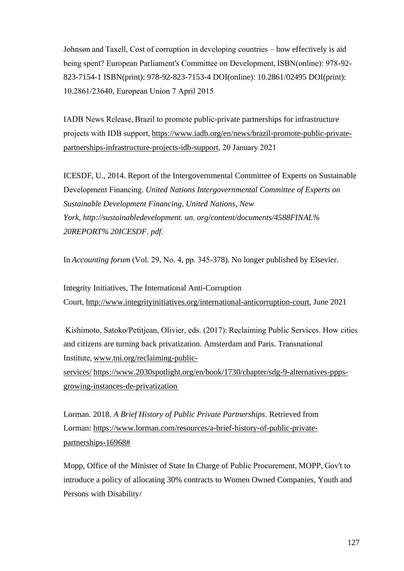Johnsøn and Taxell, Cost of corruption in developing countries – how effectively is aid being spent? European Parliament's Committee on Development, ISBN(online): 978-92- 823-7154-1 ISBN(print): 978-92-823-7153-4 DOI(online): 10.2861/02495 DOI(print): 10.2861/23640, European Union 7 April 2015  

IADB News Release, Brazil to promote public-private partnerships for infrastructure projects with IDB support,[https://www.iadb.org/en/news/brazil-promote-public-private](https://www.iadb.org/en/news/brazil-promote-public-private-partnerships-infrastructure-projects-idb-support)[partnerships-infrastructure-projects-idb-support,](https://www.iadb.org/en/news/brazil-promote-public-private-partnerships-infrastructure-projects-idb-support) 20 January 2021 

ICESDF, U., 2014. Report of the Intergovernmental Committee of Experts on Sustainable Development Financing. *United Nations Intergovernmental Committee of Experts on Sustainable Development Financing, United Nations, New York, http://sustainabledevelopment. un. org/content/documents/4588FINAL% 20REPORT% 20ICESDF. pdf*. 

In *Accounting forum* (Vol. 29, No. 4, pp. 345-378). No longer published by Elsevier.

Integrity Initiatives, The International Anti-Corruption Court, [http://www.integrityinitiatives.org/international-anticorruption-court,](http://www.integrityinitiatives.org/international-anticorruption-court) June 2021

Kishimoto, Satoko/Petitjean, Olivier, eds. (2017): Reclaiming Public Services. How cities and citizens are turning back privatization. Amsterdam and Paris. Transnational Institute,[www.tni.org/reclaiming-public](http://www.tni.org/reclaiming-public-services)[services/](http://www.tni.org/reclaiming-public-services) [https://www.2030spotlight.org/en/book/1730/chapter/sdg-9-alternatives-ppps](https://www.2030spotlight.org/en/book/1730/chapter/sdg-9-alternatives-ppps-growing-instances-de-privatization)[growing-instances-de-privatization](https://www.2030spotlight.org/en/book/1730/chapter/sdg-9-alternatives-ppps-growing-instances-de-privatization)

Lorman. 2018. *A Brief History of Public Private Partnerships*. Retrieved from Lorman: [https://www.lorman.com/resources/a-brief-history-of-public-private](https://www.lorman.com/resources/a-brief-history-of-public-private-partnerships-16968)[partnerships-16968#](https://www.lorman.com/resources/a-brief-history-of-public-private-partnerships-16968)

Mopp, Office of the Minister of State In Charge of Public Procurement, MOPP, Gov't to introduce a policy of allocating 30% contracts to Women Owned Companies, Youth and Persons with Disability/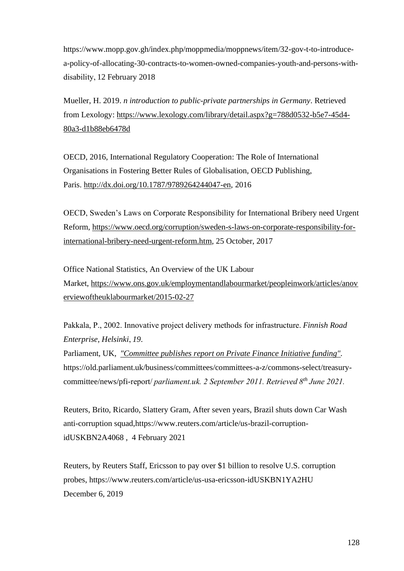https://www.mopp.gov.gh/index.php/moppmedia/moppnews/item/32-gov-t-to-introducea-policy-of-allocating-30-contracts-to-women-owned-companies-youth-and-persons-withdisability, 12 February 2018

Mueller, H. 2019. *n introduction to public-private partnerships in Germany*. Retrieved from Lexology: [https://www.lexology.com/library/detail.aspx?g=788d0532-b5e7-45d4-](https://www.lexology.com/library/detail.aspx?g=788d0532-b5e7-45d4-80a3-d1b88eb6478d) [80a3-d1b88eb6478d](https://www.lexology.com/library/detail.aspx?g=788d0532-b5e7-45d4-80a3-d1b88eb6478d)

OECD, 2016, International Regulatory Cooperation: The Role of International Organisations in Fostering Better Rules of Globalisation, OECD Publishing, Paris. [http://dx.doi.org/10.1787/9789264244047-en,](http://dx.doi.org/10.1787/9789264244047-en) 2016

OECD, Sweden's Laws on Corporate Responsibility for International Bribery need Urgent Reform, [https://www.oecd.org/corruption/sweden-s-laws-on-corporate-responsibility-for](https://www.oecd.org/corruption/sweden-s-laws-on-corporate-responsibility-for-international-bribery-need-urgent-reform.htm)[international-bribery-need-urgent-reform.htm,](https://www.oecd.org/corruption/sweden-s-laws-on-corporate-responsibility-for-international-bribery-need-urgent-reform.htm) 25 October, 2017

Office National Statistics, An Overview of the UK Labour Market, [https://www.ons.gov.uk/employmentandlabourmarket/peopleinwork/articles/anov](https://www.ons.gov.uk/employmentandlabourmarket/peopleinwork/articles/anoverviewoftheuklabourmarket/2015-02-27) [erviewoftheuklabourmarket/2015-02-27](https://www.ons.gov.uk/employmentandlabourmarket/peopleinwork/articles/anoverviewoftheuklabourmarket/2015-02-27)

Pakkala, P., 2002. Innovative project delivery methods for infrastructure. *Finnish Road Enterprise, Helsinki*, *19*.

Parliament, UK, *["Committee publishes report on Private Finance Initiative funding".](http://www.parliament.uk/business/committees/committees-a-z/commons-select/treasury-committee/news/pfi-report/)* https://old.parliament.uk/business/committees/committees-a-z/commons-select/treasurycommittee/news/pfi-report/ *parliament.uk. 2 September 2011. Retrieved 8th June 2021.*

Reuters, Brito, Ricardo, Slattery Gram, After seven years, Brazil shuts down Car Wash anti-corruption squad,https://www.reuters.com/article/us-brazil-corruptionidUSKBN2A4068 , 4 February 2021

Reuters, by Reuters Staff, Ericsson to pay over \$1 billion to resolve U.S. corruption probes, https://www.reuters.com/article/us-usa-ericsson-idUSKBN1YA2HU December 6, 2019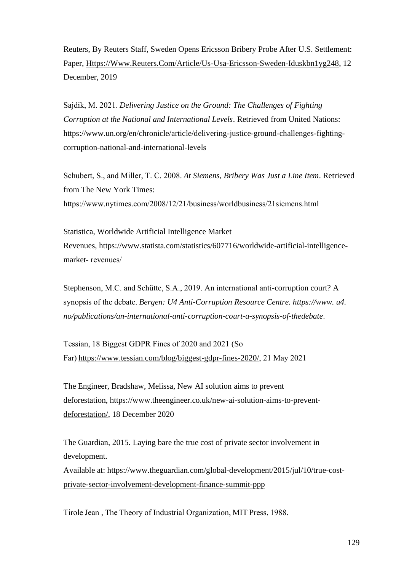Reuters, By Reuters Staff, Sweden Opens Ericsson Bribery Probe After U.S. Settlement: Paper, [Https://Www.Reuters.Com/Article/Us-Usa-Ericsson-Sweden-Iduskbn1yg248,](https://www.reuters.com/article/us-usa-ericsson-sweden-idUSKBN1YG248) 12 December, 2019

Sajdik, M. 2021. *Delivering Justice on the Ground: The Challenges of Fighting Corruption at the National and International Levels*. Retrieved from United Nations: https://www.un.org/en/chronicle/article/delivering-justice-ground-challenges-fightingcorruption-national-and-international-levels 

Schubert, S., and Miller, T. C. 2008. *At Siemens, Bribery Was Just a Line Item*. Retrieved from The New York Times: https://www.nytimes.com/2008/12/21/business/worldbusiness/21siemens.html 

Statistica, Worldwide Artificial Intelligence Market Revenues, https://www.statista.com/statistics/607716/worldwide-artificial-intelligencemarket- revenues/ 

Stephenson, M.C. and Schütte, S.A., 2019. An international anti-corruption court? A synopsis of the debate. *Bergen: U4 Anti-Corruption Resource Centre. https://www. u4. no/publications/an-international-anti-corruption-court-a-synopsis-of-thedebate*. 

Tessian, 18 Biggest GDPR Fines of 2020 and 2021 (So Far)[https://www.tessian.com/blog/biggest-gdpr-fines-2020/,](https://www.tessian.com/blog/biggest-gdpr-fines-2020/) 21 May 2021 

The Engineer, Bradshaw, Melissa, New AI solution aims to prevent deforestation, [https://www.theengineer.co.uk/new-ai-solution-aims-to-prevent](https://www.theengineer.co.uk/new-ai-solution-aims-to-prevent-deforestation/)[deforestation/,](https://www.theengineer.co.uk/new-ai-solution-aims-to-prevent-deforestation/) 18 December 2020

The Guardian, 2015. Laying bare the true cost of private sector involvement in development. Available at: [https://www.theguardian.com/global-development/2015/jul/10/true-cost-](https://www.theguardian.com/global-development/2015/jul/10/true-cost-private-sector-involvement-development-finance-summit-ppp)

[private-sector-involvement-development-finance-summit-ppp](https://www.theguardian.com/global-development/2015/jul/10/true-cost-private-sector-involvement-development-finance-summit-ppp)

Tirole Jean , The Theory of Industrial Organization, MIT Press, 1988.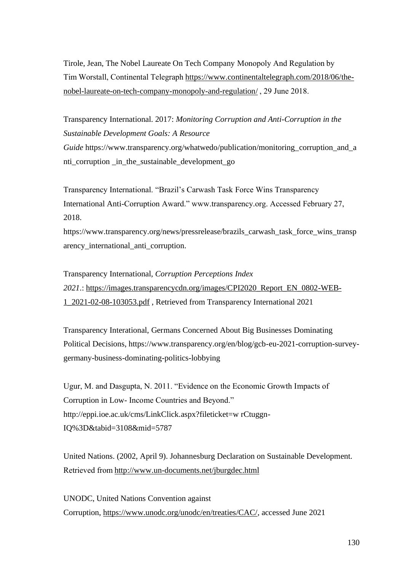Tirole, Jean, The Nobel Laureate On Tech Company Monopoly And Regulation by Tim Worstall, Continental Telegraph[https://www.continentaltelegraph.com/2018/06/the](https://www.continentaltelegraph.com/2018/06/the-nobel-laureate-on-tech-company-monopoly-and-regulation/)[nobel-laureate-on-tech-company-monopoly-and-regulation/](https://www.continentaltelegraph.com/2018/06/the-nobel-laureate-on-tech-company-monopoly-and-regulation/), 29 June 2018.

Transparency International. 2017: *Monitoring Corruption and Anti-Corruption in the Sustainable Development Goals: A Resource Guide* https://www.transparency.org/whatwedo/publication/monitoring\_corruption\_and\_a nti\_corruption \_in\_the\_sustainable\_development\_go

Transparency International. "Brazil's Carwash Task Force Wins Transparency International Anti-Corruption Award." www.transparency.org. Accessed February 27, 2018.

https://www.transparency.org/news/pressrelease/brazils\_carwash\_task\_force\_wins\_transp arency\_international\_anti\_corruption.

Transparency International, *Corruption Perceptions Index 2021*.: [https://images.transparencycdn.org/images/CPI2020\\_Report\\_EN\\_0802-WEB-](https://images.transparencycdn.org/images/CPI2020_Report_EN_0802-WEB-1_2021-02-08-103053.pdf)[1\\_2021-02-08-103053.pdf](https://images.transparencycdn.org/images/CPI2020_Report_EN_0802-WEB-1_2021-02-08-103053.pdf) , Retrieved from Transparency International 2021

Transparency Interational, Germans Concerned About Big Businesses Dominating Political Decisions, https://www.transparency.org/en/blog/gcb-eu-2021-corruption-surveygermany-business-dominating-politics-lobbying

Ugur, M. and Dasgupta, N. 2011. "Evidence on the Economic Growth Impacts of Corruption in Low- Income Countries and Beyond." http://eppi.ioe.ac.uk/cms/LinkClick.aspx?fileticket=w rCtuggn-IQ%3D&tabid=3108&mid=5787

United Nations. (2002, April 9). Johannesburg Declaration on Sustainable Development. Retrieved from<http://www.un-documents.net/jburgdec.html>

UNODC, United Nations Convention against Corruption, [https://www.unodc.org/unodc/en/treaties/CAC/,](https://www.unodc.org/unodc/en/treaties/CAC/) accessed June 2021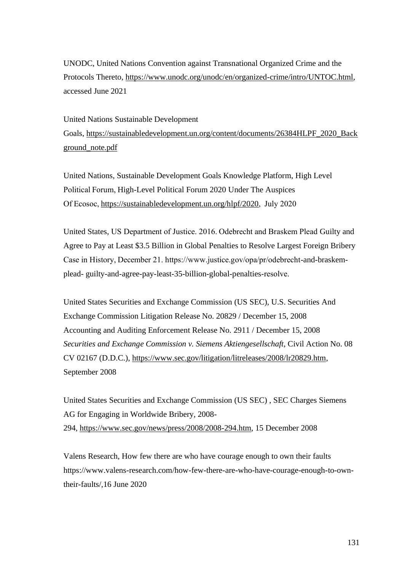UNODC, United Nations Convention against Transnational Organized Crime and the Protocols Thereto, [https://www.unodc.org/unodc/en/organized-crime/intro/UNTOC.html,](https://www.unodc.org/unodc/en/organized-crime/intro/UNTOC.html) accessed June 2021

United Nations Sustainable Development Goals, [https://sustainabledevelopment.un.org/content/documents/26384HLPF\\_2020\\_Back](https://sustainabledevelopment.un.org/content/documents/26384HLPF_2020_Background_note.pdf) [ground\\_note.pdf](https://sustainabledevelopment.un.org/content/documents/26384HLPF_2020_Background_note.pdf) 

United Nations, Sustainable Development Goals Knowledge Platform, High Level Political Forum, High-Level Political Forum 2020 Under The Auspices Of Ecosoc[, https://sustainabledevelopment.un.org/hlpf/2020,](https://sustainabledevelopment.un.org/hlpf/2020)  July 2020

United States, US Department of Justice. 2016. Odebrecht and Braskem Plead Guilty and Agree to Pay at Least \$3.5 Billion in Global Penalties to Resolve Largest Foreign Bribery Case in History, December 21. https://www.justice.gov/opa/pr/odebrecht-and-braskemplead- guilty-and-agree-pay-least-35-billion-global-penalties-resolve.  

United States Securities and Exchange Commission (US SEC), U.S. Securities And Exchange Commission Litigation Release No. 20829 / December 15, 2008 Accounting and Auditing Enforcement Release No. 2911 / December 15, 2008 *Securities and Exchange Commission v. Siemens Aktiengesellschaft*, Civil Action No. 08 CV 02167 (D.D.C.), [https://www.sec.gov/litigation/litreleases/2008/lr20829.htm,](https://www.sec.gov/litigation/litreleases/2008/lr20829.htm) September 2008

United States Securities and Exchange Commission (US SEC) , SEC Charges Siemens AG for Engaging in Worldwide Bribery, 2008- 294, [https://www.sec.gov/news/press/2008/2008-294.htm,](https://www.sec.gov/news/press/2008/2008-294.htm) 15 December 2008

Valens Research, How few there are who have courage enough to own their faults https://www.valens-research.com/how-few-there-are-who-have-courage-enough-to-owntheir-faults/,16 June 2020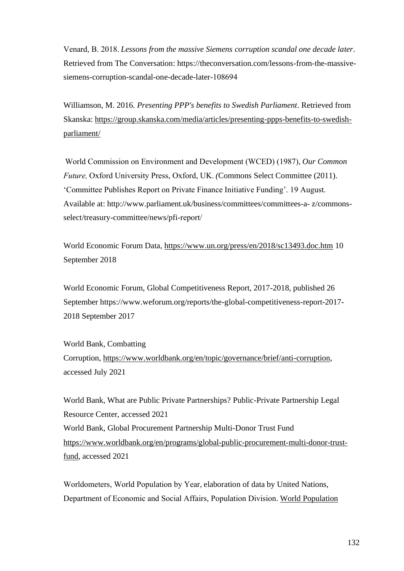Venard, B. 2018. *Lessons from the massive Siemens corruption scandal one decade later*. Retrieved from The Conversation: https://theconversation.com/lessons-from-the-massivesiemens-corruption-scandal-one-decade-later-108694 

Williamson, M. 2016. *Presenting PPP's benefits to Swedish Parliament*. Retrieved from Skanska: [https://group.skanska.com/media/articles/presenting-ppps-benefits-to-swedish](https://group.skanska.com/media/articles/presenting-ppps-benefits-to-swedish-parliament/)[parliament/](https://group.skanska.com/media/articles/presenting-ppps-benefits-to-swedish-parliament/)

 World Commission on Environment and Development (WCED) (1987), *Our Common Future,*Oxford University Press, Oxford, UK. *(*Commons Select Committee (2011). 'Committee Publishes Report on Private Finance Initiative Funding'. 19 August. Available at: http://www.parliament.uk/business/committees/committees-a- z/commonsselect/treasury-committee/news/pfi-report/  

World Economic Forum Data, <https://www.un.org/press/en/2018/sc13493.doc.htm> 10 September 2018

World Economic Forum, Global Competitiveness Report, 2017-2018, published 26 September https://www.weforum.org/reports/the-global-competitiveness-report-2017- 2018 September 2017

World Bank, Combatting Corruption, [https://www.worldbank.org/en/topic/governance/brief/anti-corruption,](https://www.worldbank.org/en/topic/governance/brief/anti-corruption) accessed July 2021

World Bank, What are Public Private Partnerships? Public-Private Partnership Legal Resource Center, accessed 2021 World Bank, Global Procurement Partnership Multi-Donor Trust Fund [https://www.worldbank.org/en/programs/global-public-procurement-multi-donor-trust](https://www.worldbank.org/en/programs/global-public-procurement-multi-donor-trust-fund)[fund,](https://www.worldbank.org/en/programs/global-public-procurement-multi-donor-trust-fund) accessed 2021

Worldometers, World Population by Year, elaboration of data by United Nations, Department of Economic and Social Affairs, Population Division.[World Population](https://esa.un.org/unpd/wpp/)